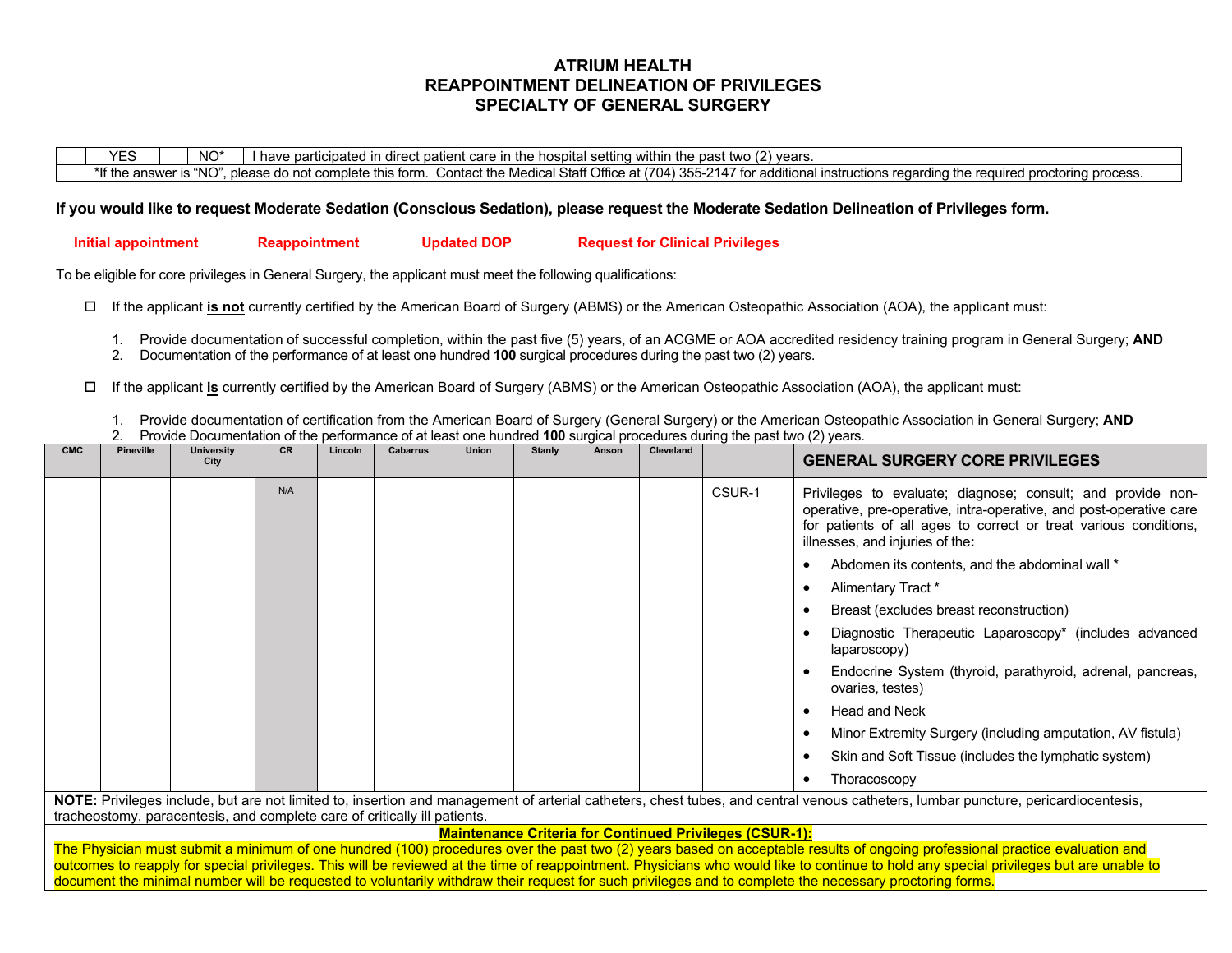## **ATRIUM HEALTH REAPPOINTMENT DELINEATION OF PRIVILEGES SPECIALTY OF GENERAL SURGERY**

 $YES$  NO\* I have participated in direct patient care in the hospital setting within the past two (2) years. \*If the answer is "NO", please do not complete this form. Contact the Medical Staff Office at (704) 355-2147 for additional instructions regarding the required proctoring process.

## **If you would like to request Moderate Sedation (Conscious Sedation), please request the Moderate Sedation Delineation of Privileges form.**

 **Initial appointment Reappointment Updated DOP Request for Clinical Privileges**

To be eligible for core privileges in General Surgery, the applicant must meet the following qualifications:

If the applicant **is not** currently certified by the American Board of Surgery (ABMS) or the American Osteopathic Association (AOA), the applicant must:

- 1. Provide documentation of successful completion, within the past five (5) years, of an ACGME or AOA accredited residency training program in General Surgery; **AND**
- 2. Documentation of the performance of at least one hundred **100** surgical procedures during the past two (2) years.
- If the applicant **is** currently certified by the American Board of Surgery (ABMS) or the American Osteopathic Association (AOA), the applicant must:
	- 1. Provide documentation of certification from the American Board of Surgery (General Surgery) or the American Osteopathic Association in General Surgery; **AND**
	- 2. Provide Documentation of the performance of at least one hundred **100** surgical procedures during the past two (2) years.

| <b>CMC</b> | <b>Pineville</b> | <b>University</b><br>City | <b>CR</b> | Lincoln | <b>Cabarrus</b> | <b>Union</b> | <b>Stanly</b> | Anson | <b>Cleveland</b> |        | <b>GENERAL SURGERY CORE PRIVILEGES</b>                                                                                                                                                                                                   |
|------------|------------------|---------------------------|-----------|---------|-----------------|--------------|---------------|-------|------------------|--------|------------------------------------------------------------------------------------------------------------------------------------------------------------------------------------------------------------------------------------------|
|            |                  |                           | N/A       |         |                 |              |               |       |                  | CSUR-1 | Privileges to evaluate; diagnose; consult; and provide non-<br>operative, pre-operative, intra-operative, and post-operative care<br>for patients of all ages to correct or treat various conditions,<br>illnesses, and injuries of the: |
|            |                  |                           |           |         |                 |              |               |       |                  |        | Abdomen its contents, and the abdominal wall *                                                                                                                                                                                           |
|            |                  |                           |           |         |                 |              |               |       |                  |        | Alimentary Tract *                                                                                                                                                                                                                       |
|            |                  |                           |           |         |                 |              |               |       |                  |        | Breast (excludes breast reconstruction)                                                                                                                                                                                                  |
|            |                  |                           |           |         |                 |              |               |       |                  |        | Diagnostic Therapeutic Laparoscopy* (includes advanced<br>laparoscopy)                                                                                                                                                                   |
|            |                  |                           |           |         |                 |              |               |       |                  |        | Endocrine System (thyroid, parathyroid, adrenal, pancreas,<br>ovaries, testes)                                                                                                                                                           |
|            |                  |                           |           |         |                 |              |               |       |                  |        | <b>Head and Neck</b>                                                                                                                                                                                                                     |
|            |                  |                           |           |         |                 |              |               |       |                  |        | Minor Extremity Surgery (including amputation, AV fistula)                                                                                                                                                                               |
|            |                  |                           |           |         |                 |              |               |       |                  |        | Skin and Soft Tissue (includes the lymphatic system)                                                                                                                                                                                     |
|            |                  |                           |           |         |                 |              |               |       |                  |        | Thoracoscopy                                                                                                                                                                                                                             |
|            |                  |                           |           |         |                 |              |               |       |                  |        | NOTE: Privileges include, but are not limited to, insertion and management of arterial catheters, chest tubes, and central venous catheters, lumbar puncture, pericardiocentesis,                                                        |

tracheostomy, paracentesis, and complete care of critically ill patients.

### **Maintenance Criteria for Continued Privileges (CSUR-1):**

The Physician must submit a minimum of one hundred (100) procedures over the past two (2) years based on acceptable results of ongoing professional practice evaluation and outcomes to reapply for special privileges. This will be reviewed at the time of reappointment. Physicians who would like to continue to hold any special privileges but are unable to document the minimal number will be requested to voluntarily withdraw their request for such privileges and to complete the necessary proctoring forms.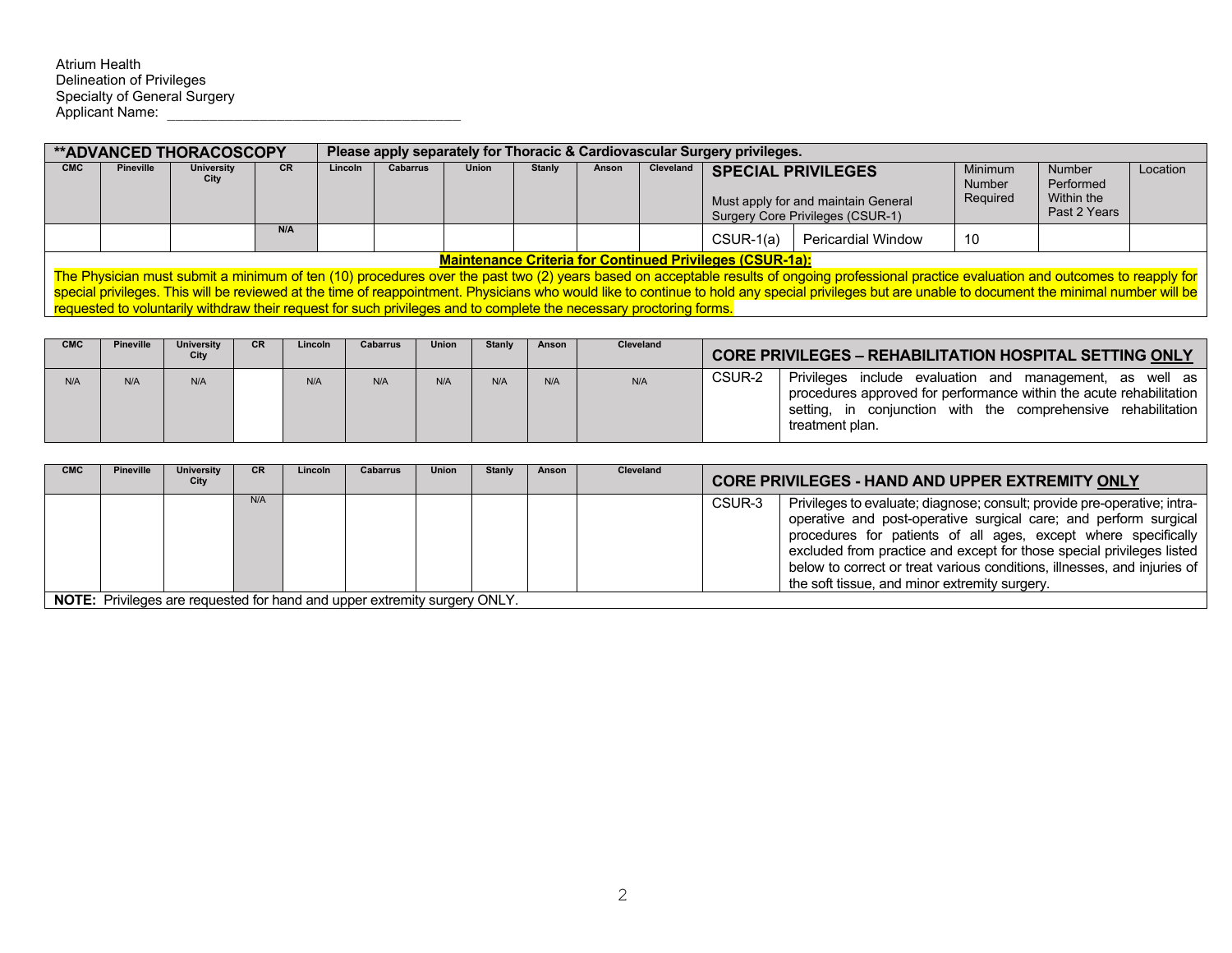|            |                                                                 | <b>**ADVANCED THORACOSCOPY</b> |           |                |          |              |               |       |           | Please apply separately for Thoracic & Cardiovascular Surgery privileges. |                                                                                                                                                                                            |                                      |                                                   |          |
|------------|-----------------------------------------------------------------|--------------------------------|-----------|----------------|----------|--------------|---------------|-------|-----------|---------------------------------------------------------------------------|--------------------------------------------------------------------------------------------------------------------------------------------------------------------------------------------|--------------------------------------|---------------------------------------------------|----------|
| <b>CMC</b> | Pineville                                                       | <b>University</b><br>City      | <b>CR</b> | <b>Lincoln</b> | Cabarrus | <b>Union</b> | <b>Stanly</b> | Anson | Cleveland |                                                                           | <b>SPECIAL PRIVILEGES</b><br>Must apply for and maintain General<br>Surgery Core Privileges (CSUR-1)                                                                                       | <b>Minimum</b><br>Number<br>Required | Number<br>Performed<br>Within the<br>Past 2 Years | Location |
|            |                                                                 |                                | N/A       |                |          |              |               |       |           | CSUR-1(a)                                                                 | Pericardial Window                                                                                                                                                                         | 10                                   |                                                   |          |
|            | <b>Maintenance Criteria for Continued Privileges (CSUR-1a):</b> |                                |           |                |          |              |               |       |           |                                                                           |                                                                                                                                                                                            |                                      |                                                   |          |
|            |                                                                 |                                |           |                |          |              |               |       |           |                                                                           | The Physician must submit a minimum of ten (10) procedures over the past two (2) years based on acceptable results of ongoing professional practice evaluation and outcomes to reapply for |                                      |                                                   |          |

special privileges. This will be reviewed at the time of reappointment. Physicians who would like to continue to hold any special privileges but are unable to document the minimal number will be requested to voluntarily withdraw their request for such privileges and to complete the necessary proctoring forms.

| <b>CMC</b> | <b>Pineville</b> | University<br>City | CR. | Lincoln | <b>Cabarrus</b> | <b>Union</b> | <b>Stanly</b> | Anson | <b>Cleveland</b> |        | <b>CORE PRIVILEGES - REHABILITATION HOSPITAL SETTING ONLY</b>                                                                                                                                                             |
|------------|------------------|--------------------|-----|---------|-----------------|--------------|---------------|-------|------------------|--------|---------------------------------------------------------------------------------------------------------------------------------------------------------------------------------------------------------------------------|
| N/A        | N/A              | N/A                |     | N/A     | N/A             | N/A          | N/A           | N/A   | N/A              | CSUR-2 | Privileges<br>include evaluation and<br>management, as well as<br>procedures approved for performance within the acute rehabilitation<br>conjunction with the comprehensive rehabilitation<br>settina.<br>treatment plan. |

| <b>CMC</b> | <b>Pineville</b> | <b>University</b><br>City | <b>CR</b> | Lincoln | <b>Cabarrus</b>                                                               | Union | <b>Stanly</b> | Anson | Cleveland |        | <b>CORE PRIVILEGES - HAND AND UPPER EXTREMITY ONLY</b>                                                                                                                                                                                                                                                                                                                                                               |
|------------|------------------|---------------------------|-----------|---------|-------------------------------------------------------------------------------|-------|---------------|-------|-----------|--------|----------------------------------------------------------------------------------------------------------------------------------------------------------------------------------------------------------------------------------------------------------------------------------------------------------------------------------------------------------------------------------------------------------------------|
|            |                  |                           | N/A       |         |                                                                               |       |               |       |           | CSUR-3 | Privileges to evaluate; diagnose; consult; provide pre-operative; intra-<br>operative and post-operative surgical care; and perform surgical<br>procedures for patients of all ages, except where specifically<br>excluded from practice and except for those special privileges listed<br>below to correct or treat various conditions, illnesses, and injuries of<br>the soft tissue, and minor extremity surgery. |
|            |                  |                           |           |         | NOTE: Davids are a presented for board and concernative activity of the ONILY |       |               |       |           |        |                                                                                                                                                                                                                                                                                                                                                                                                                      |

**NOTE:** Privileges are requested for hand and upper extremity surgery ONLY.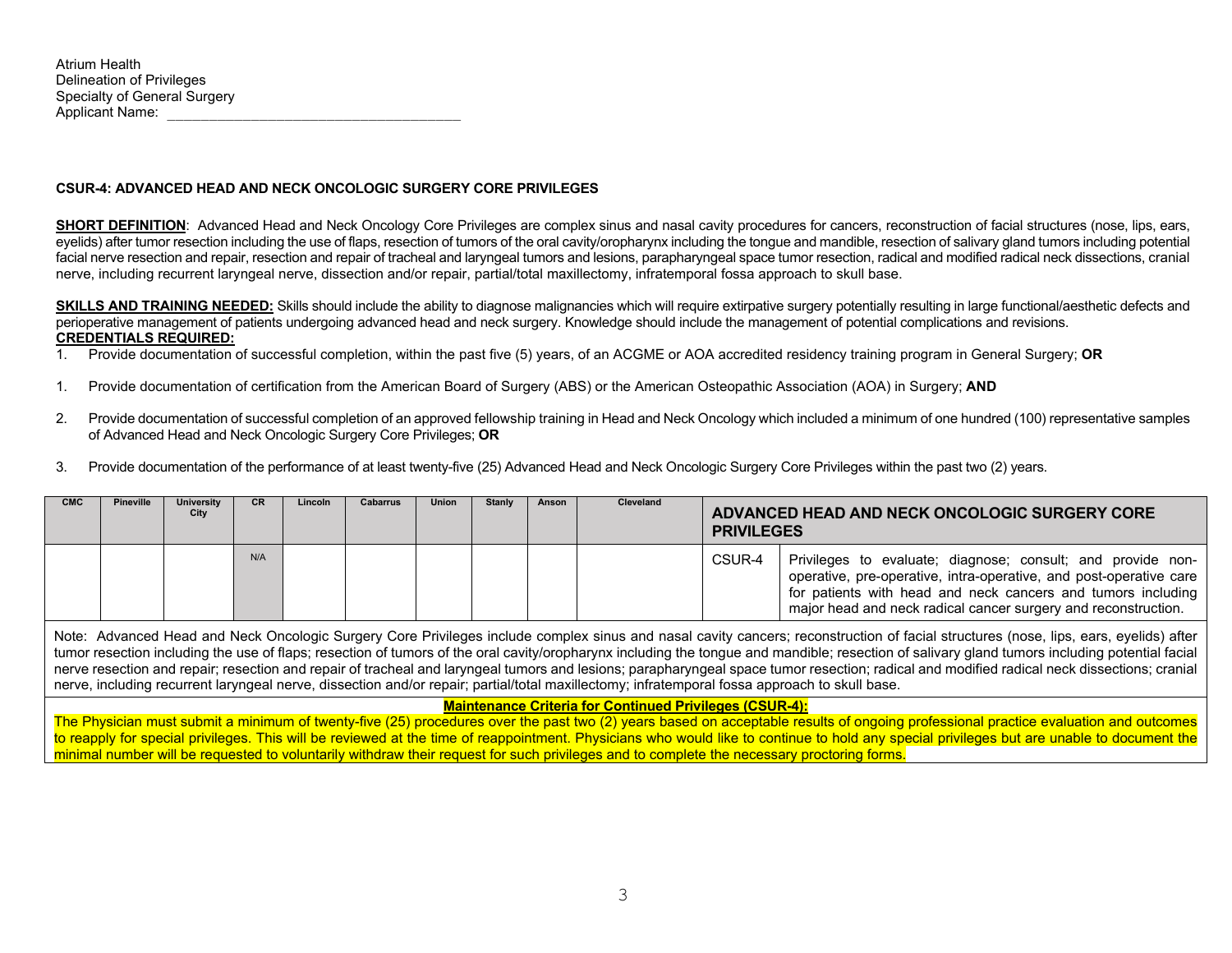## **CSUR-4: ADVANCED HEAD AND NECK ONCOLOGIC SURGERY CORE PRIVILEGES**

**SHORT DEFINITION:** Advanced Head and Neck Oncology Core Privileges are complex sinus and nasal cavity procedures for cancers, reconstruction of facial structures (nose, lips, ears, eyelids) after tumor resection including the use of flaps, resection of tumors of the oral cavity/oropharynx including the tongue and mandible, resection of salivary gland tumors including potential facial nerve resection and repair, resection and repair of tracheal and laryngeal tumors and lesions, parapharyngeal space tumor resection, radical and modified radical neck dissections, cranial nerve, including recurrent laryngeal nerve, dissection and/or repair, partial/total maxillectomy, infratemporal fossa approach to skull base.

SKILLS AND TRAINING NEEDED: Skills should include the ability to diagnose malignancies which will require extirpative surgery potentially resulting in large functional/aesthetic defects and perioperative management of patients undergoing advanced head and neck surgery. Knowledge should include the management of potential complications and revisions. **CREDENTIALS REQUIRED:** 

- 1. Provide documentation of successful completion, within the past five (5) years, of an ACGME or AOA accredited residency training program in General Surgery; **OR**
- 1. Provide documentation of certification from the American Board of Surgery (ABS) or the American Osteopathic Association (AOA) in Surgery; **AND**
- 2. Provide documentation of successful completion of an approved fellowship training in Head and Neck Oncology which included a minimum of one hundred (100) representative samples of Advanced Head and Neck Oncologic Surgery Core Privileges; **OR**
- 3. Provide documentation of the performance of at least twenty-five (25) Advanced Head and Neck Oncologic Surgery Core Privileges within the past two (2) years.

| <b>CMC</b> | Pineville | University<br>City | CR. | Lincoln | Cabarrus | Union | Stanly | Anson | <b>Cleveland</b> | <b>PRIVILEGES</b> | ADVANCED HEAD AND NECK ONCOLOGIC SURGERY CORE                                                                                                                                                                                                                       |
|------------|-----------|--------------------|-----|---------|----------|-------|--------|-------|------------------|-------------------|---------------------------------------------------------------------------------------------------------------------------------------------------------------------------------------------------------------------------------------------------------------------|
|            |           |                    | N/A |         |          |       |        |       |                  | CSUR-4            | Privileges to evaluate; diagnose; consult; and provide non-<br>operative, pre-operative, intra-operative, and post-operative care<br>for patients with head and neck cancers and tumors including<br>major head and neck radical cancer surgery and reconstruction. |

Note: Advanced Head and Neck Oncologic Surgery Core Privileges include complex sinus and nasal cavity cancers; reconstruction of facial structures (nose, lips, ears, eyelids) after tumor resection including the use of flaps; resection of tumors of the oral cavity/oropharynx including the tongue and mandible; resection of salivary gland tumors including potential facial nerve resection and repair; resection and repair of tracheal and laryngeal tumors and lesions; parapharyngeal space tumor resection; radical and modified radical neck dissections; cranial nerve, including recurrent laryngeal nerve, dissection and/or repair; partial/total maxillectomy; infratemporal fossa approach to skull base.

#### **Maintenance Criteria for Continued Privileges (CSUR-4):**

The Physician must submit a minimum of twenty-five (25) procedures over the past two (2) years based on acceptable results of ongoing professional practice evaluation and outcomes to reapply for special privileges. This will be reviewed at the time of reappointment. Physicians who would like to continue to hold any special privileges but are unable to document the minimal number will be requested to voluntarily withdraw their request for such privileges and to complete the necessary proctoring forms.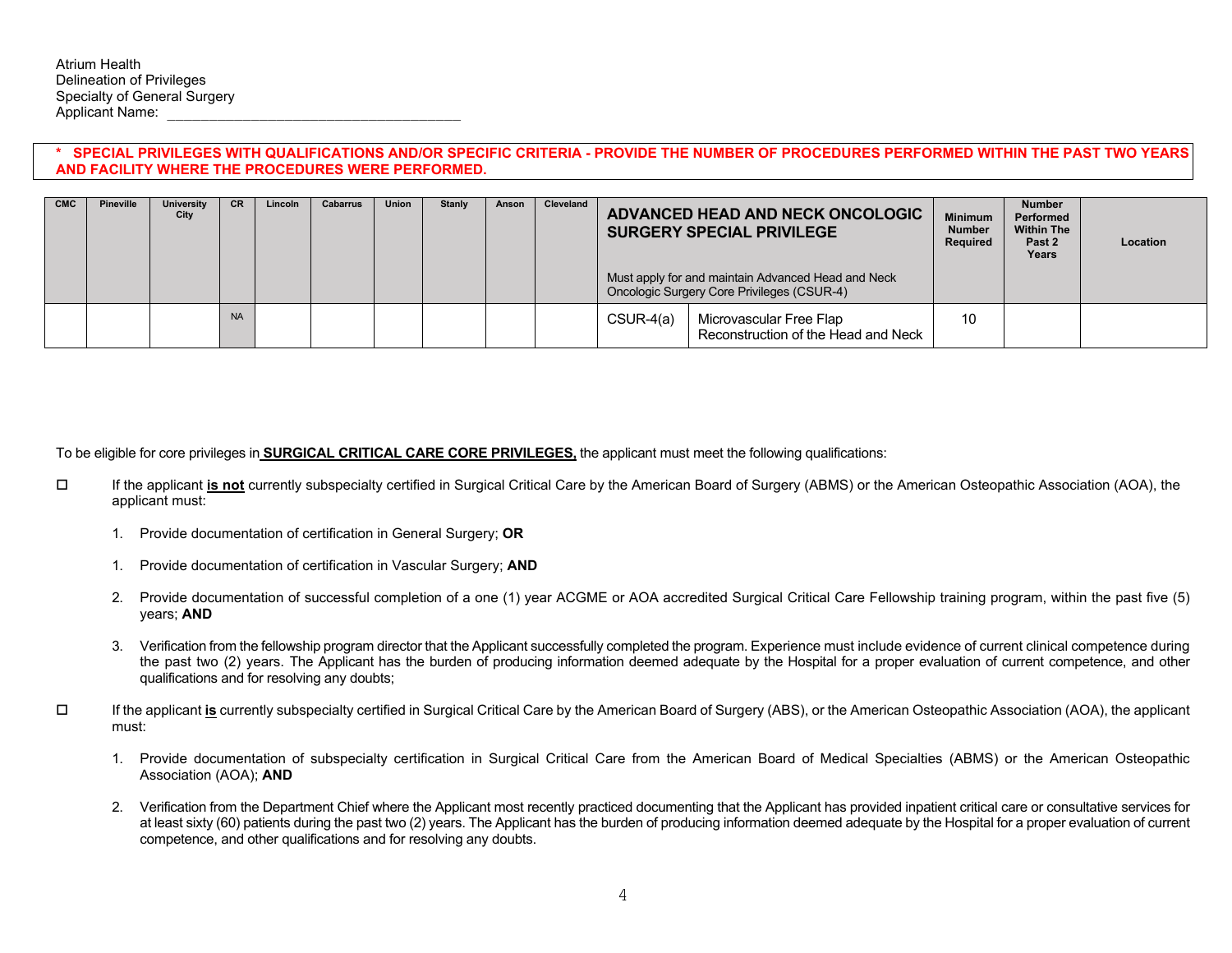## **\* SPECIAL PRIVILEGES WITH QUALIFICATIONS AND/OR SPECIFIC CRITERIA - PROVIDE THE NUMBER OF PROCEDURES PERFORMED WITHIN THE PAST TWO YEARS AND FACILITY WHERE THE PROCEDURES WERE PERFORMED.**

| <b>CMC</b> | Pineville | University<br>City | <b>CR</b> | Lincoln | Cabarrus | Union | <b>Stanly</b> | Anson | Cleveland |             | ADVANCED HEAD AND NECK ONCOLOGIC<br><b>SURGERY SPECIAL PRIVILEGE</b>                             | <b>Minimum</b><br><b>Number</b><br>Required | Number<br>Performed<br><b>Within The</b><br>Past 2<br>Years | Location |
|------------|-----------|--------------------|-----------|---------|----------|-------|---------------|-------|-----------|-------------|--------------------------------------------------------------------------------------------------|---------------------------------------------|-------------------------------------------------------------|----------|
|            |           |                    |           |         |          |       |               |       |           |             | Must apply for and maintain Advanced Head and Neck<br>Oncologic Surgery Core Privileges (CSUR-4) |                                             |                                                             |          |
|            |           |                    | <b>NA</b> |         |          |       |               |       |           | $CSUR-4(a)$ | Microvascular Free Flap<br>Reconstruction of the Head and Neck                                   | 10                                          |                                                             |          |

To be eligible for core privileges in **SURGICAL CRITICAL CARE CORE PRIVILEGES,** the applicant must meet the following qualifications:

- If the applicant **is not** currently subspecialty certified in Surgical Critical Care by the American Board of Surgery (ABMS) or the American Osteopathic Association (AOA), the applicant must:
	- 1. Provide documentation of certification in General Surgery; **OR**
	- 1. Provide documentation of certification in Vascular Surgery; **AND**
	- 2. Provide documentation of successful completion of a one (1) year ACGME or AOA accredited Surgical Critical Care Fellowship training program, within the past five (5) years; **AND**
	- 3. Verification from the fellowship program director that the Applicant successfully completed the program. Experience must include evidence of current clinical competence during the past two (2) years. The Applicant has the burden of producing information deemed adequate by the Hospital for a proper evaluation of current competence, and other qualifications and for resolving any doubts;
- $\Box$  If the applicant **is** currently subspecialty certified in Surgical Critical Care by the American Board of Surgery (ABS), or the American Osteopathic Association (AOA), the applicant must:
	- 1. Provide documentation of subspecialty certification in Surgical Critical Care from the American Board of Medical Specialties (ABMS) or the American Osteopathic Association (AOA); **AND**
	- 2. Verification from the Department Chief where the Applicant most recently practiced documenting that the Applicant has provided inpatient critical care or consultative services for at least sixty (60) patients during the past two (2) years. The Applicant has the burden of producing information deemed adequate by the Hospital for a proper evaluation of current competence, and other qualifications and for resolving any doubts.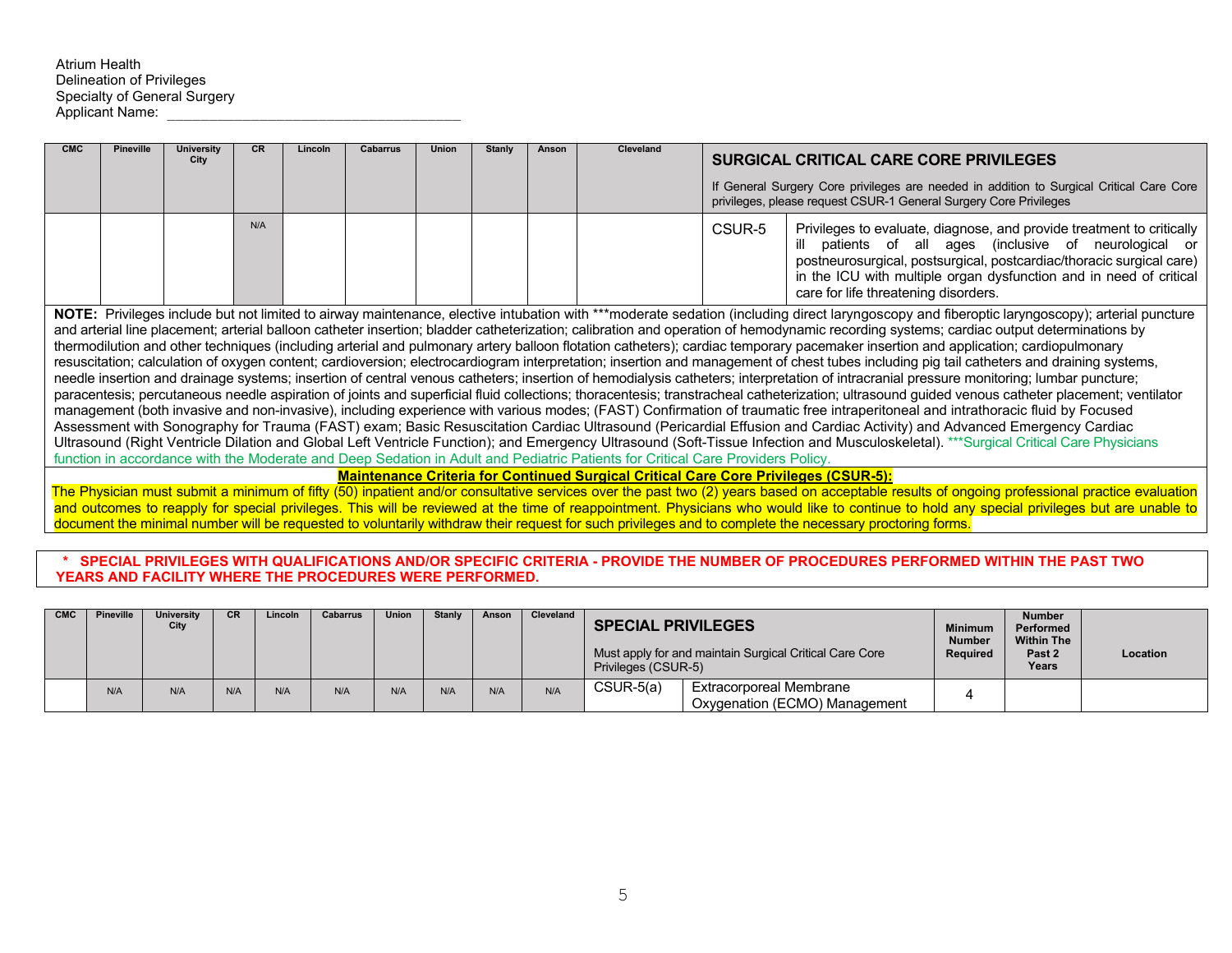| <b>CMC</b> | <b>Pineville</b> | <b>University</b><br>City | <b>CR</b> | Lincoln | <b>Cabarrus</b> | <b>Union</b> | <b>Stanly</b> | Anson | Cleveland                                                                                                                      |        | <b>SURGICAL CRITICAL CARE CORE PRIVILEGES</b>                                                                                                                                                                                                                                                                                                                                                                                                                                                                                                                                                                                                                                                                                                                                                                                                                                                                                                                                                                                                                                                                                                                                                                                                                                                                                                                                                                                                                                                                                                                                                                                                                                                                             |
|------------|------------------|---------------------------|-----------|---------|-----------------|--------------|---------------|-------|--------------------------------------------------------------------------------------------------------------------------------|--------|---------------------------------------------------------------------------------------------------------------------------------------------------------------------------------------------------------------------------------------------------------------------------------------------------------------------------------------------------------------------------------------------------------------------------------------------------------------------------------------------------------------------------------------------------------------------------------------------------------------------------------------------------------------------------------------------------------------------------------------------------------------------------------------------------------------------------------------------------------------------------------------------------------------------------------------------------------------------------------------------------------------------------------------------------------------------------------------------------------------------------------------------------------------------------------------------------------------------------------------------------------------------------------------------------------------------------------------------------------------------------------------------------------------------------------------------------------------------------------------------------------------------------------------------------------------------------------------------------------------------------------------------------------------------------------------------------------------------------|
|            |                  |                           |           |         |                 |              |               |       |                                                                                                                                |        | If General Surgery Core privileges are needed in addition to Surgical Critical Care Core<br>privileges, please request CSUR-1 General Surgery Core Privileges                                                                                                                                                                                                                                                                                                                                                                                                                                                                                                                                                                                                                                                                                                                                                                                                                                                                                                                                                                                                                                                                                                                                                                                                                                                                                                                                                                                                                                                                                                                                                             |
|            |                  |                           | N/A       |         |                 |              |               |       |                                                                                                                                | CSUR-5 | Privileges to evaluate, diagnose, and provide treatment to critically<br>ill patients of all ages (inclusive of neurological or<br>postneurosurgical, postsurgical, postcardiac/thoracic surgical care)<br>in the ICU with multiple organ dysfunction and in need of critical<br>care for life threatening disorders.                                                                                                                                                                                                                                                                                                                                                                                                                                                                                                                                                                                                                                                                                                                                                                                                                                                                                                                                                                                                                                                                                                                                                                                                                                                                                                                                                                                                     |
|            |                  |                           |           |         |                 |              |               |       | function in accordance with the Moderate and Deep Sedation in Adult and Pediatric Patients for Critical Care Providers Policy. |        | NOTE: Privileges include but not limited to airway maintenance, elective intubation with ***moderate sedation (including direct laryngoscopy and fiberoptic laryngoscopy); arterial puncture<br>and arterial line placement; arterial balloon catheter insertion; bladder catheterization; calibration and operation of hemodynamic recording systems; cardiac output determinations by<br>thermodilution and other techniques (including arterial and pulmonary artery balloon flotation catheters); cardiac temporary pacemaker insertion and application; cardiopulmonary<br>resuscitation; calculation of oxygen content; cardioversion; electrocardiogram interpretation; insertion and management of chest tubes including pig tail catheters and draining systems,<br>needle insertion and drainage systems; insertion of central venous catheters; insertion of hemodialysis catheters; interpretation of intracranial pressure monitoring; lumbar puncture;<br>paracentesis; percutaneous needle aspiration of joints and superficial fluid collections; thoracentesis; transtracheal catheterization; ultrasound guided venous catheter placement; ventilator<br>management (both invasive and non-invasive), including experience with various modes; (FAST) Confirmation of traumatic free intraperitoneal and intrathoracic fluid by Focused<br>Assessment with Sonography for Trauma (FAST) exam; Basic Resuscitation Cardiac Ultrasound (Pericardial Effusion and Cardiac Activity) and Advanced Emergency Cardiac<br>Ultrasound (Right Ventricle Dilation and Global Left Ventricle Function); and Emergency Ultrasound (Soft-Tissue Infection and Musculoskeletal). ***Surgical Critical Care Physicians |
|            |                  |                           |           |         |                 |              |               |       | <b>Maintenance Criteria for Continued Surgical Critical Care Core Privileges (CSUR-5):</b>                                     |        |                                                                                                                                                                                                                                                                                                                                                                                                                                                                                                                                                                                                                                                                                                                                                                                                                                                                                                                                                                                                                                                                                                                                                                                                                                                                                                                                                                                                                                                                                                                                                                                                                                                                                                                           |
|            |                  |                           |           |         |                 |              |               |       |                                                                                                                                |        | The Physician must submit a minimum of fifty (50) inpatient and/or consultative services over the past two (2) years based on acceptable results of ongoing professional practice evaluation                                                                                                                                                                                                                                                                                                                                                                                                                                                                                                                                                                                                                                                                                                                                                                                                                                                                                                                                                                                                                                                                                                                                                                                                                                                                                                                                                                                                                                                                                                                              |

The Physician must submit a minimum of fifty (50) inpatient and/or consultative services over the past two (2) years based on acceptable results of ongoing professional practice evaluation and outcomes to reapply for special privileges. This will be reviewed at the time of reappointment. Physicians who would like to continue to hold any special privileges but are unable to document the minimal number will be requested to voluntarily withdraw their request for such privileges and to complete the necessary proctoring forms.

## **\* SPECIAL PRIVILEGES WITH QUALIFICATIONS AND/OR SPECIFIC CRITERIA - PROVIDE THE NUMBER OF PROCEDURES PERFORMED WITHIN THE PAST TWO YEARS AND FACILITY WHERE THE PROCEDURES WERE PERFORMED.**

| <b>CMC</b> | Pineville | <b>University</b><br>City | <b>CR</b> | Lincoln | <b>Cabarrus</b> | Union | Stanly | Anson | Cleveland | <b>SPECIAL PRIVILEGES</b><br>Privileges (CSUR-5) | Must apply for and maintain Surgical Critical Care Core  | <b>Minimum</b><br><b>Number</b><br>Required | <b>Number</b><br>Performed<br><b>Within The</b><br>Past 2<br>Years | <b>Location</b> |
|------------|-----------|---------------------------|-----------|---------|-----------------|-------|--------|-------|-----------|--------------------------------------------------|----------------------------------------------------------|---------------------------------------------|--------------------------------------------------------------------|-----------------|
|            | N/A       | N/A                       | N/A       | N/A     | N/A             |       | N/A    | N/A   | N/A       | $CSUR-5(a)$                                      | Extracorporeal Membrane<br>Oxygenation (ECMO) Management |                                             |                                                                    |                 |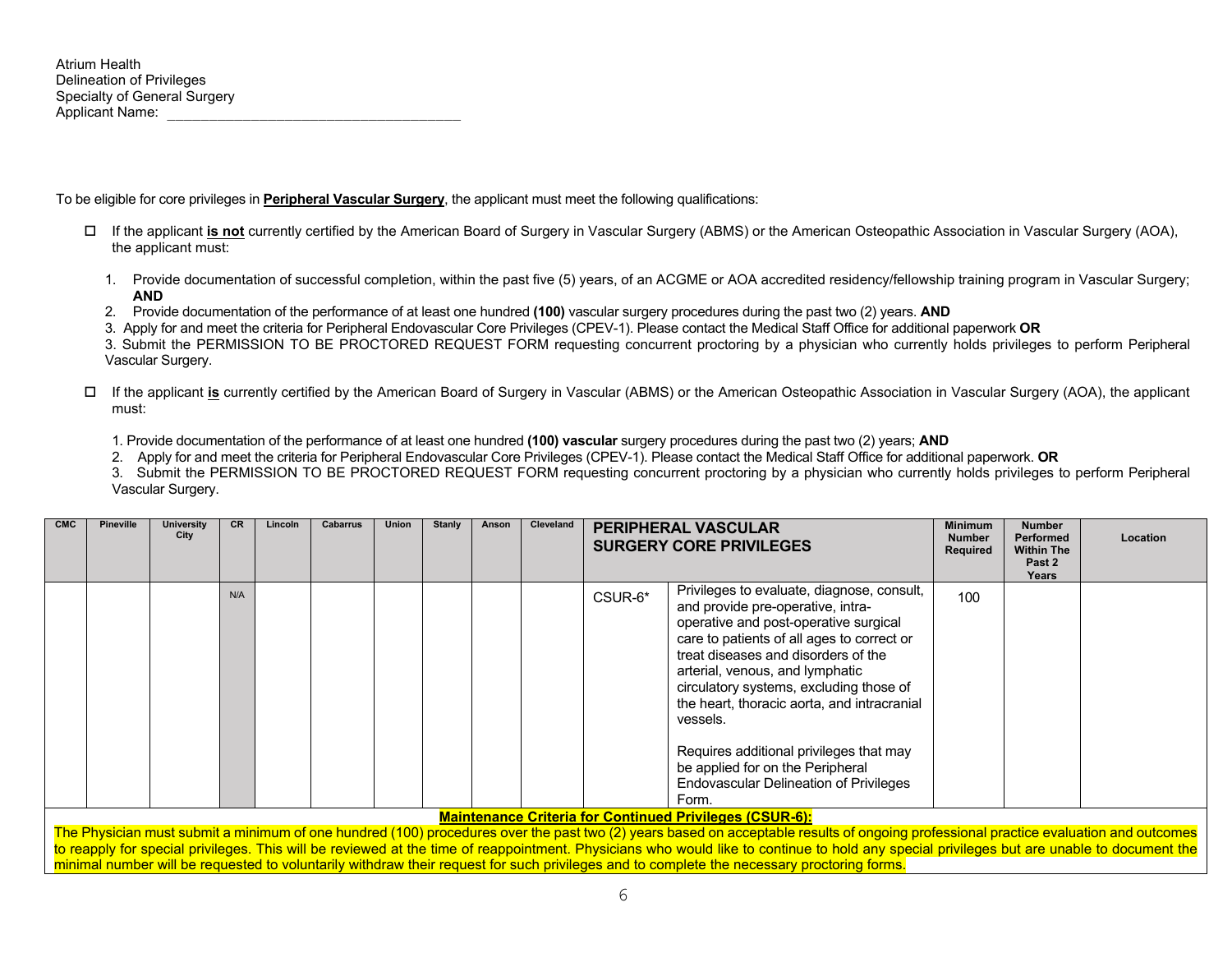To be eligible for core privileges in **Peripheral Vascular Surgery**, the applicant must meet the following qualifications:

- If the applicant **is not** currently certified by the American Board of Surgery in Vascular Surgery (ABMS) or the American Osteopathic Association in Vascular Surgery (AOA), the applicant must:
	- 1. Provide documentation of successful completion, within the past five (5) years, of an ACGME or AOA accredited residency/fellowship training program in Vascular Surgery; **AND**
	- 2. Provide documentation of the performance of at least one hundred **(100)** vascular surgery procedures during the past two (2) years. **AND**
	- 3. Apply for and meet the criteria for Peripheral Endovascular Core Privileges (CPEV-1). Please contact the Medical Staff Office for additional paperwork **OR**

3. Submit the PERMISSION TO BE PROCTORED REQUEST FORM requesting concurrent proctoring by a physician who currently holds privileges to perform Peripheral Vascular Surgery.

- If the applicant **is** currently certified by the American Board of Surgery in Vascular (ABMS) or the American Osteopathic Association in Vascular Surgery (AOA), the applicant must:
	- 1. Provide documentation of the performance of at least one hundred **(100) vascular** surgery procedures during the past two (2) years; **AND**

2. Apply for and meet the criteria for Peripheral Endovascular Core Privileges (CPEV-1). Please contact the Medical Staff Office for additional paperwork. **OR**

3. Submit the PERMISSION TO BE PROCTORED REQUEST FORM requesting concurrent proctoring by a physician who currently holds privileges to perform Peripheral Vascular Surgery.

| <b>CMC</b> | <b>Pineville</b> | University<br>City | <b>CR</b> | Lincoln | Cabarrus | Union | <b>Stanly</b> | Anson | Cleveland |         | <b>PERIPHERAL VASCULAR</b><br><b>SURGERY CORE PRIVILEGES</b>                                                                                                                                                                                                                                                                                                                                                                                                                                    | <b>Minimum</b><br><b>Number</b><br>Required | <b>Number</b><br>Performed<br><b>Within The</b><br>Past 2<br>Years | Location |
|------------|------------------|--------------------|-----------|---------|----------|-------|---------------|-------|-----------|---------|-------------------------------------------------------------------------------------------------------------------------------------------------------------------------------------------------------------------------------------------------------------------------------------------------------------------------------------------------------------------------------------------------------------------------------------------------------------------------------------------------|---------------------------------------------|--------------------------------------------------------------------|----------|
|            |                  |                    | N/A       |         |          |       |               |       |           | CSUR-6* | Privileges to evaluate, diagnose, consult,<br>and provide pre-operative, intra-<br>operative and post-operative surgical<br>care to patients of all ages to correct or<br>treat diseases and disorders of the<br>arterial, venous, and lymphatic<br>circulatory systems, excluding those of<br>the heart, thoracic aorta, and intracranial<br>vessels.<br>Requires additional privileges that may<br>be applied for on the Peripheral<br><b>Endovascular Delineation of Privileges</b><br>Form. | 100                                         |                                                                    |          |
|            |                  |                    |           |         |          |       |               |       |           |         | <b>Maintenance Criteria for Continued Privileges (CSUR-6):</b>                                                                                                                                                                                                                                                                                                                                                                                                                                  |                                             |                                                                    |          |

The Physician must submit a minimum of one hundred (100) procedures over the past two (2) years based on acceptable results of ongoing professional practice evaluation and outcomes to reapply for special privileges. This will be reviewed at the time of reappointment. Physicians who would like to continue to hold any special privileges but are unable to document the minimal number will be requested to voluntarily withdraw their request for such privileges and to complete the necessary proctoring forms.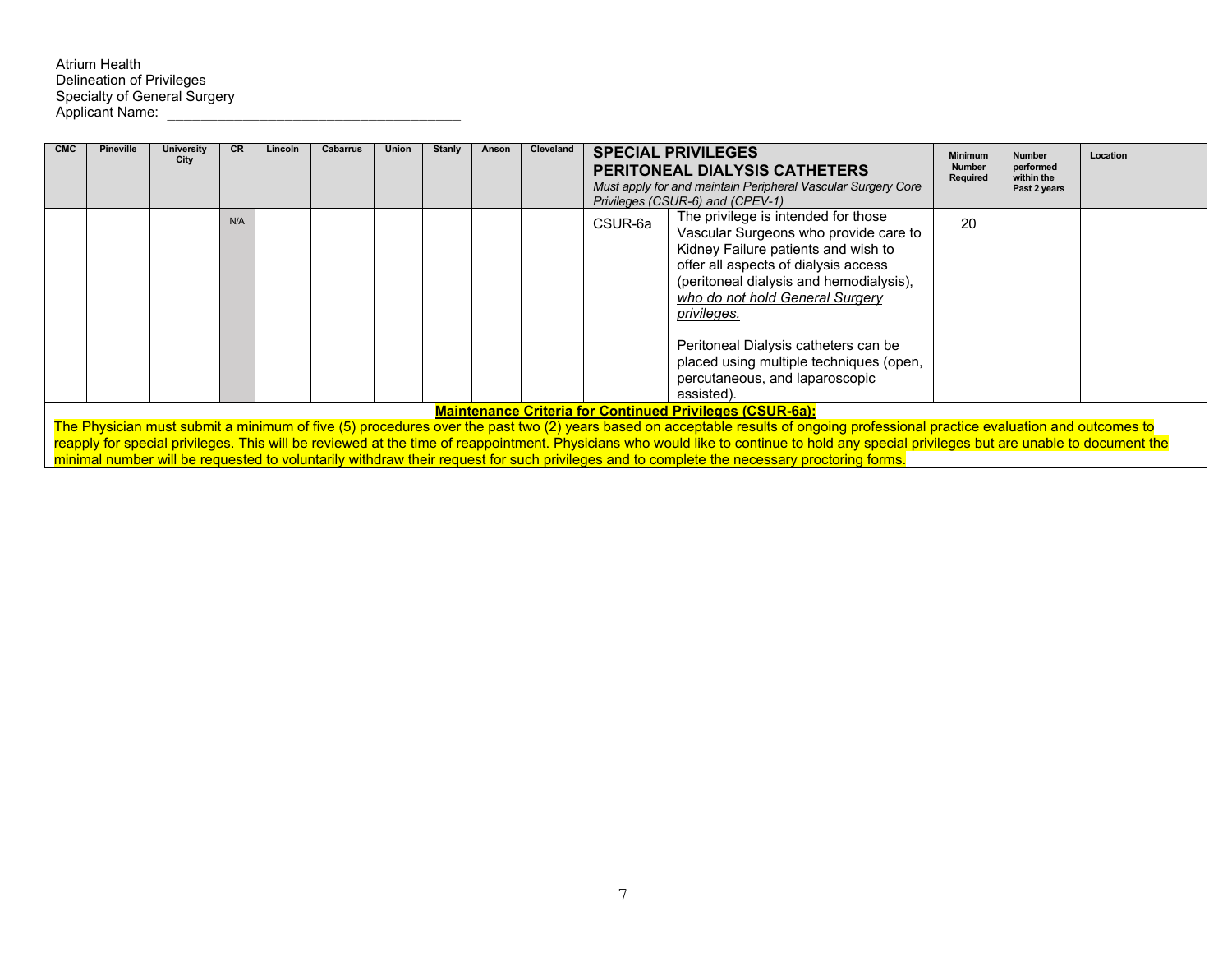Atrium Health Delineation of Privileges Specialty of General Surgery Applicant Name: \_\_\_\_\_\_\_\_\_\_\_\_\_\_\_\_\_\_\_\_\_\_\_\_\_\_\_\_\_\_\_\_\_\_\_

| <b>CMC</b> | <b>Pineville</b>                                                | <b>University</b><br>City | <b>CR</b> | Lincoln | <b>Cabarrus</b> | <b>Union</b> | Stanly | Anson | Cleveland |         | <b>SPECIAL PRIVILEGES</b><br><b>PERITONEAL DIALYSIS CATHETERS</b><br>Must apply for and maintain Peripheral Vascular Surgery Core<br>Privileges (CSUR-6) and (CPEV-1)                                                                                                                                                                                                                                                                                                                                                   | <b>Minimum</b><br><b>Number</b><br>Required | <b>Number</b><br>performed<br>within the<br>Past 2 years | Location |
|------------|-----------------------------------------------------------------|---------------------------|-----------|---------|-----------------|--------------|--------|-------|-----------|---------|-------------------------------------------------------------------------------------------------------------------------------------------------------------------------------------------------------------------------------------------------------------------------------------------------------------------------------------------------------------------------------------------------------------------------------------------------------------------------------------------------------------------------|---------------------------------------------|----------------------------------------------------------|----------|
|            |                                                                 |                           | N/A       |         |                 |              |        |       |           | CSUR-6a | The privilege is intended for those<br>Vascular Surgeons who provide care to<br>Kidney Failure patients and wish to<br>offer all aspects of dialysis access<br>(peritoneal dialysis and hemodialysis),<br>who do not hold General Surgery<br>privileges.<br>Peritoneal Dialysis catheters can be<br>placed using multiple techniques (open,<br>percutaneous, and laparoscopic<br>assisted).                                                                                                                             | 20                                          |                                                          |          |
|            | <b>Maintenance Criteria for Continued Privileges (CSUR-6a):</b> |                           |           |         |                 |              |        |       |           |         |                                                                                                                                                                                                                                                                                                                                                                                                                                                                                                                         |                                             |                                                          |          |
|            |                                                                 |                           |           |         |                 |              |        |       |           |         | The Physician must submit a minimum of five (5) procedures over the past two (2) years based on acceptable results of ongoing professional practice evaluation and outcomes to<br>reapply for special privileges. This will be reviewed at the time of reappointment. Physicians who would like to continue to hold any special privileges but are unable to document the<br>minimal number will be requested to voluntarily withdraw their request for such privileges and to complete the necessary proctoring forms. |                                             |                                                          |          |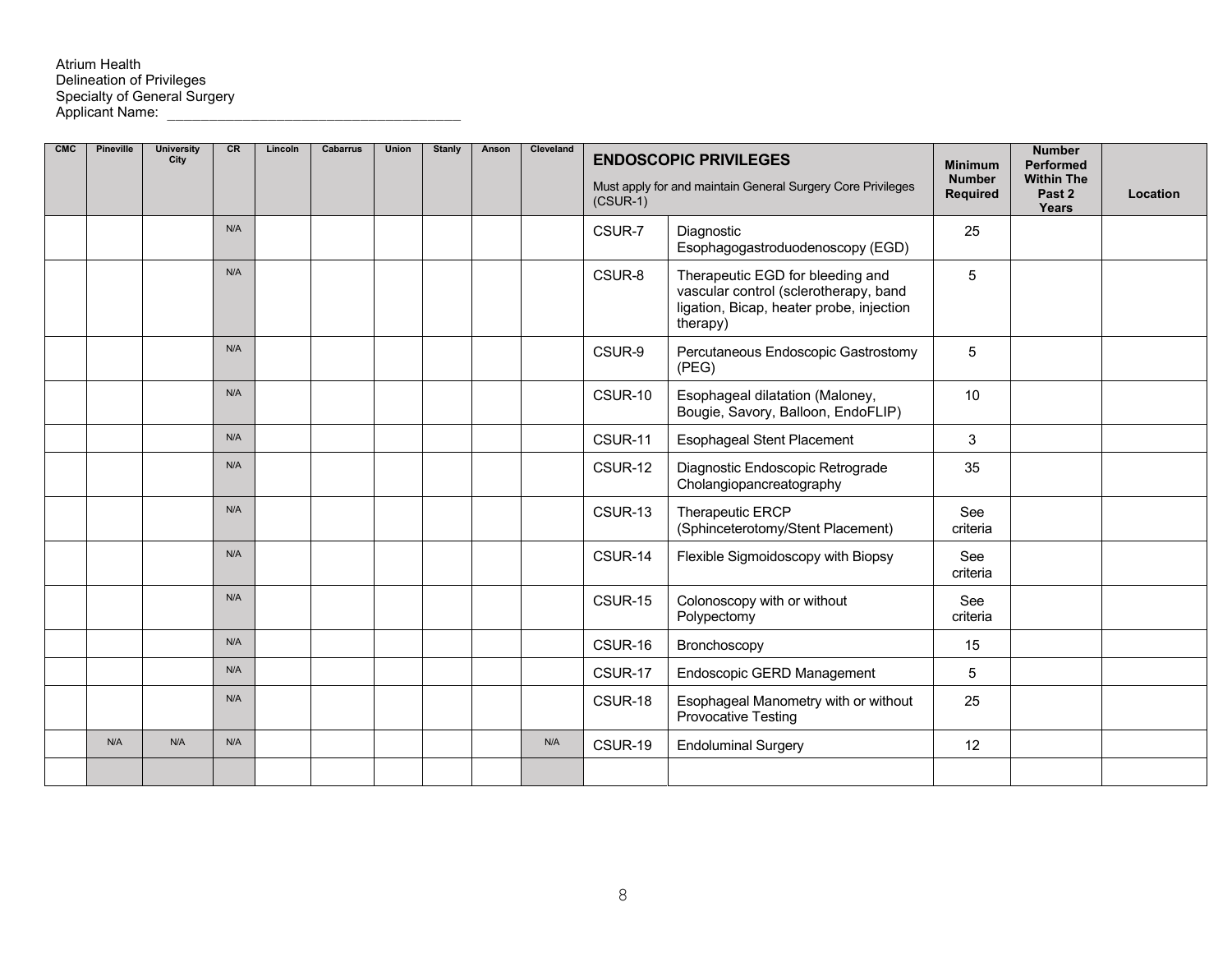# Atrium Health<br>Delineation of Privileges Specialty of General Surgery Applicant Name: \_\_\_\_\_\_\_\_\_\_\_\_\_\_\_\_\_\_\_\_\_\_\_\_\_\_\_\_\_\_\_\_\_\_\_

| <b>CMC</b> | Pineville | <b>University</b><br>City | <b>CR</b> | Lincoln | Cabarrus | Union | Stanly | Anson | Cleveland | $(CSUR-1)$ | <b>ENDOSCOPIC PRIVILEGES</b><br>Must apply for and maintain General Surgery Core Privileges                                       | <b>Minimum</b><br><b>Number</b><br>Required | <b>Number</b><br><b>Performed</b><br><b>Within The</b><br>Past 2<br>Years | Location |
|------------|-----------|---------------------------|-----------|---------|----------|-------|--------|-------|-----------|------------|-----------------------------------------------------------------------------------------------------------------------------------|---------------------------------------------|---------------------------------------------------------------------------|----------|
|            |           |                           | N/A       |         |          |       |        |       |           | CSUR-7     | Diagnostic<br>Esophagogastroduodenoscopy (EGD)                                                                                    | 25                                          |                                                                           |          |
|            |           |                           | N/A       |         |          |       |        |       |           | CSUR-8     | Therapeutic EGD for bleeding and<br>vascular control (sclerotherapy, band<br>ligation, Bicap, heater probe, injection<br>therapy) | 5                                           |                                                                           |          |
|            |           |                           | N/A       |         |          |       |        |       |           | CSUR-9     | Percutaneous Endoscopic Gastrostomy<br>(PEG)                                                                                      | 5                                           |                                                                           |          |
|            |           |                           | N/A       |         |          |       |        |       |           | CSUR-10    | Esophageal dilatation (Maloney,<br>Bougie, Savory, Balloon, EndoFLIP)                                                             | 10                                          |                                                                           |          |
|            |           |                           | N/A       |         |          |       |        |       |           | CSUR-11    | <b>Esophageal Stent Placement</b>                                                                                                 | 3                                           |                                                                           |          |
|            |           |                           | N/A       |         |          |       |        |       |           | CSUR-12    | Diagnostic Endoscopic Retrograde<br>Cholangiopancreatography                                                                      | 35                                          |                                                                           |          |
|            |           |                           | N/A       |         |          |       |        |       |           | CSUR-13    | Therapeutic ERCP<br>(Sphinceterotomy/Stent Placement)                                                                             | See<br>criteria                             |                                                                           |          |
|            |           |                           | N/A       |         |          |       |        |       |           | CSUR-14    | Flexible Sigmoidoscopy with Biopsy                                                                                                | See<br>criteria                             |                                                                           |          |
|            |           |                           | N/A       |         |          |       |        |       |           | CSUR-15    | Colonoscopy with or without<br>Polypectomy                                                                                        | See<br>criteria                             |                                                                           |          |
|            |           |                           | N/A       |         |          |       |        |       |           | CSUR-16    | Bronchoscopy                                                                                                                      | 15                                          |                                                                           |          |
|            |           |                           | N/A       |         |          |       |        |       |           | CSUR-17    | Endoscopic GERD Management                                                                                                        | 5                                           |                                                                           |          |
|            |           |                           | N/A       |         |          |       |        |       |           | CSUR-18    | Esophageal Manometry with or without<br>Provocative Testing                                                                       | 25                                          |                                                                           |          |
|            | N/A       | N/A                       | N/A       |         |          |       |        |       | N/A       | CSUR-19    | <b>Endoluminal Surgery</b>                                                                                                        | 12                                          |                                                                           |          |
|            |           |                           |           |         |          |       |        |       |           |            |                                                                                                                                   |                                             |                                                                           |          |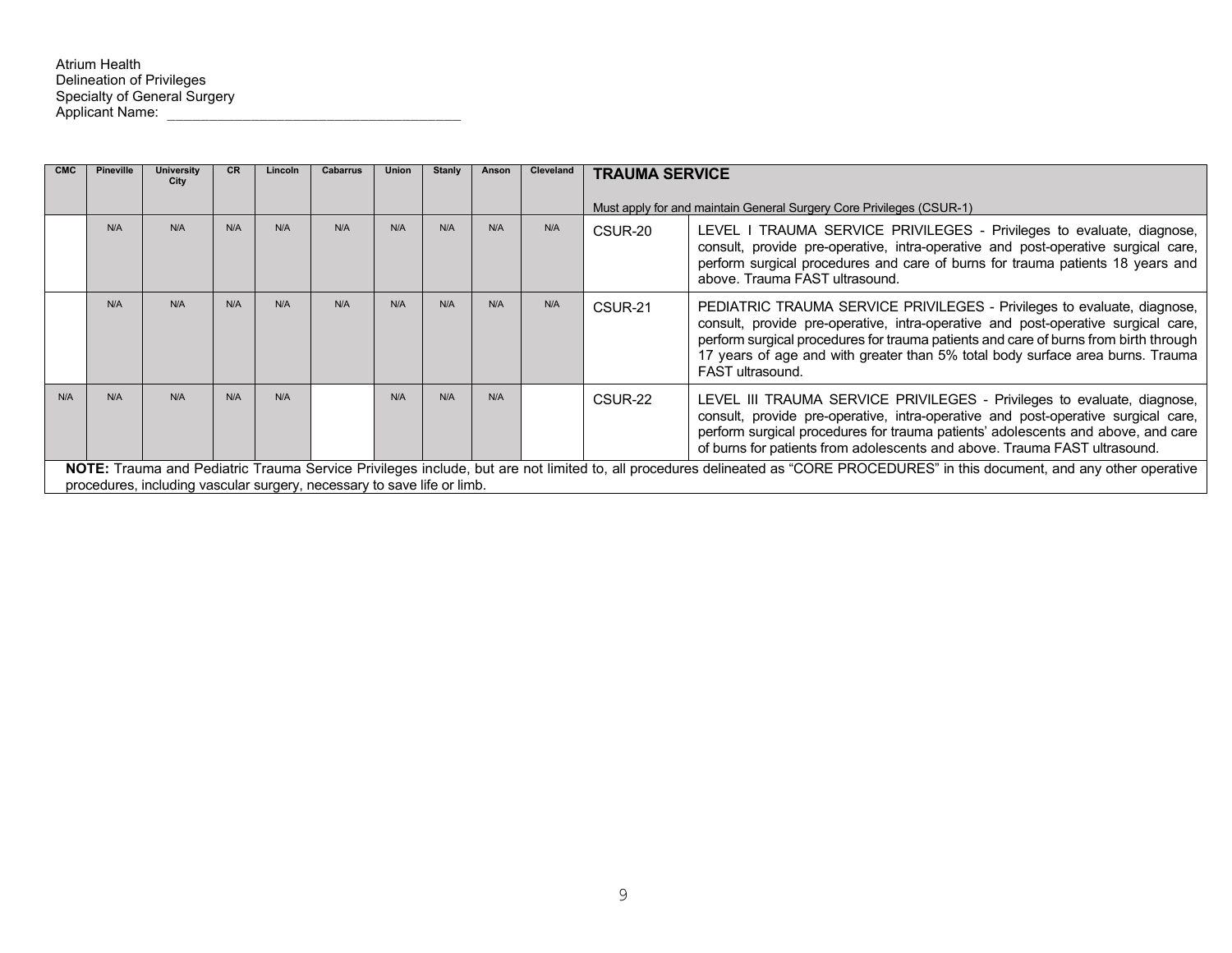| <b>CMC</b> | <b>Pineville</b>                                                                                                                                                                                                                                                                                                                                                                          | <b>University</b><br>City                                               | CR. | Lincoln | Cabarrus | Union | <b>Stanly</b> | Anson | Cleveland | <b>TRAUMA SERVICE</b> |                                                                                                                                                                                                                                                                                                                                                            |  |
|------------|-------------------------------------------------------------------------------------------------------------------------------------------------------------------------------------------------------------------------------------------------------------------------------------------------------------------------------------------------------------------------------------------|-------------------------------------------------------------------------|-----|---------|----------|-------|---------------|-------|-----------|-----------------------|------------------------------------------------------------------------------------------------------------------------------------------------------------------------------------------------------------------------------------------------------------------------------------------------------------------------------------------------------------|--|
|            |                                                                                                                                                                                                                                                                                                                                                                                           |                                                                         |     |         |          |       |               |       |           |                       | Must apply for and maintain General Surgery Core Privileges (CSUR-1)                                                                                                                                                                                                                                                                                       |  |
|            | N/A                                                                                                                                                                                                                                                                                                                                                                                       | N/A                                                                     | N/A | N/A     | N/A      | N/A   | N/A           | N/A   | N/A       | CSUR-20               | LEVEL I TRAUMA SERVICE PRIVILEGES - Privileges to evaluate, diagnose,<br>consult, provide pre-operative, intra-operative and post-operative surgical care,<br>perform surgical procedures and care of burns for trauma patients 18 years and<br>above. Trauma FAST ultrasound.                                                                             |  |
|            | N/A                                                                                                                                                                                                                                                                                                                                                                                       | N/A                                                                     | N/A | N/A     | N/A      | N/A   | N/A           | N/A   | N/A       | CSUR-21               | PEDIATRIC TRAUMA SERVICE PRIVILEGES - Privileges to evaluate, diagnose,<br>consult, provide pre-operative, intra-operative and post-operative surgical care,<br>perform surgical procedures for trauma patients and care of burns from birth through<br>17 years of age and with greater than 5% total body surface area burns. Trauma<br>FAST ultrasound. |  |
| N/A        | N/A<br>N/A<br>N/A<br>N/A<br>N/A<br>N/A<br>N/A<br>LEVEL III TRAUMA SERVICE PRIVILEGES - Privileges to evaluate, diagnose,<br>CSUR-22<br>consult, provide pre-operative, intra-operative and post-operative surgical care,<br>perform surgical procedures for trauma patients' adolescents and above, and care<br>of burns for patients from adolescents and above. Trauma FAST ultrasound. |                                                                         |     |         |          |       |               |       |           |                       |                                                                                                                                                                                                                                                                                                                                                            |  |
|            |                                                                                                                                                                                                                                                                                                                                                                                           | procedures, including vascular surgery, necessary to save life or limb. |     |         |          |       |               |       |           |                       | NOTE: Trauma and Pediatric Trauma Service Privileges include, but are not limited to, all procedures delineated as "CORE PROCEDURES" in this document, and any other operative                                                                                                                                                                             |  |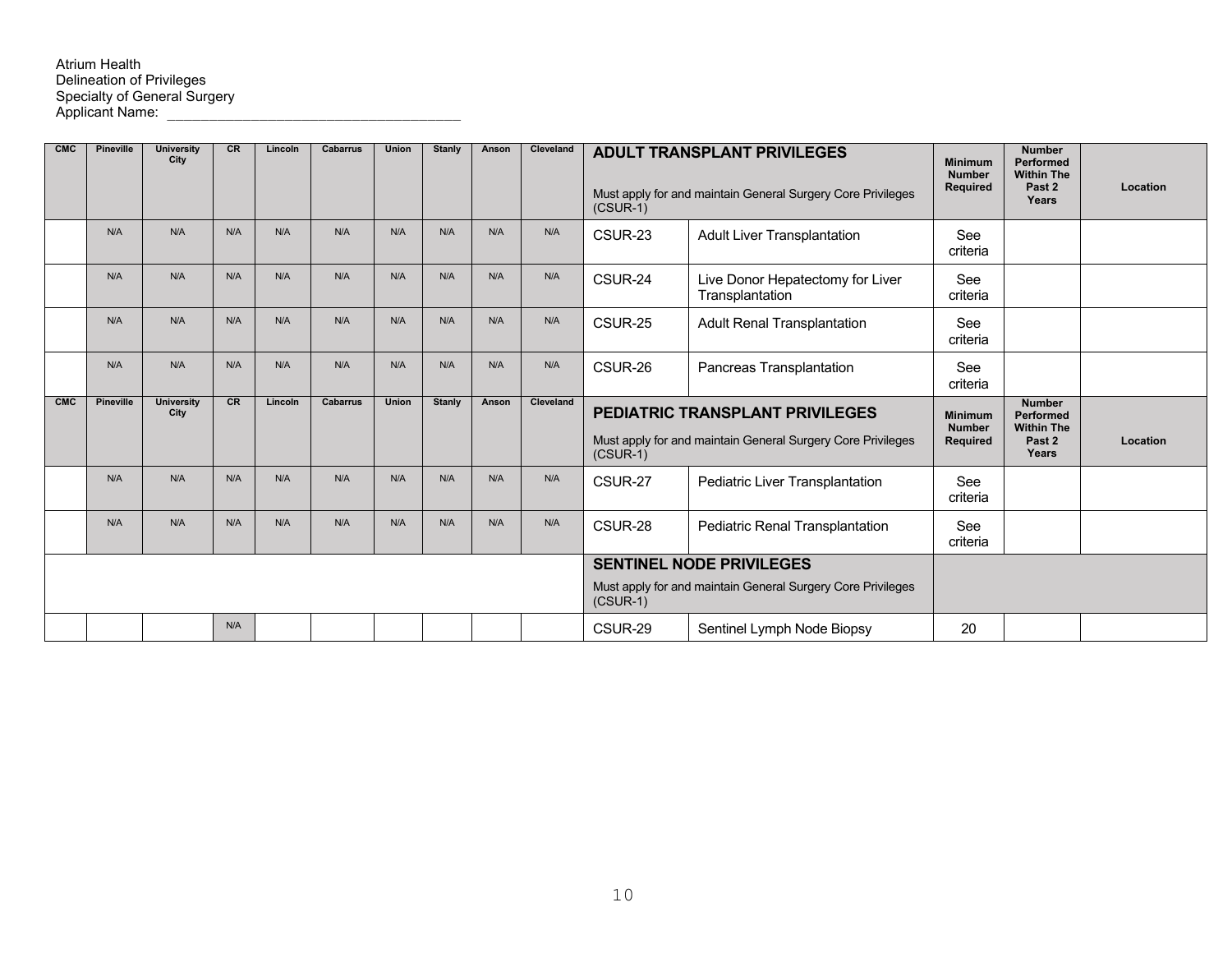## Atrium Health Delineation of Privileges Specialty of General Surgery Applicant Name: \_\_\_\_\_\_\_\_\_\_\_\_\_\_\_\_\_\_\_\_\_\_\_\_\_\_\_\_\_\_\_\_\_\_\_

| <b>CMC</b> | Pineville | <b>University</b><br>City | CR  | Lincoln | <b>Cabarrus</b> | <b>Union</b> | Stanly | Anson | Cleveland | <b>ADULT TRANSPLANT PRIVILEGES</b><br>Must apply for and maintain General Surgery Core Privileges<br>$(CSUR-1)$ |                                                                                                | <b>Minimum</b><br><b>Number</b><br>Required        | <b>Number</b><br>Performed<br><b>Within The</b><br>Past 2<br>Years | Location |
|------------|-----------|---------------------------|-----|---------|-----------------|--------------|--------|-------|-----------|-----------------------------------------------------------------------------------------------------------------|------------------------------------------------------------------------------------------------|----------------------------------------------------|--------------------------------------------------------------------|----------|
|            | N/A       | N/A                       | N/A | N/A     | N/A             | N/A          | N/A    | N/A   | N/A       | CSUR-23                                                                                                         | <b>Adult Liver Transplantation</b>                                                             | See<br>criteria                                    |                                                                    |          |
|            | N/A       | N/A                       | N/A | N/A     | N/A             | N/A          | N/A    | N/A   | N/A       | CSUR-24                                                                                                         | Live Donor Hepatectomy for Liver<br>Transplantation                                            | See<br>criteria                                    |                                                                    |          |
|            | N/A       | N/A                       | N/A | N/A     | N/A             | N/A          | N/A    | N/A   | N/A       | CSUR-25                                                                                                         | <b>Adult Renal Transplantation</b>                                                             | See<br>criteria                                    |                                                                    |          |
|            | N/A       | N/A                       | N/A | N/A     | N/A             | N/A          | N/A    | N/A   | N/A       | CSUR-26                                                                                                         | Pancreas Transplantation                                                                       | See<br>criteria                                    |                                                                    |          |
|            |           |                           |     |         |                 |              |        |       |           |                                                                                                                 |                                                                                                |                                                    |                                                                    |          |
| <b>CMC</b> | Pineville | <b>University</b><br>City | CR  | Lincoln | <b>Cabarrus</b> | <b>Union</b> | Stanly | Anson | Cleveland | $(CSUR-1)$                                                                                                      | PEDIATRIC TRANSPLANT PRIVILEGES<br>Must apply for and maintain General Surgery Core Privileges | <b>Minimum</b><br><b>Number</b><br><b>Required</b> | <b>Number</b><br>Performed<br><b>Within The</b><br>Past 2<br>Years | Location |
|            | N/A       | N/A                       | N/A | N/A     | N/A             | N/A          | N/A    | N/A   | N/A       | CSUR-27                                                                                                         | Pediatric Liver Transplantation                                                                | See<br>criteria                                    |                                                                    |          |
|            | N/A       | N/A                       | N/A | N/A     | N/A             | N/A          | N/A    | N/A   | N/A       | CSUR-28                                                                                                         | Pediatric Renal Transplantation                                                                | See<br>criteria                                    |                                                                    |          |
|            |           |                           |     |         |                 |              |        |       |           |                                                                                                                 | <b>SENTINEL NODE PRIVILEGES</b>                                                                |                                                    |                                                                    |          |
|            |           |                           |     |         |                 |              |        |       |           | $(CSUR-1)$                                                                                                      | Must apply for and maintain General Surgery Core Privileges                                    |                                                    |                                                                    |          |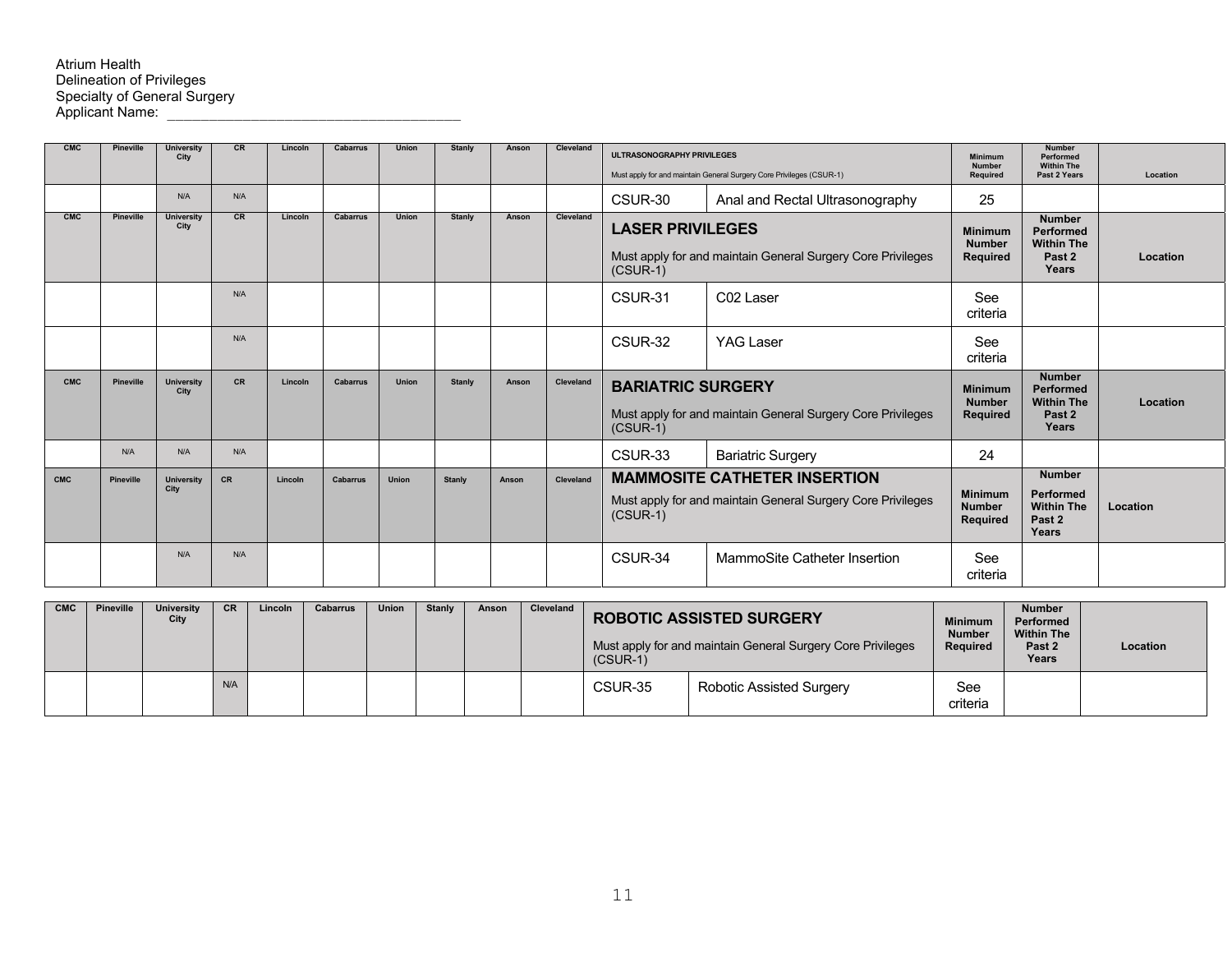| <b>CMC</b> | <b>Pineville</b> | <b>University</b><br>City | <b>CR</b> | Lincoln | <b>Cabarrus</b> | <b>Union</b> | Stanly        | Anson | Cleveland | <b>ULTRASONOGRAPHY PRIVILEGES</b><br>Must apply for and maintain General Surgery Core Privileges (CSUR-1)        |                                                             | Minimum<br><b>Number</b><br><b>Required</b>        | <b>Number</b><br>Performed<br><b>Within The</b><br>Past 2 Years                      | Location |
|------------|------------------|---------------------------|-----------|---------|-----------------|--------------|---------------|-------|-----------|------------------------------------------------------------------------------------------------------------------|-------------------------------------------------------------|----------------------------------------------------|--------------------------------------------------------------------------------------|----------|
|            |                  | N/A                       | N/A       |         |                 |              |               |       |           | CSUR-30                                                                                                          | Anal and Rectal Ultrasonography                             | 25                                                 |                                                                                      |          |
| <b>CMC</b> | <b>Pineville</b> | <b>University</b><br>City | CR        | Lincoln | <b>Cabarrus</b> | <b>Union</b> | <b>Stanly</b> | Anson | Cleveland | <b>LASER PRIVILEGES</b><br>$(CSUR-1)$                                                                            | Must apply for and maintain General Surgery Core Privileges | <b>Minimum</b><br><b>Number</b><br>Required        | <b>Number</b><br>Performed<br><b>Within The</b><br>Past <sub>2</sub><br>Years        | Location |
|            |                  |                           | N/A       |         |                 |              |               |       |           | CSUR-31                                                                                                          | C <sub>02</sub> Laser                                       | See<br>criteria                                    |                                                                                      |          |
|            |                  |                           | N/A       |         |                 |              |               |       |           | CSUR-32                                                                                                          | YAG Laser                                                   | See<br>criteria                                    |                                                                                      |          |
| <b>CMC</b> | <b>Pineville</b> | <b>University</b><br>City | <b>CR</b> | Lincoln | <b>Cabarrus</b> | <b>Union</b> | <b>Stanly</b> | Anson | Cleveland | <b>BARIATRIC SURGERY</b><br>Must apply for and maintain General Surgery Core Privileges<br>$(CSUR-1)$            |                                                             | <b>Minimum</b><br><b>Number</b><br><b>Required</b> | <b>Number</b><br><b>Performed</b><br><b>Within The</b><br>Past <sub>2</sub><br>Years | Location |
|            | N/A              | N/A                       | N/A       |         |                 |              |               |       |           | CSUR-33                                                                                                          | <b>Bariatric Surgery</b>                                    | 24                                                 |                                                                                      |          |
| <b>CMC</b> | <b>Pineville</b> | <b>University</b><br>City | CR        | Lincoln | <b>Cabarrus</b> | Union        | Stanly        | Anson | Cleveland | <b>MAMMOSITE CATHETER INSERTION</b><br>Must apply for and maintain General Surgery Core Privileges<br>$(CSUR-1)$ |                                                             | <b>Minimum</b><br><b>Number</b><br>Required        | <b>Number</b><br>Performed<br><b>Within The</b><br>Past 2<br>Years                   | Location |
|            |                  | N/A                       | N/A       |         |                 |              |               |       |           | CSUR-34                                                                                                          | MammoSite Catheter Insertion                                | See<br>criteria                                    |                                                                                      |          |

| <b>CMC</b> | Pineville | <b>University</b><br>City | <b>CR</b> | Lincoln | Cabarrus | <b>Union</b> | Stanly | Anson | Cleveland | $(CSUR-1)$ | <b>ROBOTIC ASSISTED SURGERY</b><br>Must apply for and maintain General Surgery Core Privileges | <b>Minimum</b><br><b>Number</b><br>Required | <b>Number</b><br>Performed<br><b>Within The</b><br>Past 2<br>Years | Location |
|------------|-----------|---------------------------|-----------|---------|----------|--------------|--------|-------|-----------|------------|------------------------------------------------------------------------------------------------|---------------------------------------------|--------------------------------------------------------------------|----------|
|            |           |                           | N/A       |         |          |              |        |       |           | CSUR-35    | Robotic Assisted Surgery                                                                       | See<br>criteria                             |                                                                    |          |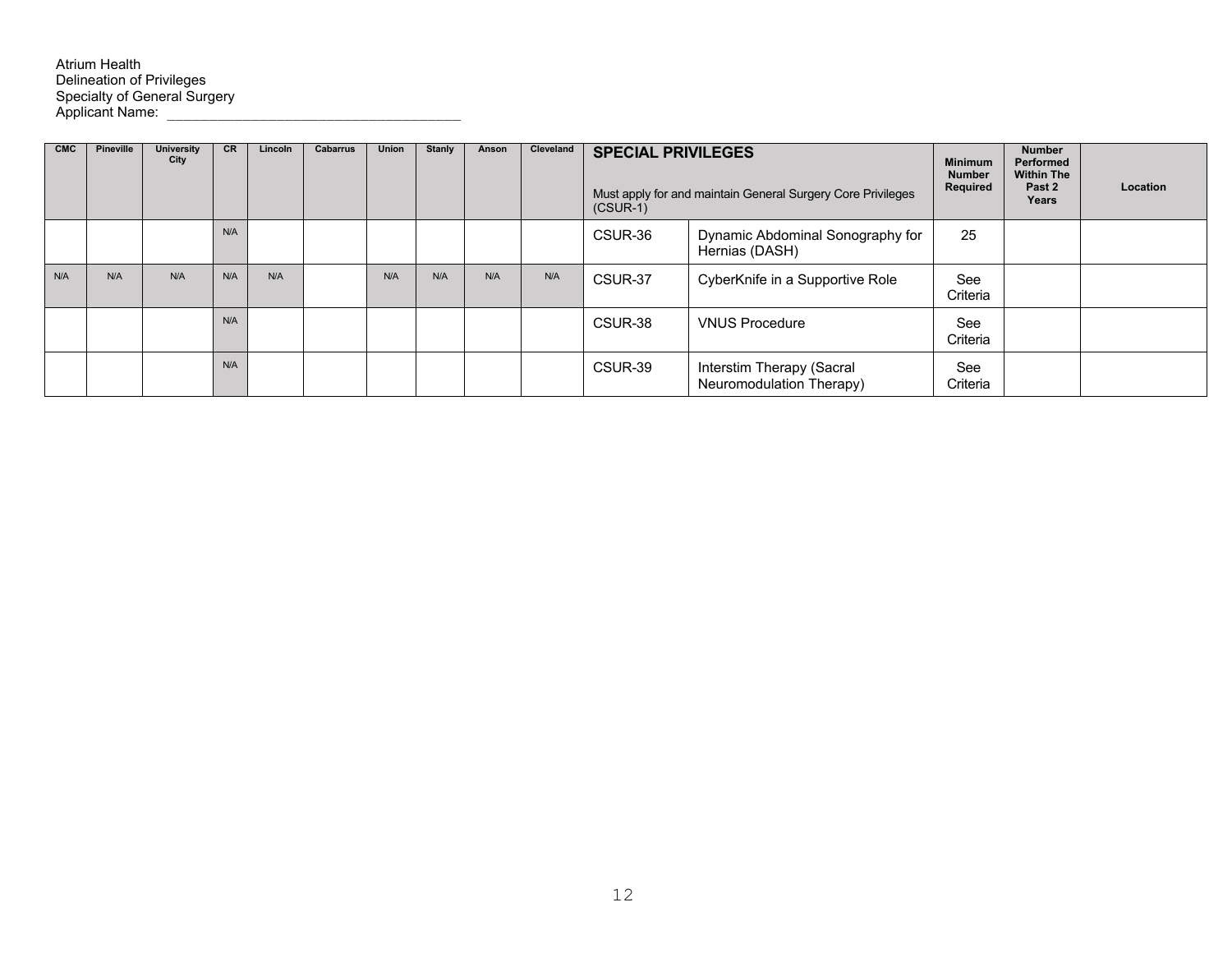## Atrium Health Delineation of Privileges Specialty of General Surgery Applicant Name: \_\_\_\_\_\_\_\_\_\_\_\_\_\_\_\_\_\_\_\_\_\_\_\_\_\_\_\_\_\_\_\_\_\_\_

| <b>CMC</b> | <b>Pineville</b> | <b>University</b><br>City | <b>CR</b> | Lincoln | <b>Cabarrus</b> | Union | Stanly | Anson | Cleveland | <b>SPECIAL PRIVILEGES</b><br>Must apply for and maintain General Surgery Core Privileges<br>$(CSUR-1)$ |                                                       | <b>Minimum</b><br><b>Number</b><br>Required | <b>Number</b><br>Performed<br><b>Within The</b><br>Past 2<br>Years | Location |
|------------|------------------|---------------------------|-----------|---------|-----------------|-------|--------|-------|-----------|--------------------------------------------------------------------------------------------------------|-------------------------------------------------------|---------------------------------------------|--------------------------------------------------------------------|----------|
|            |                  |                           | N/A       |         |                 |       |        |       |           | CSUR-36                                                                                                | Dynamic Abdominal Sonography for<br>Hernias (DASH)    | 25                                          |                                                                    |          |
| N/A        | N/A              | N/A                       | N/A       | N/A     |                 | N/A   | N/A    | N/A   | N/A       | CSUR-37                                                                                                | CyberKnife in a Supportive Role                       | See<br>Criteria                             |                                                                    |          |
|            |                  |                           | N/A       |         |                 |       |        |       |           | CSUR-38                                                                                                | <b>VNUS Procedure</b>                                 | See<br>Criteria                             |                                                                    |          |
|            |                  |                           | N/A       |         |                 |       |        |       |           | CSUR-39                                                                                                | Interstim Therapy (Sacral<br>Neuromodulation Therapy) | See<br>Criteria                             |                                                                    |          |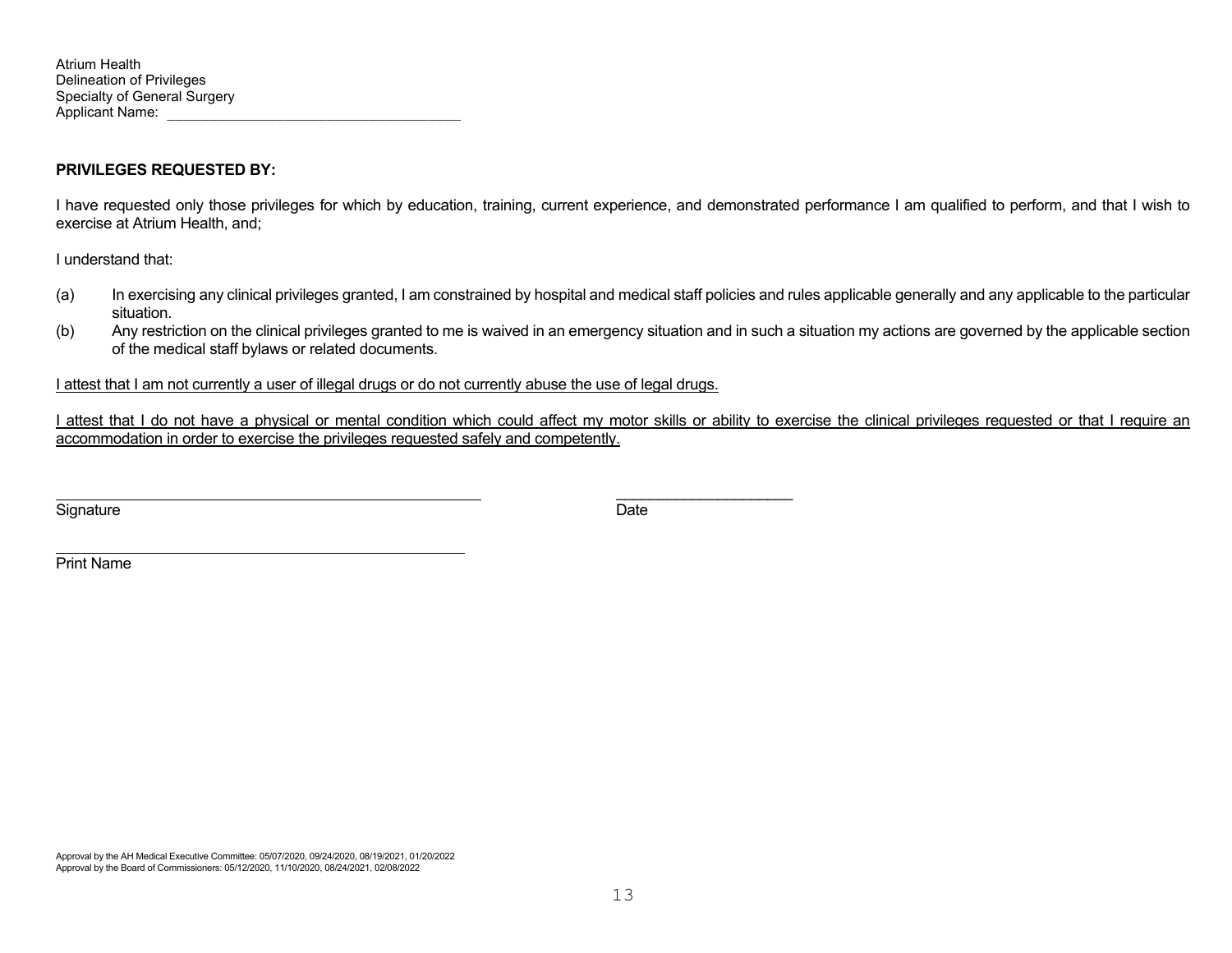## **PRIVILEGES REQUESTED BY:**

I have requested only those privileges for which by education, training, current experience, and demonstrated performance I am qualified to perform, and that I wish to exercise at Atrium Health, and;

I understand that:

- (a) In exercising any clinical privileges granted, I am constrained by hospital and medical staff policies and rules applicable generally and any applicable to the particular situation.
- (b) Any restriction on the clinical privileges granted to me is waived in an emergency situation and in such a situation my actions are governed by the applicable section of the medical staff bylaws or related documents.

I attest that I am not currently a user of illegal drugs or do not currently abuse the use of legal drugs.

\_\_\_\_\_\_\_\_\_\_\_\_\_\_\_\_\_\_\_\_\_

I attest that I do not have a physical or mental condition which could affect my motor skills or ability to exercise the clinical privileges requested or that I require an accommodation in order to exercise the privileges requested safely and competently.

Signature Date

Print Name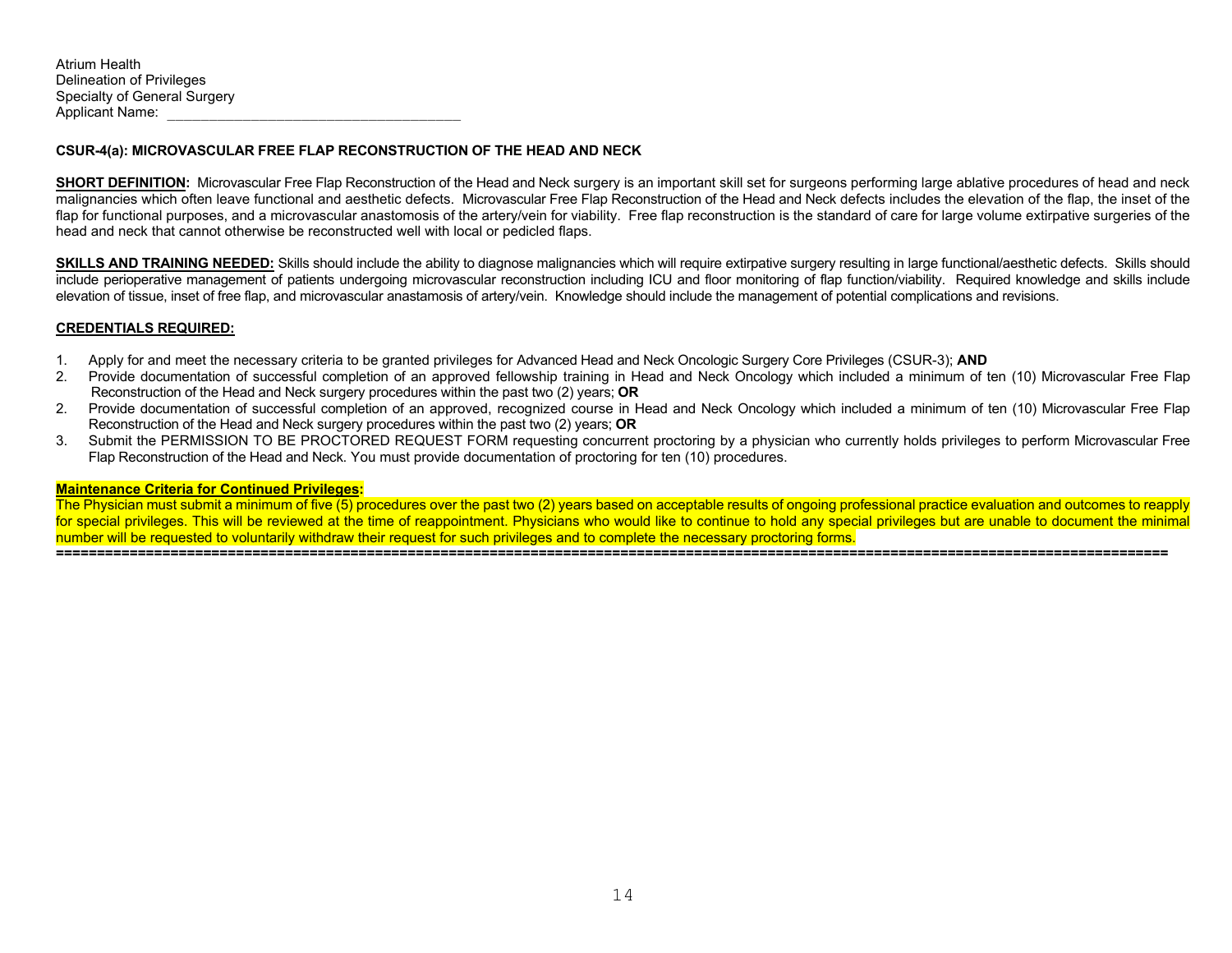## **CSUR-4(a): MICROVASCULAR FREE FLAP RECONSTRUCTION OF THE HEAD AND NECK**

**SHORT DEFINITION:** Microvascular Free Flap Reconstruction of the Head and Neck surgery is an important skill set for surgeons performing large ablative procedures of head and neck malignancies which often leave functional and aesthetic defects. Microvascular Free Flap Reconstruction of the Head and Neck defects includes the elevation of the flap, the inset of the flap for functional purposes, and a microvascular anastomosis of the artery/vein for viability. Free flap reconstruction is the standard of care for large volume extirpative surgeries of the head and neck that cannot otherwise be reconstructed well with local or pedicled flaps.

**SKILLS AND TRAINING NEEDED:** Skills should include the ability to diagnose malignancies which will require extirpative surgery resulting in large functional/aesthetic defects. Skills should include perioperative management of patients undergoing microvascular reconstruction including ICU and floor monitoring of flap function/viability. Required knowledge and skills include elevation of tissue, inset of free flap, and microvascular anastamosis of artery/vein. Knowledge should include the management of potential complications and revisions.

## **CREDENTIALS REQUIRED:**

- 1. Apply for and meet the necessary criteria to be granted privileges for Advanced Head and Neck Oncologic Surgery Core Privileges (CSUR-3); **AND**
- 2. Provide documentation of successful completion of an approved fellowship training in Head and Neck Oncology which included a minimum of ten (10) Microvascular Free Flap Reconstruction of the Head and Neck surgery procedures within the past two (2) years; **OR**
- 2. Provide documentation of successful completion of an approved, recognized course in Head and Neck Oncology which included a minimum of ten (10) Microvascular Free Flap Reconstruction of the Head and Neck surgery procedures within the past two (2) years; **OR**
- 3. Submit the PERMISSION TO BE PROCTORED REQUEST FORM requesting concurrent proctoring by a physician who currently holds privileges to perform Microvascular Free Flap Reconstruction of the Head and Neck. You must provide documentation of proctoring for ten (10) procedures.

### **Maintenance Criteria for Continued Privileges:**

The Physician must submit a minimum of five (5) procedures over the past two (2) years based on acceptable results of ongoing professional practice evaluation and outcomes to reapply for special privileges. This will be reviewed at the time of reappointment. Physicians who would like to continue to hold any special privileges but are unable to document the minimal number will be requested to voluntarily withdraw their request for such privileges and to complete the necessary proctoring forms.

**========================================================================================================================================**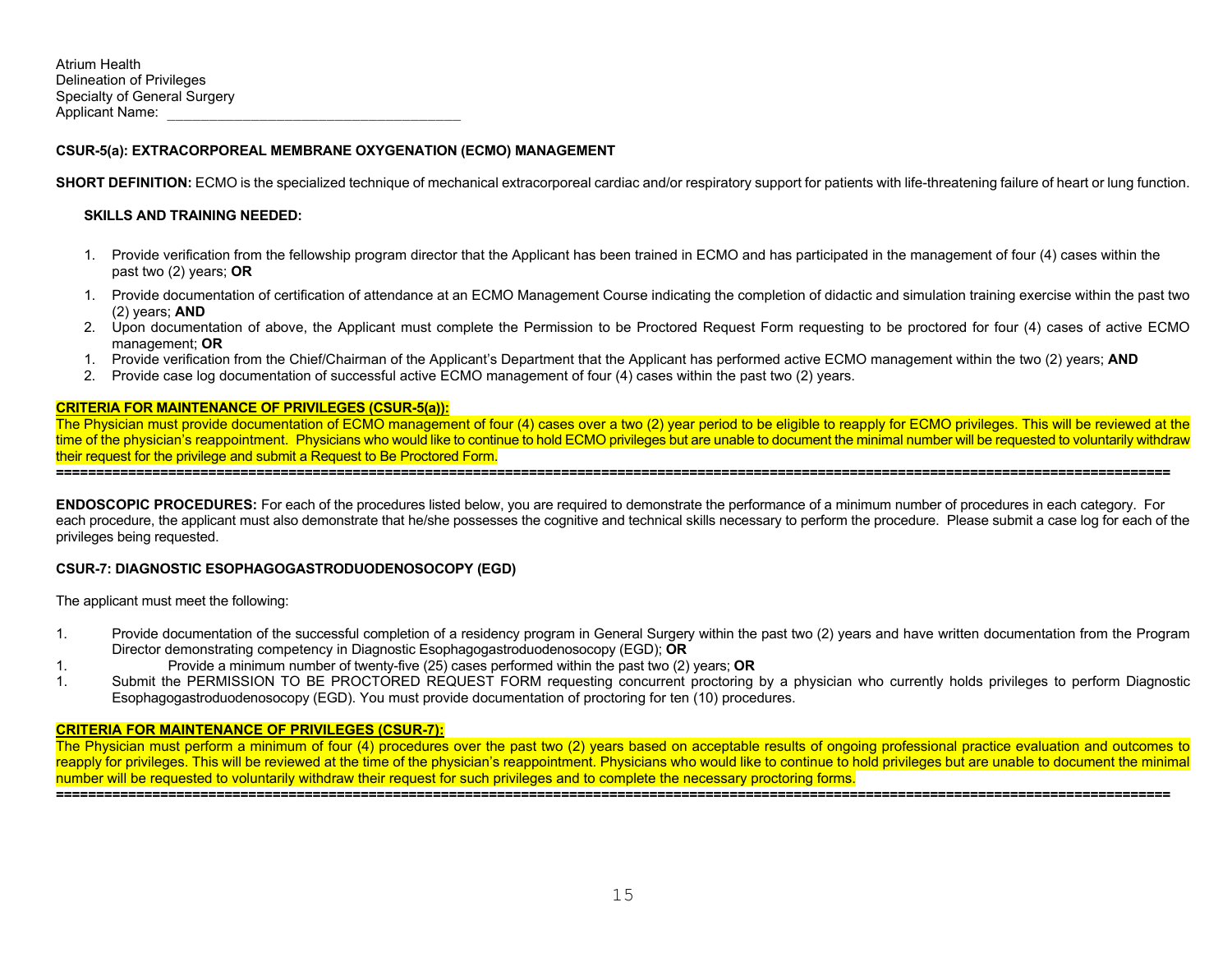## **CSUR-5(a): EXTRACORPOREAL MEMBRANE OXYGENATION (ECMO) MANAGEMENT**

**SHORT DEFINITION:** ECMO is the specialized technique of mechanical extracorporeal cardiac and/or respiratory support for patients with life-threatening failure of heart or lung function.

## **SKILLS AND TRAINING NEEDED:**

- 1. Provide verification from the fellowship program director that the Applicant has been trained in ECMO and has participated in the management of four (4) cases within the past two (2) years; **OR**
- 1. Provide documentation of certification of attendance at an ECMO Management Course indicating the completion of didactic and simulation training exercise within the past two (2) years; **AND**
- 2. Upon documentation of above, the Applicant must complete the Permission to be Proctored Request Form requesting to be proctored for four (4) cases of active ECMO management; **OR**
- 1. Provide verification from the Chief/Chairman of the Applicant's Department that the Applicant has performed active ECMO management within the two (2) years; **AND**
- 2. Provide case log documentation of successful active ECMO management of four (4) cases within the past two (2) years.

#### **CRITERIA FOR MAINTENANCE OF PRIVILEGES (CSUR-5(a)):**

The Physician must provide documentation of ECMO management of four (4) cases over a two (2) year period to be eligible to reapply for ECMO privileges. This will be reviewed at the time of the physician's reappointment. Physicians who would like to continue to hold ECMO privileges but are unable to document the minimal number will be requested to voluntarily withdraw their request for the privilege and submit a Request to Be Proctored Form. **===========================================================================================================================================** 

**ENDOSCOPIC PROCEDURES:** For each of the procedures listed below, you are required to demonstrate the performance of a minimum number of procedures in each category. For each procedure, the applicant must also demonstrate that he/she possesses the cognitive and technical skills necessary to perform the procedure. Please submit a case log for each of the

privileges being requested.

### **CSUR-7: DIAGNOSTIC ESOPHAGOGASTRODUODENOSOCOPY (EGD)**

The applicant must meet the following:

- 1. Provide documentation of the successful completion of a residency program in General Surgery within the past two (2) years and have written documentation from the Program Director demonstrating competency in Diagnostic Esophagogastroduodenosocopy (EGD); **OR**
- 1. Provide a minimum number of twenty-five (25) cases performed within the past two (2) years; **OR**
- 1. Submit the PERMISSION TO BE PROCTORED REQUEST FORM requesting concurrent proctoring by a physician who currently holds privileges to perform Diagnostic Esophagogastroduodenosocopy (EGD). You must provide documentation of proctoring for ten (10) procedures.

#### **CRITERIA FOR MAINTENANCE OF PRIVILEGES (CSUR-7):**

The Physician must perform a minimum of four (4) procedures over the past two (2) years based on acceptable results of ongoing professional practice evaluation and outcomes to reapply for privileges. This will be reviewed at the time of the physician's reappointment. Physicians who would like to continue to hold privileges but are unable to document the minimal number will be requested to voluntarily withdraw their request for such privileges and to complete the necessary proctoring forms. **===========================================================================================================================================**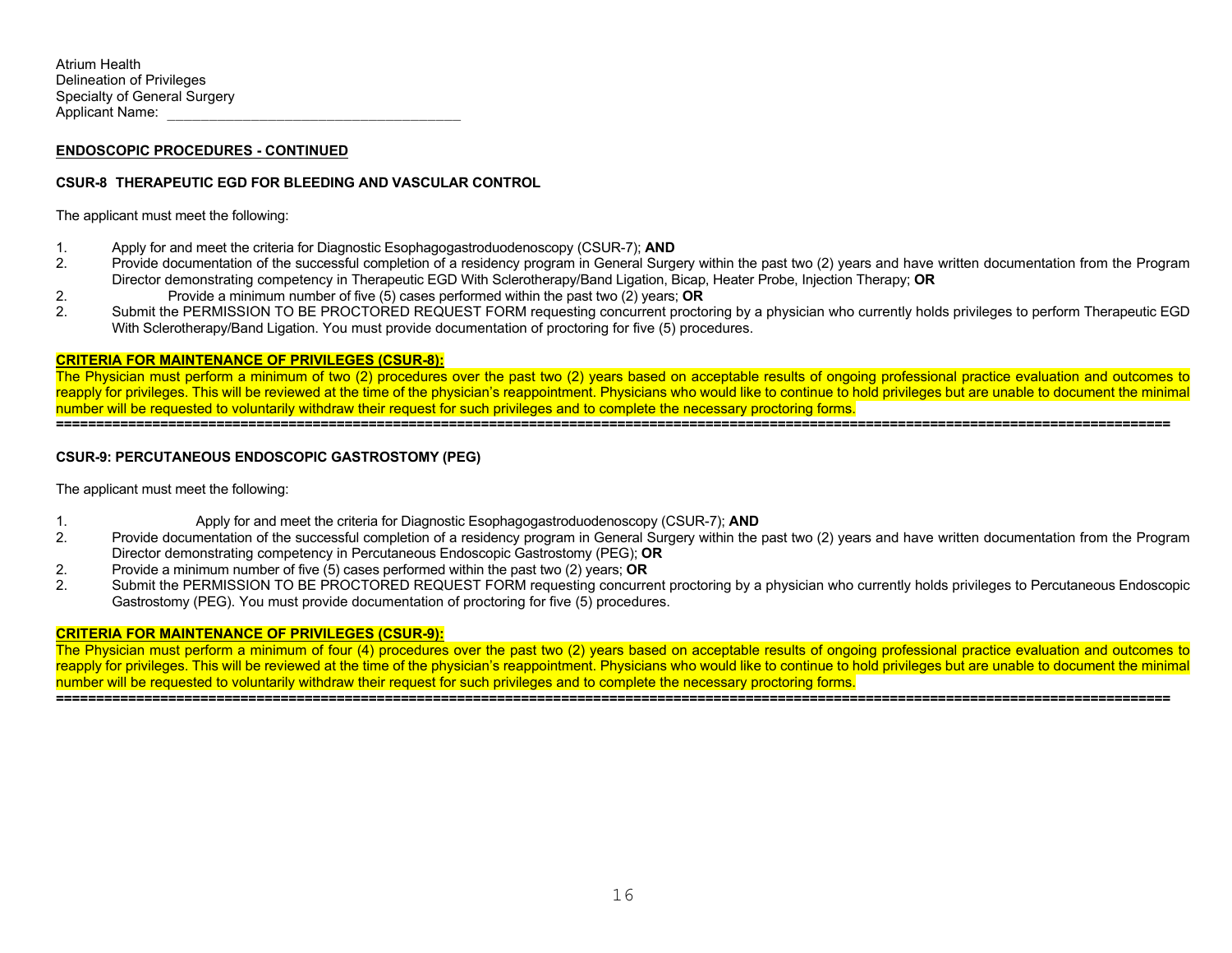## **CSUR-8 THERAPEUTIC EGD FOR BLEEDING AND VASCULAR CONTROL**

The applicant must meet the following:

- 1. Apply for and meet the criteria for Diagnostic Esophagogastroduodenoscopy (CSUR-7); **AND**
- 2. Provide documentation of the successful completion of a residency program in General Surgery within the past two (2) years and have written documentation from the Program Director demonstrating competency in Therapeutic EGD With Sclerotherapy/Band Ligation, Bicap, Heater Probe, Injection Therapy; **OR**
- 2. Provide a minimum number of five (5) cases performed within the past two (2) years; **OR**
- 2. Submit the PERMISSION TO BE PROCTORED REQUEST FORM requesting concurrent proctoring by a physician who currently holds privileges to perform Therapeutic EGD With Sclerotherapy/Band Ligation. You must provide documentation of proctoring for five (5) procedures.

## **CRITERIA FOR MAINTENANCE OF PRIVILEGES (CSUR-8):**

The Physician must perform a minimum of two (2) procedures over the past two (2) years based on acceptable results of ongoing professional practice evaluation and outcomes to reapply for privileges. This will be reviewed at the time of the physician's reappointment. Physicians who would like to continue to hold privileges but are unable to document the minimal number will be requested to voluntarily withdraw their request for such privileges and to complete the necessary proctoring forms.

**===========================================================================================================================================** 

## **CSUR-9: PERCUTANEOUS ENDOSCOPIC GASTROSTOMY (PEG)**

The applicant must meet the following:

- 1. Apply for and meet the criteria for Diagnostic Esophagogastroduodenoscopy (CSUR-7); **AND**
- 2. Provide documentation of the successful completion of a residency program in General Surgery within the past two (2) years and have written documentation from the Program Director demonstrating competency in Percutaneous Endoscopic Gastrostomy (PEG); **OR**
- 2. Provide a minimum number of five (5) cases performed within the past two (2) years; **OR**
- 2. Submit the PERMISSION TO BE PROCTORED REQUEST FORM requesting concurrent proctoring by a physician who currently holds privileges to Percutaneous Endoscopic Gastrostomy (PEG). You must provide documentation of proctoring for five (5) procedures.

### **CRITERIA FOR MAINTENANCE OF PRIVILEGES (CSUR-9):**

The Physician must perform a minimum of four (4) procedures over the past two (2) years based on acceptable results of ongoing professional practice evaluation and outcomes to reapply for privileges. This will be reviewed at the time of the physician's reappointment. Physicians who would like to continue to hold privileges but are unable to document the minimal number will be requested to voluntarily withdraw their request for such privileges and to complete the necessary proctoring forms. **===========================================================================================================================================**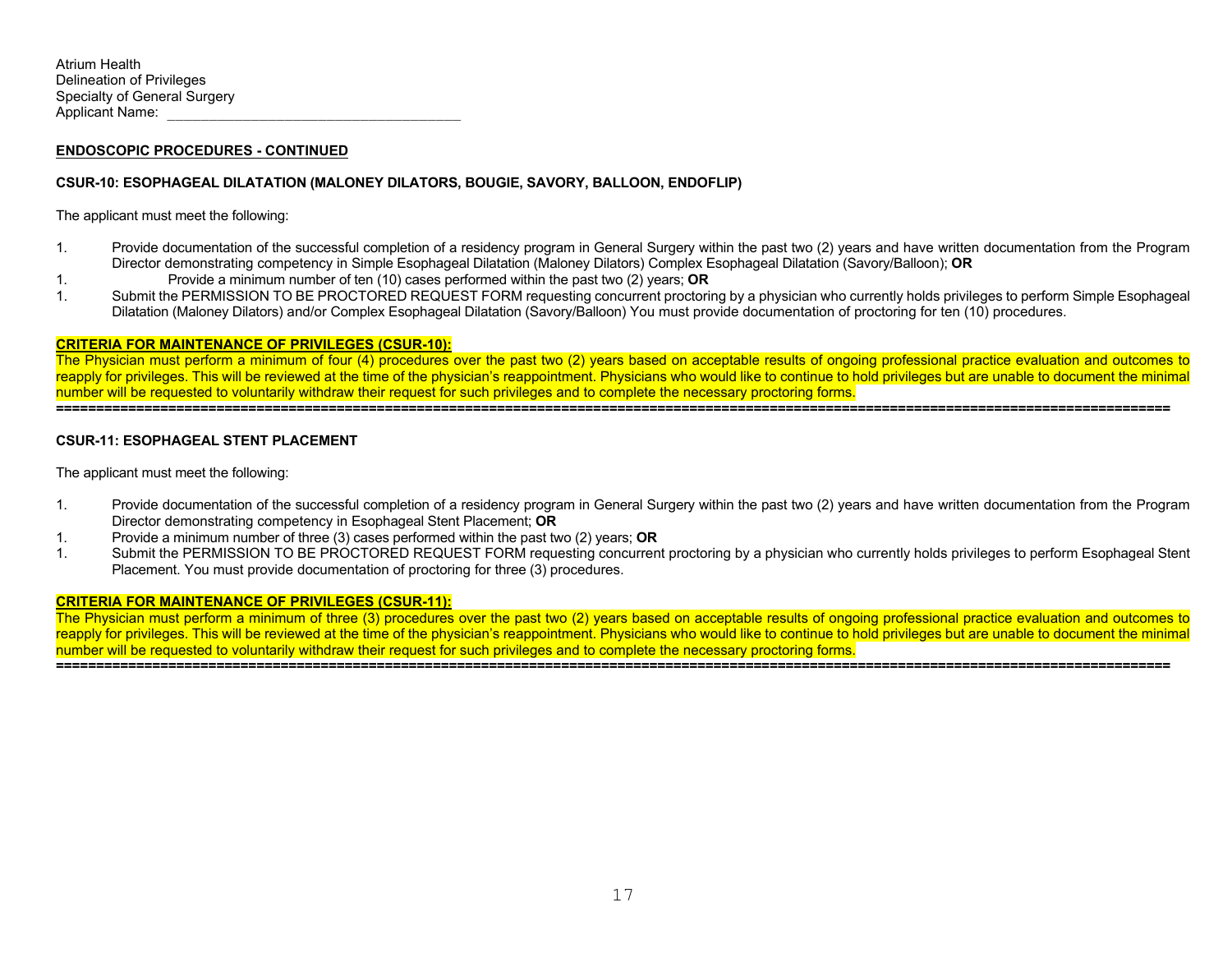## **CSUR-10: ESOPHAGEAL DILATATION (MALONEY DILATORS, BOUGIE, SAVORY, BALLOON, ENDOFLIP)**

The applicant must meet the following:

- 1. Provide documentation of the successful completion of a residency program in General Surgery within the past two (2) years and have written documentation from the Program Director demonstrating competency in Simple Esophageal Dilatation (Maloney Dilators) Complex Esophageal Dilatation (Savory/Balloon); **OR**
- 1. Provide a minimum number of ten (10) cases performed within the past two (2) years; **OR**
- 1. Submit the PERMISSION TO BE PROCTORED REQUEST FORM requesting concurrent proctoring by a physician who currently holds privileges to perform Simple Esophageal Dilatation (Maloney Dilators) and/or Complex Esophageal Dilatation (Savory/Balloon) You must provide documentation of proctoring for ten (10) procedures.

### **CRITERIA FOR MAINTENANCE OF PRIVILEGES (CSUR-10):**

The Physician must perform a minimum of four (4) procedures over the past two (2) years based on acceptable results of ongoing professional practice evaluation and outcomes to reapply for privileges. This will be reviewed at the time of the physician's reappointment. Physicians who would like to continue to hold privileges but are unable to document the minimal number will be requested to voluntarily withdraw their request for such privileges and to complete the necessary proctoring forms. **===========================================================================================================================================** 

## **CSUR-11: ESOPHAGEAL STENT PLACEMENT**

The applicant must meet the following:

- 1. Provide documentation of the successful completion of a residency program in General Surgery within the past two (2) years and have written documentation from the Program Director demonstrating competency in Esophageal Stent Placement; **OR**
- 1. Provide a minimum number of three (3) cases performed within the past two (2) years; **OR**
- 1. Submit the PERMISSION TO BE PROCTORED REQUEST FORM requesting concurrent proctoring by a physician who currently holds privileges to perform Esophageal Stent Placement. You must provide documentation of proctoring for three (3) procedures.

### **CRITERIA FOR MAINTENANCE OF PRIVILEGES (CSUR-11):**

The Physician must perform a minimum of three (3) procedures over the past two (2) years based on acceptable results of ongoing professional practice evaluation and outcomes to reapply for privileges. This will be reviewed at the time of the physician's reappointment. Physicians who would like to continue to hold privileges but are unable to document the minimal number will be requested to voluntarily withdraw their request for such privileges and to complete the necessary proctoring forms.

**===========================================================================================================================================**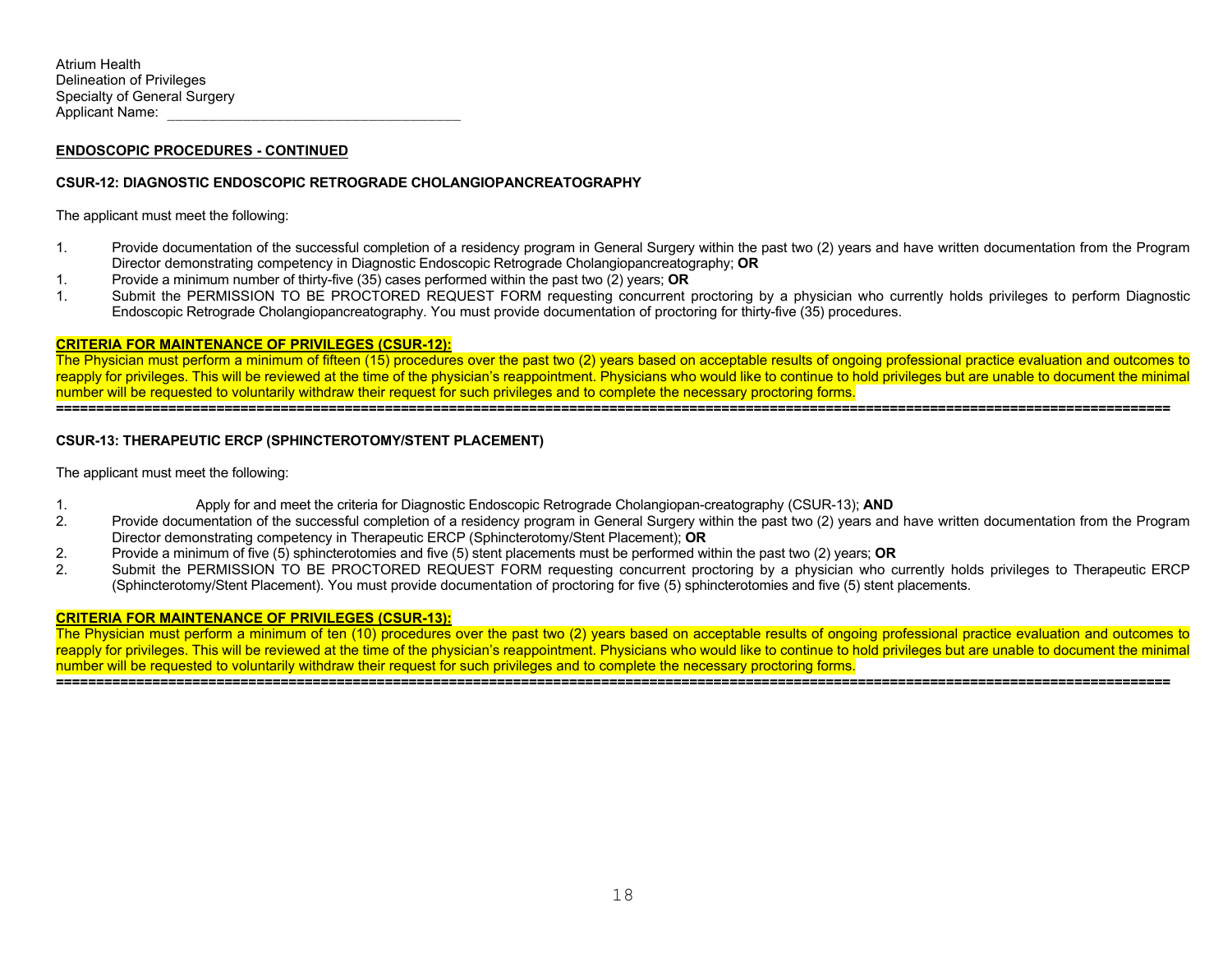## **CSUR-12: DIAGNOSTIC ENDOSCOPIC RETROGRADE CHOLANGIOPANCREATOGRAPHY**

The applicant must meet the following:

- 1. Provide documentation of the successful completion of a residency program in General Surgery within the past two (2) years and have written documentation from the Program Director demonstrating competency in Diagnostic Endoscopic Retrograde Cholangiopancreatography; **OR**
- 1. Provide a minimum number of thirty-five (35) cases performed within the past two (2) years; **OR**
- 1. Submit the PERMISSION TO BE PROCTORED REQUEST FORM requesting concurrent proctoring by a physician who currently holds privileges to perform Diagnostic Endoscopic Retrograde Cholangiopancreatography. You must provide documentation of proctoring for thirty-five (35) procedures.

#### **CRITERIA FOR MAINTENANCE OF PRIVILEGES (CSUR-12):**

The Physician must perform a minimum of fifteen (15) procedures over the past two (2) years based on acceptable results of ongoing professional practice evaluation and outcomes to reapply for privileges. This will be reviewed at the time of the physician's reappointment. Physicians who would like to continue to hold privileges but are unable to document the minimal number will be requested to voluntarily withdraw their request for such privileges and to complete the necessary proctoring forms.

## **===========================================================================================================================================**

## **CSUR-13: THERAPEUTIC ERCP (SPHINCTEROTOMY/STENT PLACEMENT)**

The applicant must meet the following:

- 1. Apply for and meet the criteria for Diagnostic Endoscopic Retrograde Cholangiopan-creatography (CSUR-13); **AND**
- 2. Provide documentation of the successful completion of a residency program in General Surgery within the past two (2) years and have written documentation from the Program Director demonstrating competency in Therapeutic ERCP (Sphincterotomy/Stent Placement); **OR**
- 2. Provide a minimum of five (5) sphincterotomies and five (5) stent placements must be performed within the past two (2) years; **OR**
- Submit the PERMISSION TO BE PROCTORED REQUEST FORM requesting concurrent proctoring by a physician who currently holds privileges to Therapeutic ERCP (Sphincterotomy/Stent Placement). You must provide documentation of proctoring for five (5) sphincterotomies and five (5) stent placements.

### **CRITERIA FOR MAINTENANCE OF PRIVILEGES (CSUR-13):**

The Physician must perform a minimum of ten (10) procedures over the past two (2) years based on acceptable results of ongoing professional practice evaluation and outcomes to reapply for privileges. This will be reviewed at the time of the physician's reappointment. Physicians who would like to continue to hold privileges but are unable to document the minimal number will be requested to voluntarily withdraw their request for such privileges and to complete the necessary proctoring forms. **===========================================================================================================================================**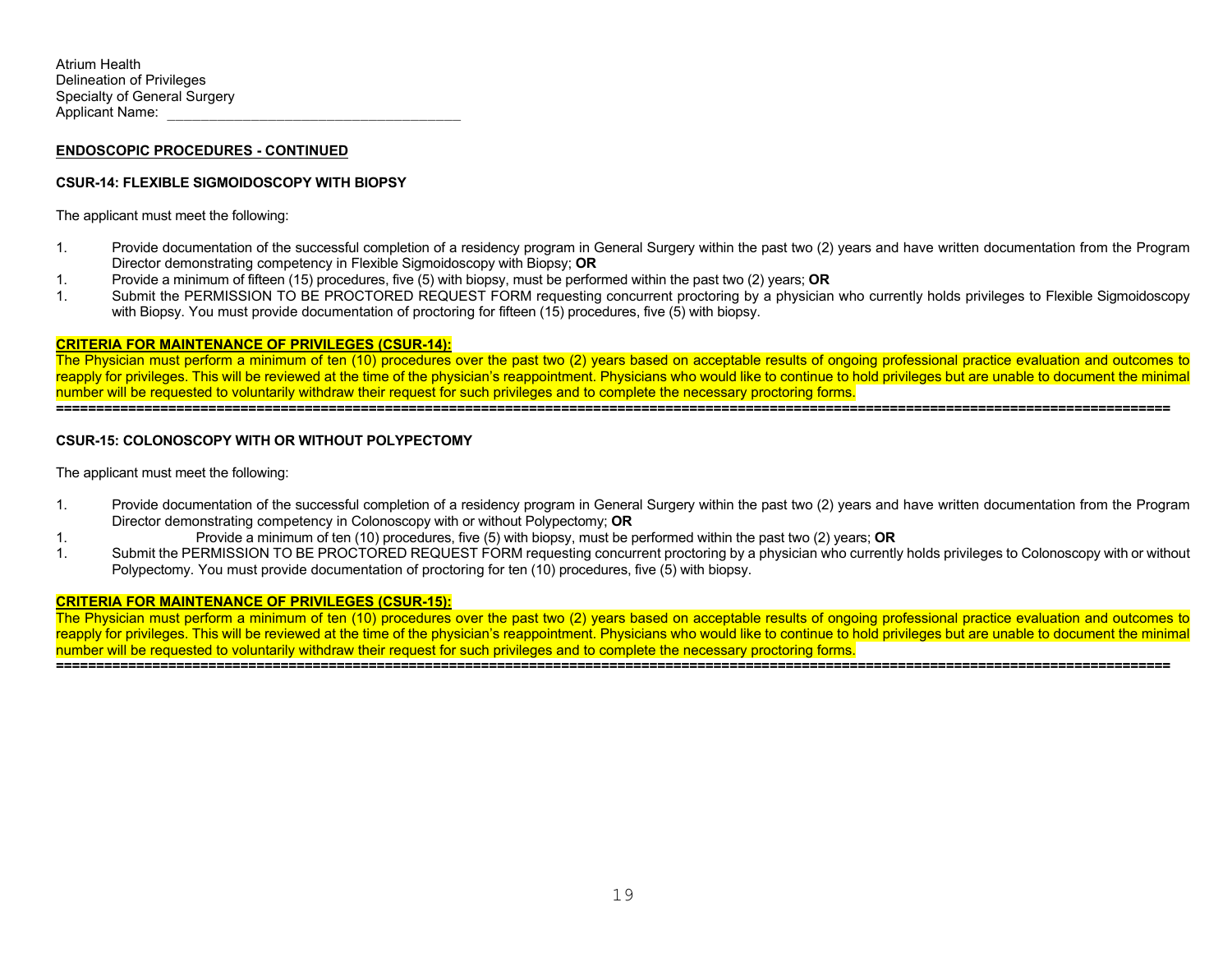#### **ENDOSCOPIC PROCEDURES - CONTINUED**

#### **CSUR-14: FLEXIBLE SIGMOIDOSCOPY WITH BIOPSY**

The applicant must meet the following:

- 1. Provide documentation of the successful completion of a residency program in General Surgery within the past two (2) years and have written documentation from the Program Director demonstrating competency in Flexible Sigmoidoscopy with Biopsy; **OR**
- 1. Provide a minimum of fifteen (15) procedures, five (5) with biopsy, must be performed within the past two (2) years; **OR**
- 1. Submit the PERMISSION TO BE PROCTORED REQUEST FORM requesting concurrent proctoring by a physician who currently holds privileges to Flexible Sigmoidoscopy with Biopsy. You must provide documentation of proctoring for fifteen (15) procedures, five (5) with biopsy.

#### **CRITERIA FOR MAINTENANCE OF PRIVILEGES (CSUR-14):**

The Physician must perform a minimum of ten (10) procedures over the past two (2) years based on acceptable results of ongoing professional practice evaluation and outcomes to reapply for privileges. This will be reviewed at the time of the physician's reappointment. Physicians who would like to continue to hold privileges but are unable to document the minimal number will be requested to voluntarily withdraw their request for such privileges and to complete the necessary proctoring forms. **===========================================================================================================================================** 

## **CSUR-15: COLONOSCOPY WITH OR WITHOUT POLYPECTOMY**

The applicant must meet the following:

- 1. Provide documentation of the successful completion of a residency program in General Surgery within the past two (2) years and have written documentation from the Program Director demonstrating competency in Colonoscopy with or without Polypectomy; **OR**
- 1. Provide a minimum of ten (10) procedures, five (5) with biopsy, must be performed within the past two (2) years; **OR**
- 1. Submit the PERMISSION TO BE PROCTORED REQUEST FORM requesting concurrent proctoring by a physician who currently holds privileges to Colonoscopy with or without Polypectomy. You must provide documentation of proctoring for ten (10) procedures, five (5) with biopsy.

#### **CRITERIA FOR MAINTENANCE OF PRIVILEGES (CSUR-15):**

The Physician must perform a minimum of ten (10) procedures over the past two (2) years based on acceptable results of ongoing professional practice evaluation and outcomes to reapply for privileges. This will be reviewed at the time of the physician's reappointment. Physicians who would like to continue to hold privileges but are unable to document the minimal number will be requested to voluntarily withdraw their request for such privileges and to complete the necessary proctoring forms.

**===========================================================================================================================================**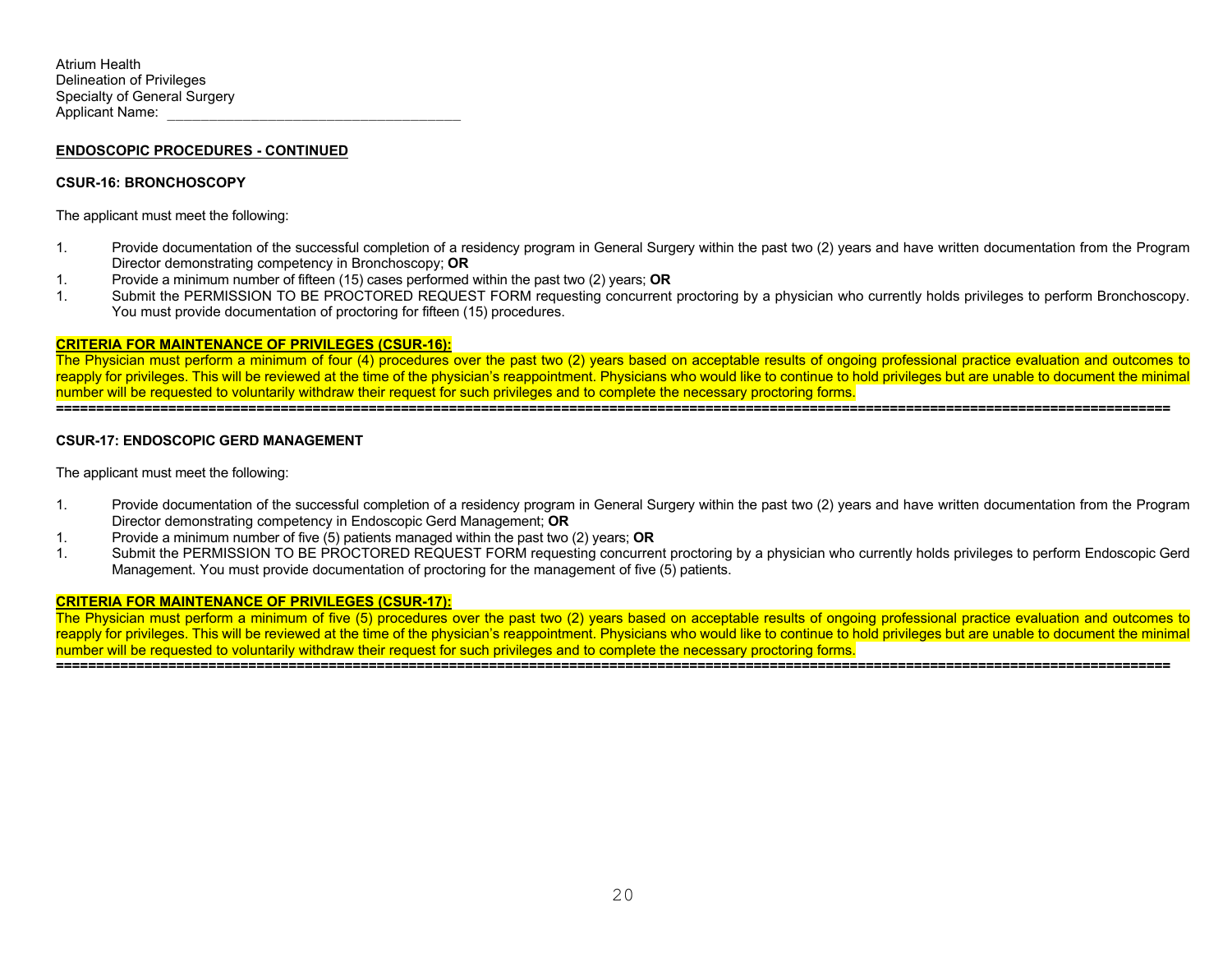#### **CSUR-16: BRONCHOSCOPY**

The applicant must meet the following:

- 1. Provide documentation of the successful completion of a residency program in General Surgery within the past two (2) years and have written documentation from the Program Director demonstrating competency in Bronchoscopy; **OR**
- 1. Provide a minimum number of fifteen (15) cases performed within the past two (2) years; **OR**
- 1. Submit the PERMISSION TO BE PROCTORED REQUEST FORM requesting concurrent proctoring by a physician who currently holds privileges to perform Bronchoscopy. You must provide documentation of proctoring for fifteen (15) procedures.

#### **CRITERIA FOR MAINTENANCE OF PRIVILEGES (CSUR-16):**

The Physician must perform a minimum of four (4) procedures over the past two (2) years based on acceptable results of ongoing professional practice evaluation and outcomes to reapply for privileges. This will be reviewed at the time of the physician's reappointment. Physicians who would like to continue to hold privileges but are unable to document the minimal number will be requested to voluntarily withdraw their request for such privileges and to complete the necessary proctoring forms. **===========================================================================================================================================** 

#### **CSUR-17: ENDOSCOPIC GERD MANAGEMENT**

The applicant must meet the following:

- 1. Provide documentation of the successful completion of a residency program in General Surgery within the past two (2) years and have written documentation from the Program Director demonstrating competency in Endoscopic Gerd Management; **OR**
- 1. Provide a minimum number of five (5) patients managed within the past two (2) years; **OR**
- 1. Submit the PERMISSION TO BE PROCTORED REQUEST FORM requesting concurrent proctoring by a physician who currently holds privileges to perform Endoscopic Gerd Management. You must provide documentation of proctoring for the management of five (5) patients.

#### **CRITERIA FOR MAINTENANCE OF PRIVILEGES (CSUR-17):**

The Physician must perform a minimum of five (5) procedures over the past two (2) years based on acceptable results of ongoing professional practice evaluation and outcomes to reapply for privileges. This will be reviewed at the time of the physician's reappointment. Physicians who would like to continue to hold privileges but are unable to document the minimal number will be requested to voluntarily withdraw their request for such privileges and to complete the necessary proctoring forms.

**===========================================================================================================================================**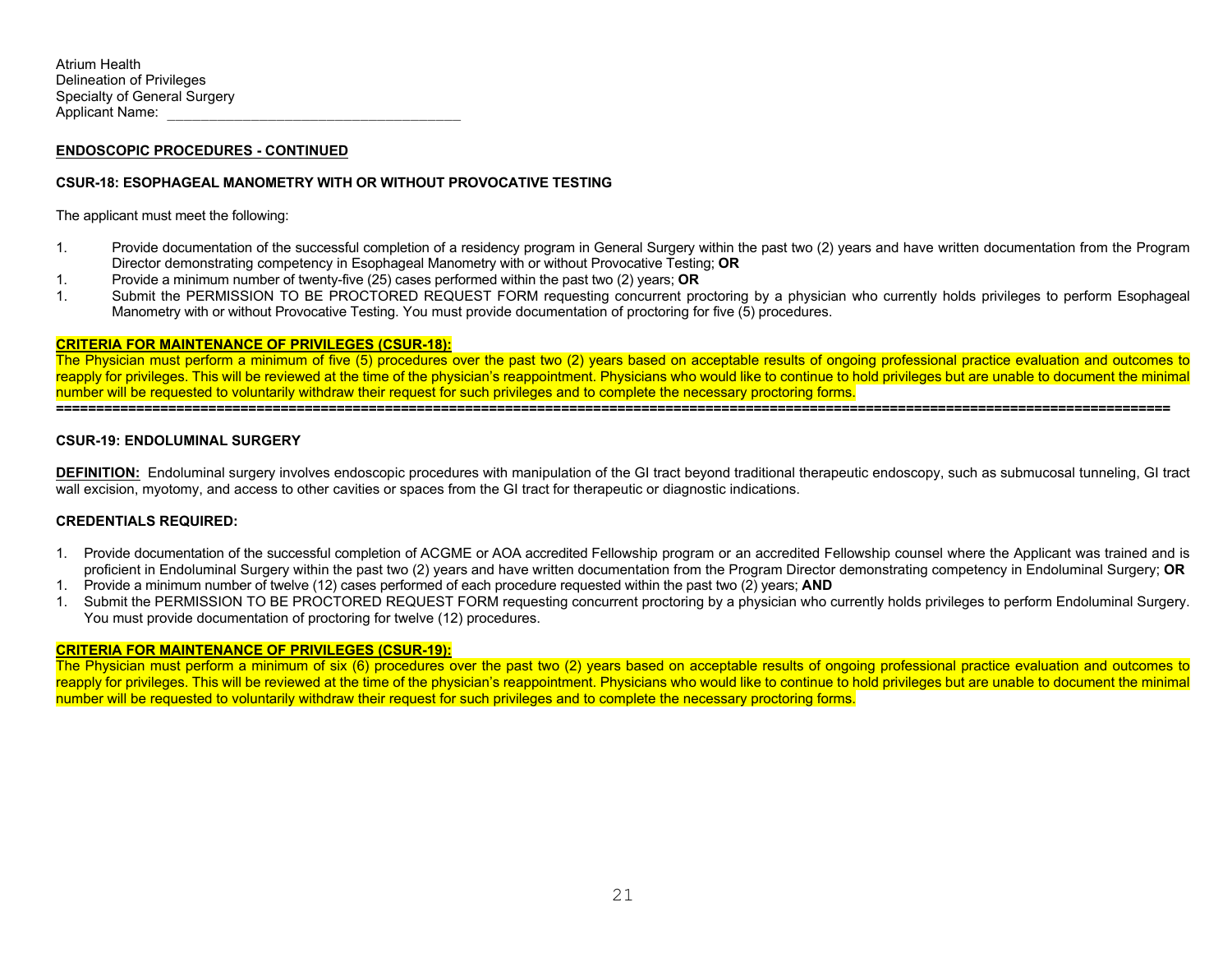## **CSUR-18: ESOPHAGEAL MANOMETRY WITH OR WITHOUT PROVOCATIVE TESTING**

The applicant must meet the following:

- 1. Provide documentation of the successful completion of a residency program in General Surgery within the past two (2) years and have written documentation from the Program Director demonstrating competency in Esophageal Manometry with or without Provocative Testing; **OR**
- 1. Provide a minimum number of twenty-five (25) cases performed within the past two (2) years; **OR**
- 1. Submit the PERMISSION TO BE PROCTORED REQUEST FORM requesting concurrent proctoring by a physician who currently holds privileges to perform Esophageal Manometry with or without Provocative Testing. You must provide documentation of proctoring for five (5) procedures.

#### **CRITERIA FOR MAINTENANCE OF PRIVILEGES (CSUR-18):**

The Physician must perform a minimum of five (5) procedures over the past two (2) years based on acceptable results of ongoing professional practice evaluation and outcomes to reapply for privileges. This will be reviewed at the time of the physician's reappointment. Physicians who would like to continue to hold privileges but are unable to document the minimal number will be requested to voluntarily withdraw their request for such privileges and to complete the necessary proctoring forms. **===========================================================================================================================================** 

#### **CSUR-19: ENDOLUMINAL SURGERY**

**DEFINITION:** Endoluminal surgery involves endoscopic procedures with manipulation of the GI tract beyond traditional therapeutic endoscopy, such as submucosal tunneling, GI tract wall excision, myotomy, and access to other cavities or spaces from the GI tract for therapeutic or diagnostic indications.

### **CREDENTIALS REQUIRED:**

- 1. Provide documentation of the successful completion of ACGME or AOA accredited Fellowship program or an accredited Fellowship counsel where the Applicant was trained and is proficient in Endoluminal Surgery within the past two (2) years and have written documentation from the Program Director demonstrating competency in Endoluminal Surgery; **OR**
- 1. Provide a minimum number of twelve (12) cases performed of each procedure requested within the past two (2) years; **AND**
- 1. Submit the PERMISSION TO BE PROCTORED REQUEST FORM requesting concurrent proctoring by a physician who currently holds privileges to perform Endoluminal Surgery. You must provide documentation of proctoring for twelve (12) procedures.

## **CRITERIA FOR MAINTENANCE OF PRIVILEGES (CSUR-19):**

The Physician must perform a minimum of six (6) procedures over the past two (2) years based on acceptable results of ongoing professional practice evaluation and outcomes to reapply for privileges. This will be reviewed at the time of the physician's reappointment. Physicians who would like to continue to hold privileges but are unable to document the minimal number will be requested to voluntarily withdraw their request for such privileges and to complete the necessary proctoring forms.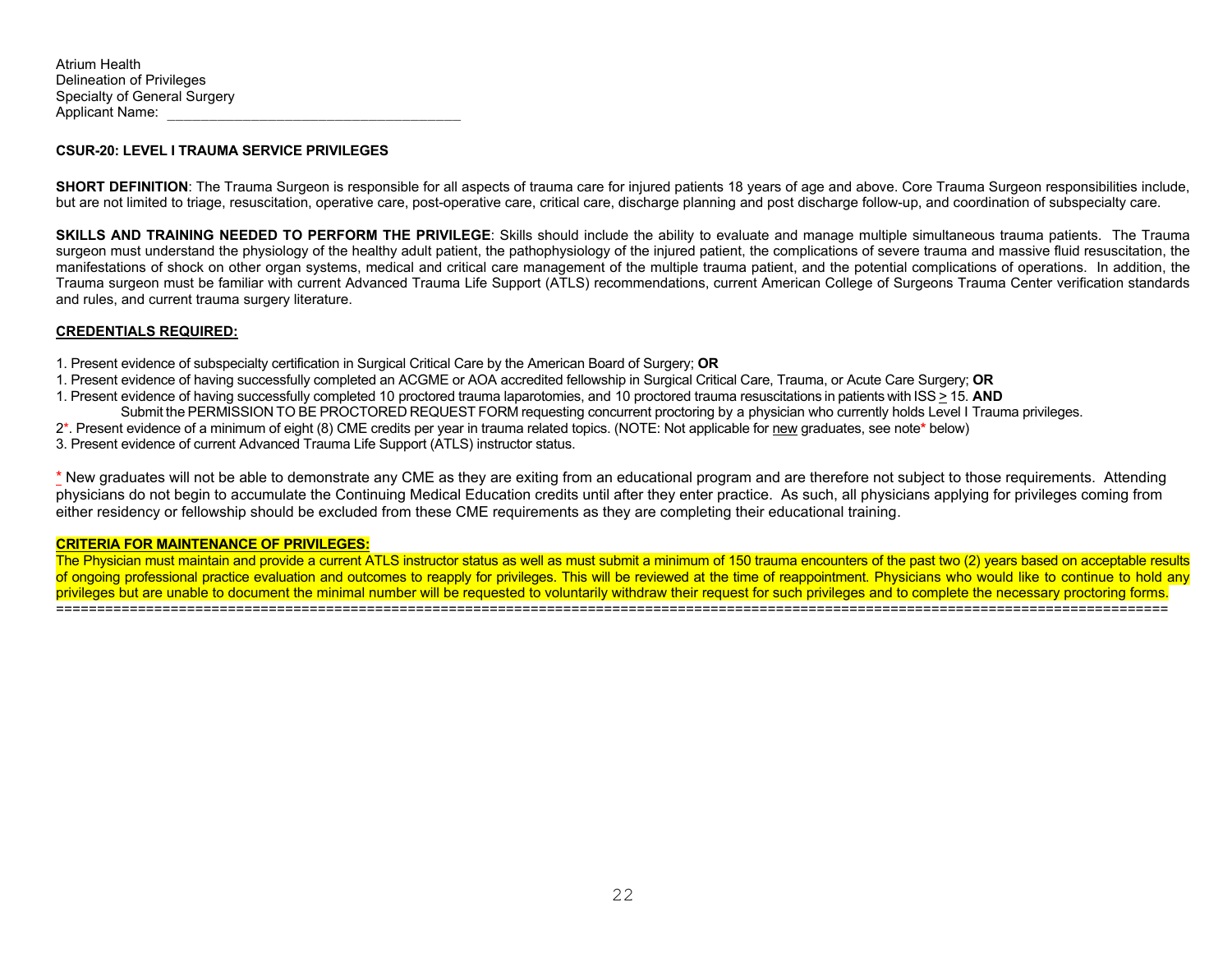#### **CSUR-20: LEVEL I TRAUMA SERVICE PRIVILEGES**

**SHORT DEFINITION**: The Trauma Surgeon is responsible for all aspects of trauma care for injured patients 18 years of age and above. Core Trauma Surgeon responsibilities include, but are not limited to triage, resuscitation, operative care, post-operative care, critical care, discharge planning and post discharge follow-up, and coordination of subspecialty care.

**SKILLS AND TRAINING NEEDED TO PERFORM THE PRIVILEGE:** Skills should include the ability to evaluate and manage multiple simultaneous trauma patients. The Trauma surgeon must understand the physiology of the healthy adult patient, the pathophysiology of the injured patient, the complications of severe trauma and massive fluid resuscitation, the manifestations of shock on other organ systems, medical and critical care management of the multiple trauma patient, and the potential complications of operations. In addition, the Trauma surgeon must be familiar with current Advanced Trauma Life Support (ATLS) recommendations, current American College of Surgeons Trauma Center verification standards and rules, and current trauma surgery literature.

### **CREDENTIALS REQUIRED:**

1. Present evidence of subspecialty certification in Surgical Critical Care by the American Board of Surgery; **OR**

- 1. Present evidence of having successfully completed an ACGME or AOA accredited fellowship in Surgical Critical Care, Trauma, or Acute Care Surgery; **OR**
- 1. Present evidence of having successfully completed 10 proctored trauma laparotomies, and 10 proctored trauma resuscitations in patients with ISS > 15. **AND** Submit the PERMISSION TO BE PROCTORED REQUEST FORM requesting concurrent proctoring by a physician who currently holds Level I Trauma privileges.
- 2\*. Present evidence of a minimum of eight (8) CME credits per year in trauma related topics. (NOTE: Not applicable for new graduates, see note**\*** below)
- 3. Present evidence of current Advanced Trauma Life Support (ATLS) instructor status.

\* New graduates will not be able to demonstrate any CME as they are exiting from an educational program and are therefore not subject to those requirements. Attending physicians do not begin to accumulate the Continuing Medical Education credits until after they enter practice. As such, all physicians applying for privileges coming from either residency or fellowship should be excluded from these CME requirements as they are completing their educational training.

#### **CRITERIA FOR MAINTENANCE OF PRIVILEGES:**

The Physician must maintain and provide a current ATLS instructor status as well as must submit a minimum of 150 trauma encounters of the past two (2) years based on acceptable results of ongoing professional practice evaluation and outcomes to reapply for privileges. This will be reviewed at the time of reappointment. Physicians who would like to continue to hold any privileges but are unable to document the minimal number will be requested to voluntarily withdraw their request for such privileges and to complete the necessary proctoring forms. ========================================================================================================================================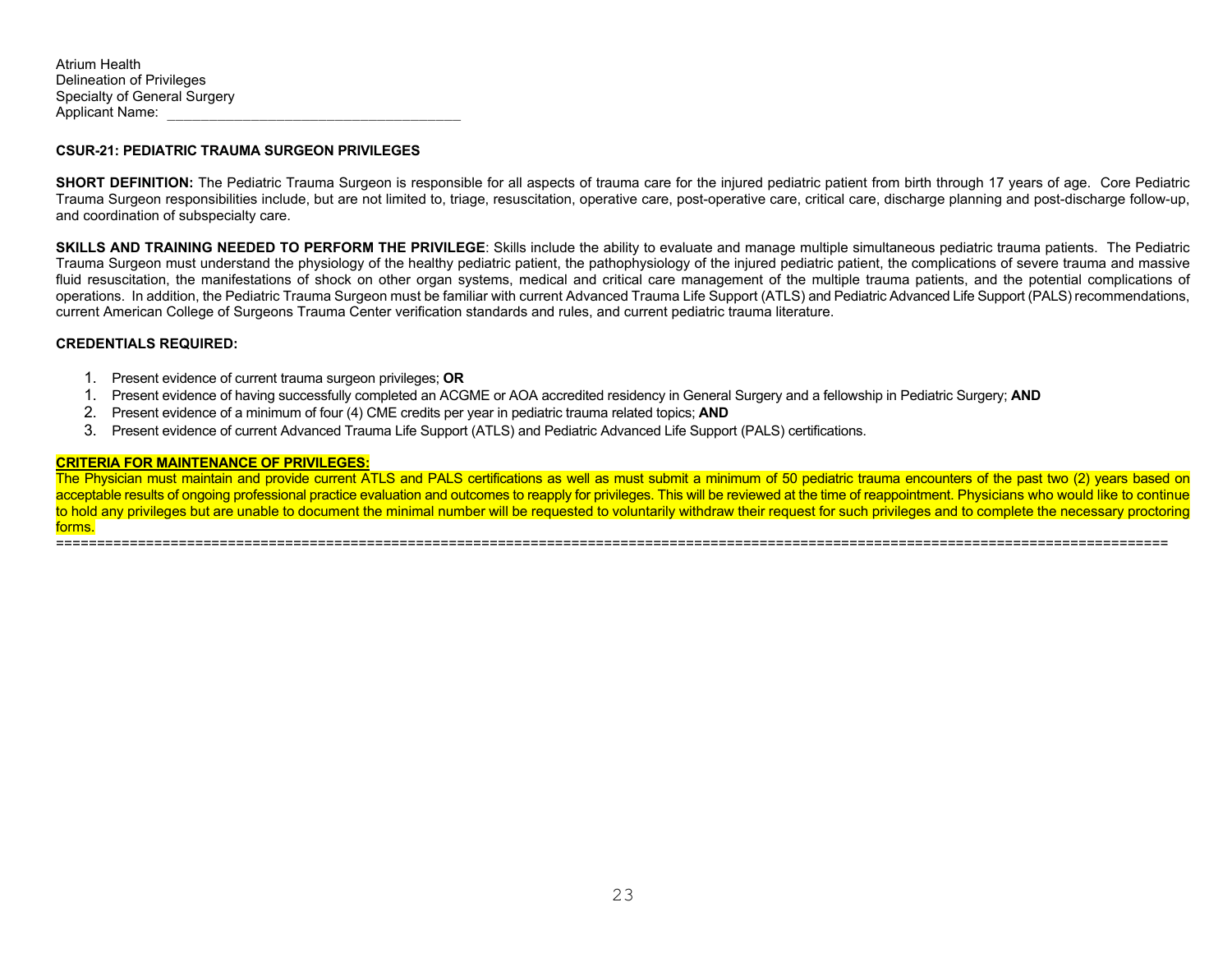#### **CSUR-21: PEDIATRIC TRAUMA SURGEON PRIVILEGES**

**SHORT DEFINITION:** The Pediatric Trauma Surgeon is responsible for all aspects of trauma care for the injured pediatric patient from birth through 17 years of age. Core Pediatric Trauma Surgeon responsibilities include, but are not limited to, triage, resuscitation, operative care, post-operative care, critical care, discharge planning and post-discharge follow-up, and coordination of subspecialty care.

**SKILLS AND TRAINING NEEDED TO PERFORM THE PRIVILEGE**: Skills include the ability to evaluate and manage multiple simultaneous pediatric trauma patients. The Pediatric Trauma Surgeon must understand the physiology of the healthy pediatric patient, the pathophysiology of the injured pediatric patient, the complications of severe trauma and massive fluid resuscitation, the manifestations of shock on other organ systems, medical and critical care management of the multiple trauma patients, and the potential complications of operations. In addition, the Pediatric Trauma Surgeon must be familiar with current Advanced Trauma Life Support (ATLS) and Pediatric Advanced Life Support (PALS) recommendations, current American College of Surgeons Trauma Center verification standards and rules, and current pediatric trauma literature.

#### **CREDENTIALS REQUIRED:**

- 1. Present evidence of current trauma surgeon privileges; **OR**
- 1. Present evidence of having successfully completed an ACGME or AOA accredited residency in General Surgery and a fellowship in Pediatric Surgery; **AND**
- 2. Present evidence of a minimum of four (4) CME credits per year in pediatric trauma related topics; **AND**
- 3. Present evidence of current Advanced Trauma Life Support (ATLS) and Pediatric Advanced Life Support (PALS) certifications.

#### **CRITERIA FOR MAINTENANCE OF PRIVILEGES:**

The Physician must maintain and provide current ATLS and PALS certifications as well as must submit a minimum of 50 pediatric trauma encounters of the past two (2) years based on acceptable results of ongoing professional practice evaluation and outcomes to reapply for privileges. This will be reviewed at the time of reappointment. Physicians who would like to continue to hold any privileges but are unable to document the minimal number will be requested to voluntarily withdraw their request for such privileges and to complete the necessary proctoring forms.

========================================================================================================================================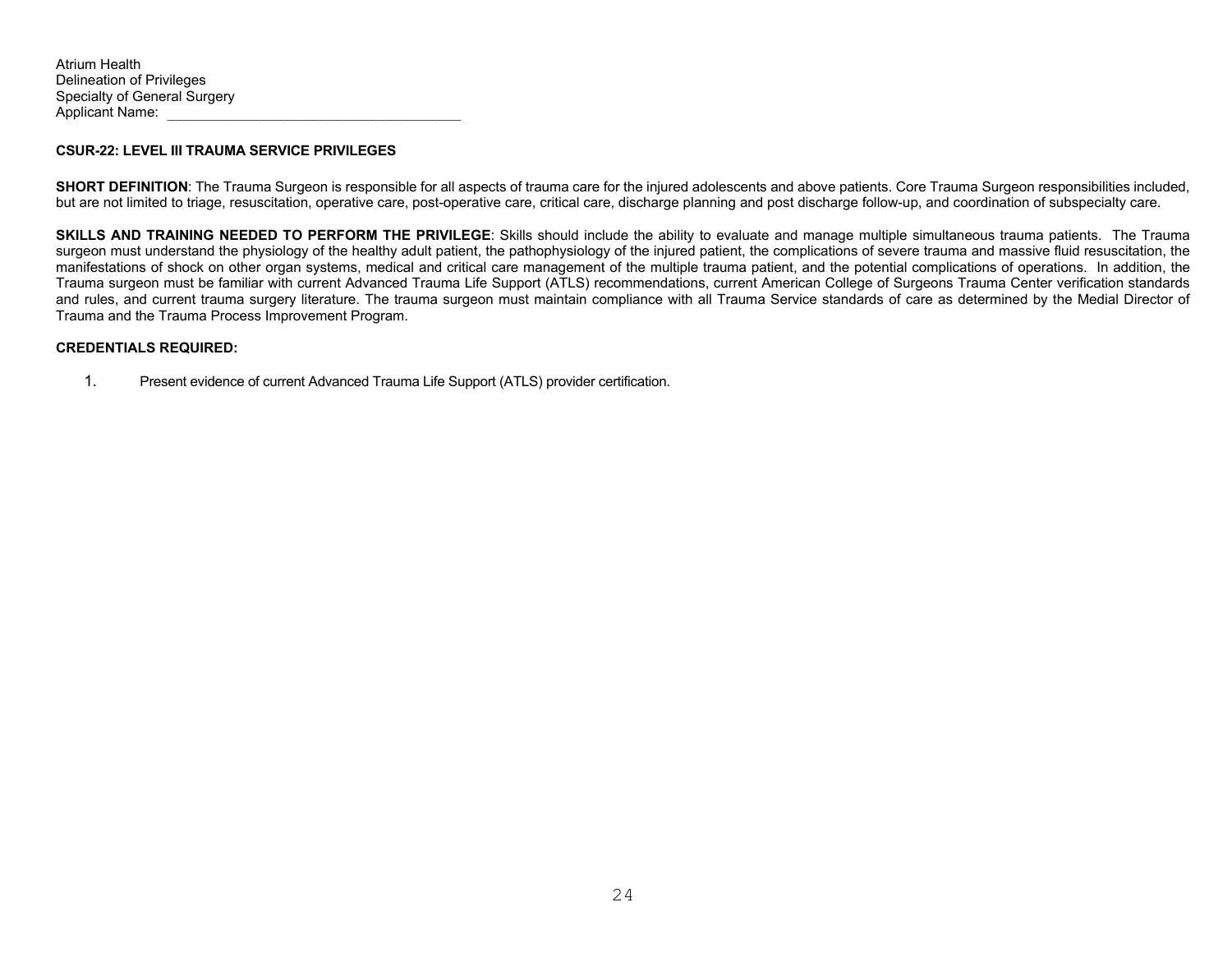#### **CSUR-22: LEVEL III TRAUMA SERVICE PRIVILEGES**

**SHORT DEFINITION**: The Trauma Surgeon is responsible for all aspects of trauma care for the injured adolescents and above patients. Core Trauma Surgeon responsibilities included, but are not limited to triage, resuscitation, operative care, post-operative care, critical care, discharge planning and post discharge follow-up, and coordination of subspecialty care.

**SKILLS AND TRAINING NEEDED TO PERFORM THE PRIVILEGE**: Skills should include the ability to evaluate and manage multiple simultaneous trauma patients. The Trauma surgeon must understand the physiology of the healthy adult patient, the pathophysiology of the injured patient, the complications of severe trauma and massive fluid resuscitation, the manifestations of shock on other organ systems, medical and critical care management of the multiple trauma patient, and the potential complications of operations. In addition, the Trauma surgeon must be familiar with current Advanced Trauma Life Support (ATLS) recommendations, current American College of Surgeons Trauma Center verification standards and rules, and current trauma surgery literature. The trauma surgeon must maintain compliance with all Trauma Service standards of care as determined by the Medial Director of Trauma and the Trauma Process Improvement Program.

#### **CREDENTIALS REQUIRED:**

1. Present evidence of current Advanced Trauma Life Support (ATLS) provider certification.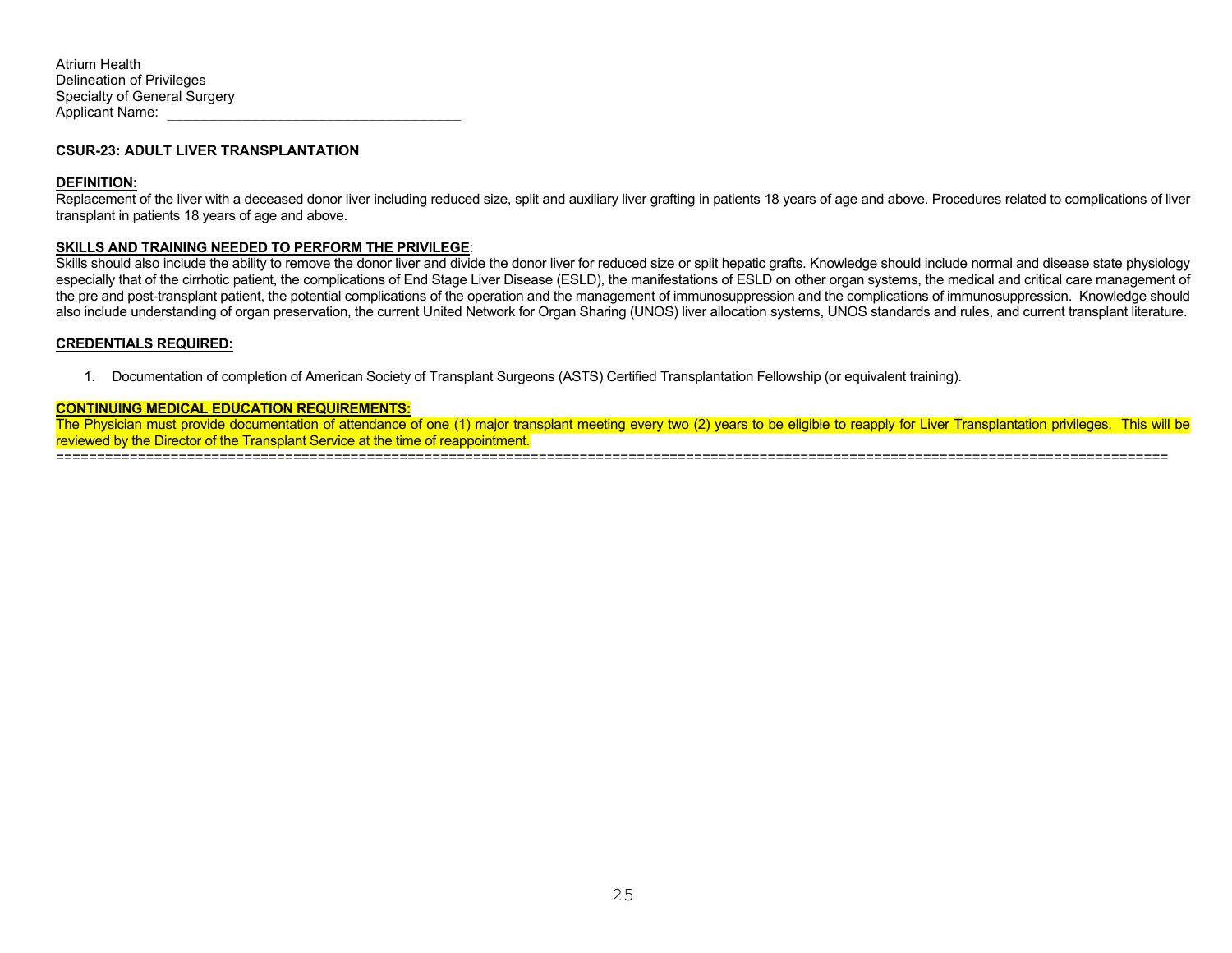#### **CSUR-23: ADULT LIVER TRANSPLANTATION**

#### **DEFINITION:**

Replacement of the liver with a deceased donor liver including reduced size, split and auxiliary liver grafting in patients 18 years of age and above. Procedures related to complications of liver transplant in patients 18 years of age and above.

#### **SKILLS AND TRAINING NEEDED TO PERFORM THE PRIVILEGE**:

Skills should also include the ability to remove the donor liver and divide the donor liver for reduced size or split hepatic grafts. Knowledge should include normal and disease state physiology especially that of the cirrhotic patient, the complications of End Stage Liver Disease (ESLD), the manifestations of ESLD on other organ systems, the medical and critical care management of the pre and post-transplant patient, the potential complications of the operation and the management of immunosuppression and the complications of immunosuppression. Knowledge should also include understanding of organ preservation, the current United Network for Organ Sharing (UNOS) liver allocation systems, UNOS standards and rules, and current transplant literature.

#### **CREDENTIALS REQUIRED:**

1. Documentation of completion of American Society of Transplant Surgeons (ASTS) Certified Transplantation Fellowship (or equivalent training).

#### **CONTINUING MEDICAL EDUCATION REQUIREMENTS:**

The Physician must provide documentation of attendance of one (1) major transplant meeting every two (2) years to be eligible to reapply for Liver Transplantation privileges. This will be reviewed by the Director of the Transplant Service at the time of reappointment.

========================================================================================================================================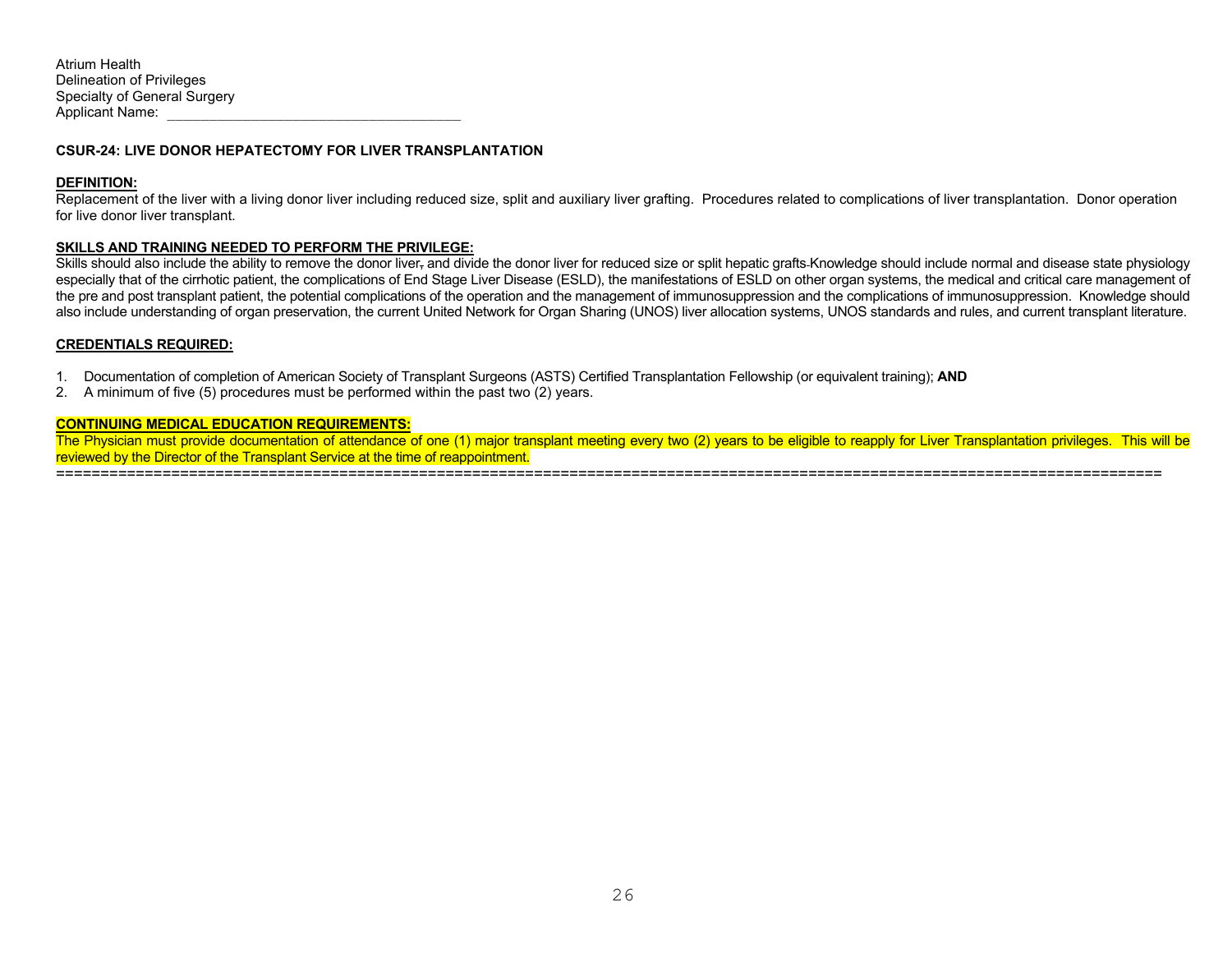#### **CSUR-24: LIVE DONOR HEPATECTOMY FOR LIVER TRANSPLANTATION**

#### **DEFINITION:**

Replacement of the liver with a living donor liver including reduced size, split and auxiliary liver grafting. Procedures related to complications of liver transplantation. Donor operation for live donor liver transplant.

#### **SKILLS AND TRAINING NEEDED TO PERFORM THE PRIVILEGE:**

Skills should also include the ability to remove the donor liver<sub>r</sub> and divide the donor liver for reduced size or split hepatic grafts-Knowledge should include normal and disease state physiology especially that of the cirrhotic patient, the complications of End Stage Liver Disease (ESLD), the manifestations of ESLD on other organ systems, the medical and critical care management of the pre and post transplant patient, the potential complications of the operation and the management of immunosuppression and the complications of immunosuppression. Knowledge should also include understanding of organ preservation, the current United Network for Organ Sharing (UNOS) liver allocation systems, UNOS standards and rules, and current transplant literature.

#### **CREDENTIALS REQUIRED:**

- 1. Documentation of completion of American Society of Transplant Surgeons (ASTS) Certified Transplantation Fellowship (or equivalent training); **AND**
- 2. A minimum of five (5) procedures must be performed within the past two (2) years.

#### **CONTINUING MEDICAL EDUCATION REQUIREMENTS:**

The Physician must provide documentation of attendance of one (1) major transplant meeting every two (2) years to be eligible to reapply for Liver Transplantation privileges. This will be reviewed by the Director of the Transplant Service at the time of reappointment.

=============================================================================================================================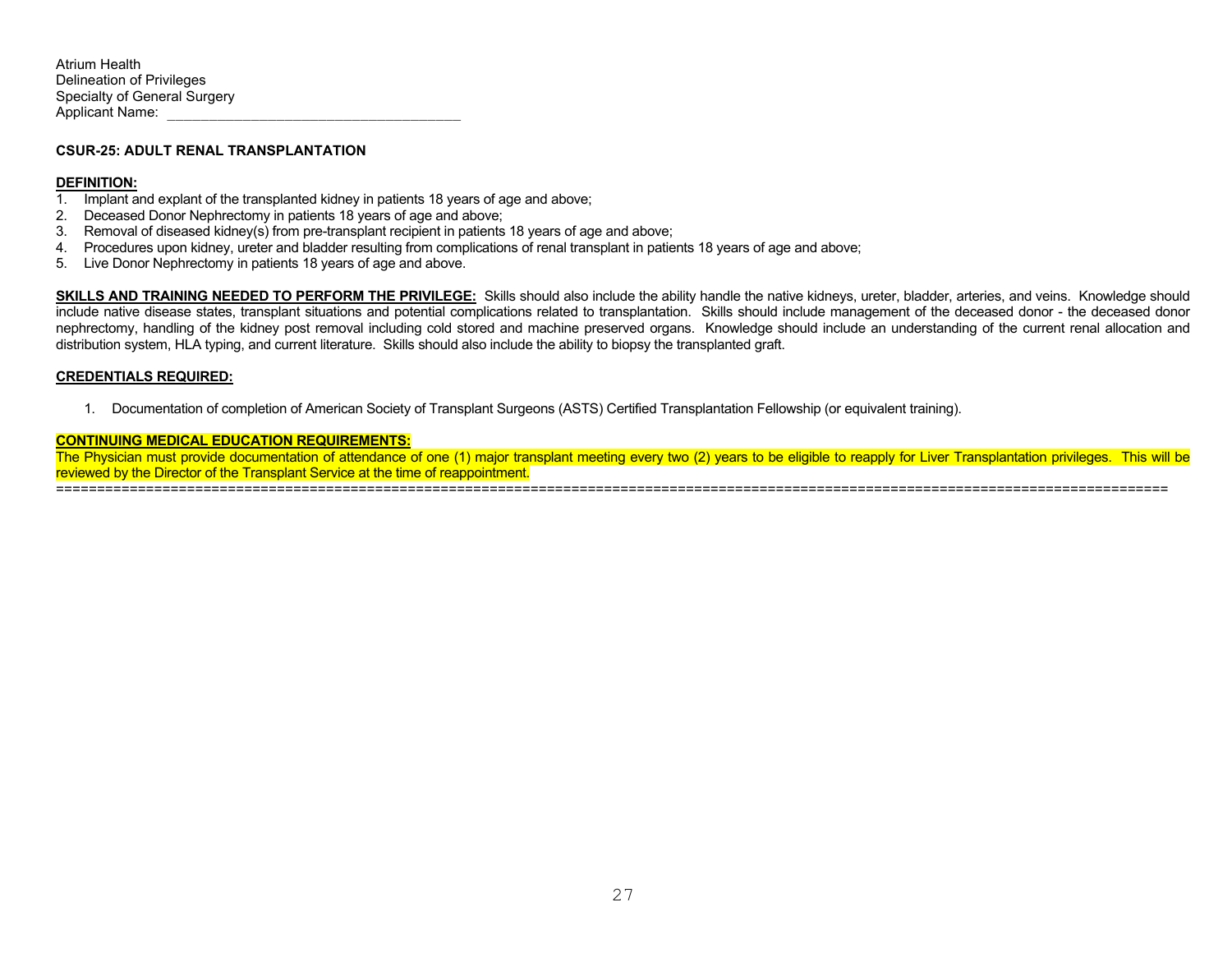#### **CSUR-25: ADULT RENAL TRANSPLANTATION**

#### **DEFINITION:**

- 1. Implant and explant of the transplanted kidney in patients 18 years of age and above;
- 2. Deceased Donor Nephrectomy in patients 18 years of age and above;
- 3. Removal of diseased kidney(s) from pre-transplant recipient in patients 18 years of age and above;
- 4. Procedures upon kidney, ureter and bladder resulting from complications of renal transplant in patients 18 years of age and above;
- 5. Live Donor Nephrectomy in patients 18 years of age and above.

**SKILLS AND TRAINING NEEDED TO PERFORM THE PRIVILEGE:** Skills should also include the ability handle the native kidneys, ureter, bladder, arteries, and veins. Knowledge should include native disease states, transplant situations and potential complications related to transplantation. Skills should include management of the deceased donor - the deceased donor nephrectomy, handling of the kidney post removal including cold stored and machine preserved organs. Knowledge should include an understanding of the current renal allocation and distribution system, HLA typing, and current literature. Skills should also include the ability to biopsy the transplanted graft.

#### **CREDENTIALS REQUIRED:**

1. Documentation of completion of American Society of Transplant Surgeons (ASTS) Certified Transplantation Fellowship (or equivalent training).

## **CONTINUING MEDICAL EDUCATION REQUIREMENTS:**

The Physician must provide documentation of attendance of one (1) major transplant meeting every two (2) years to be eligible to reapply for Liver Transplantation privileges. This will be reviewed by the Director of the Transplant Service at the time of reappointment. ========================================================================================================================================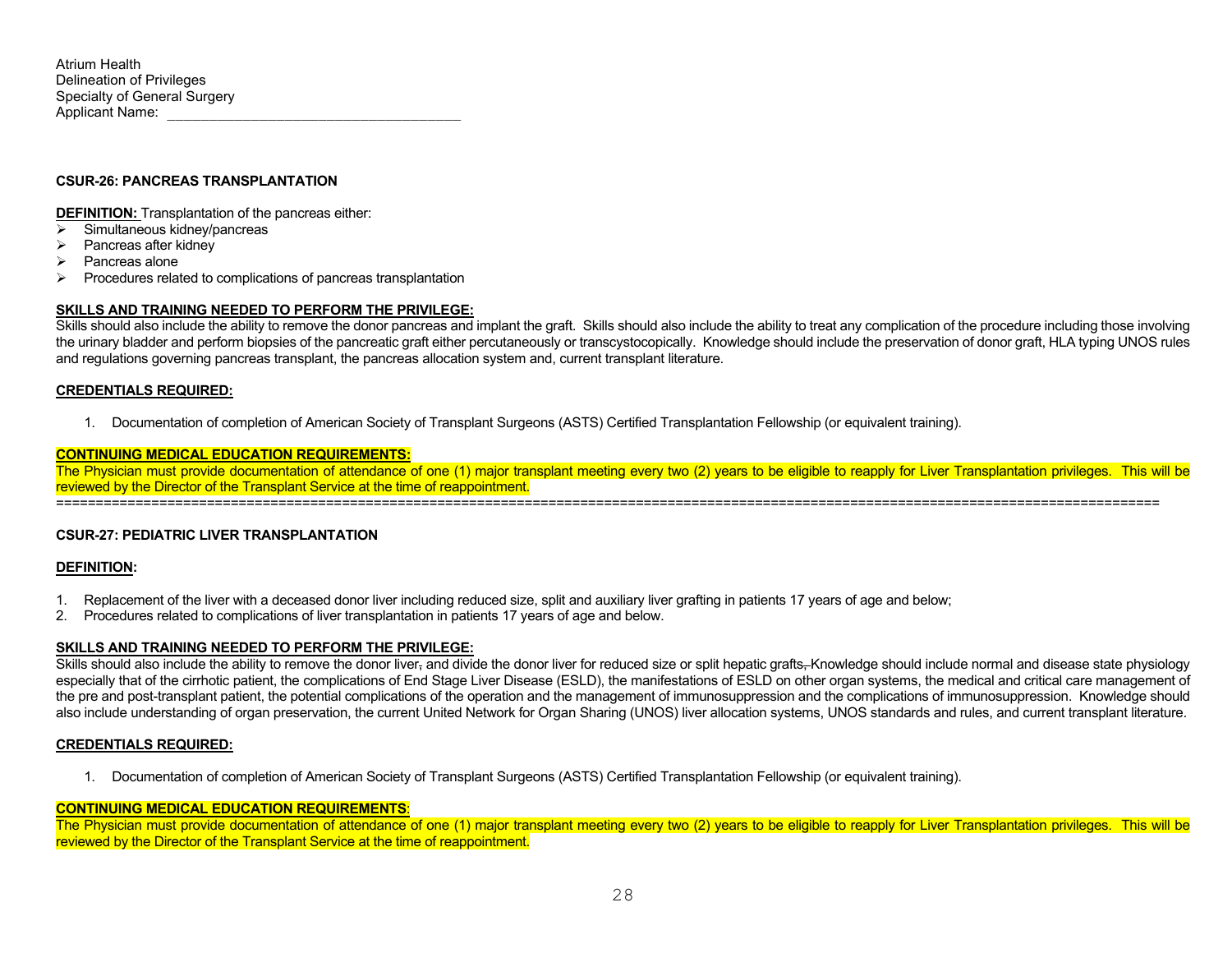## **CSUR-26: PANCREAS TRANSPLANTATION**

**DEFINITION:** Transplantation of the pancreas either:

- $\triangleright$  Simultaneous kidney/pancreas
- $\triangleright$  Pancreas after kidney<br> $\triangleright$  Pancreas alone
- Pancreas alone
- $\triangleright$  Procedures related to complications of pancreas transplantation

#### **SKILLS AND TRAINING NEEDED TO PERFORM THE PRIVILEGE:**

Skills should also include the ability to remove the donor pancreas and implant the graft. Skills should also include the ability to treat any complication of the procedure including those involving the urinary bladder and perform biopsies of the pancreatic graft either percutaneously or transcystocopically. Knowledge should include the preservation of donor graft, HLA typing UNOS rules and regulations governing pancreas transplant, the pancreas allocation system and, current transplant literature.

#### **CREDENTIALS REQUIRED:**

1. Documentation of completion of American Society of Transplant Surgeons (ASTS) Certified Transplantation Fellowship (or equivalent training).

#### **CONTINUING MEDICAL EDUCATION REQUIREMENTS:**

The Physician must provide documentation of attendance of one (1) major transplant meeting every two (2) years to be eligible to reapply for Liver Transplantation privileges. This will be reviewed by the Director of the Transplant Service at the time of reappointment. ===========================================================================================================================================

### **CSUR-27: PEDIATRIC LIVER TRANSPLANTATION**

#### **DEFINITION:**

- 1. Replacement of the liver with a deceased donor liver including reduced size, split and auxiliary liver grafting in patients 17 years of age and below;
- 2. Procedures related to complications of liver transplantation in patients 17 years of age and below.

### **SKILLS AND TRAINING NEEDED TO PERFORM THE PRIVILEGE:**

Skills should also include the ability to remove the donor liver, and divide the donor liver for reduced size or split hepatic grafts, Knowledge should include normal and disease state physiology especially that of the cirrhotic patient, the complications of End Stage Liver Disease (ESLD), the manifestations of ESLD on other organ systems, the medical and critical care management of the pre and post-transplant patient, the potential complications of the operation and the management of immunosuppression and the complications of immunosuppression. Knowledge should also include understanding of organ preservation, the current United Network for Organ Sharing (UNOS) liver allocation systems, UNOS standards and rules, and current transplant literature.

#### **CREDENTIALS REQUIRED:**

1. Documentation of completion of American Society of Transplant Surgeons (ASTS) Certified Transplantation Fellowship (or equivalent training).

### **CONTINUING MEDICAL EDUCATION REQUIREMENTS**:

The Physician must provide documentation of attendance of one (1) major transplant meeting every two (2) years to be eligible to reapply for Liver Transplantation privileges. This will be reviewed by the Director of the Transplant Service at the time of reappointment.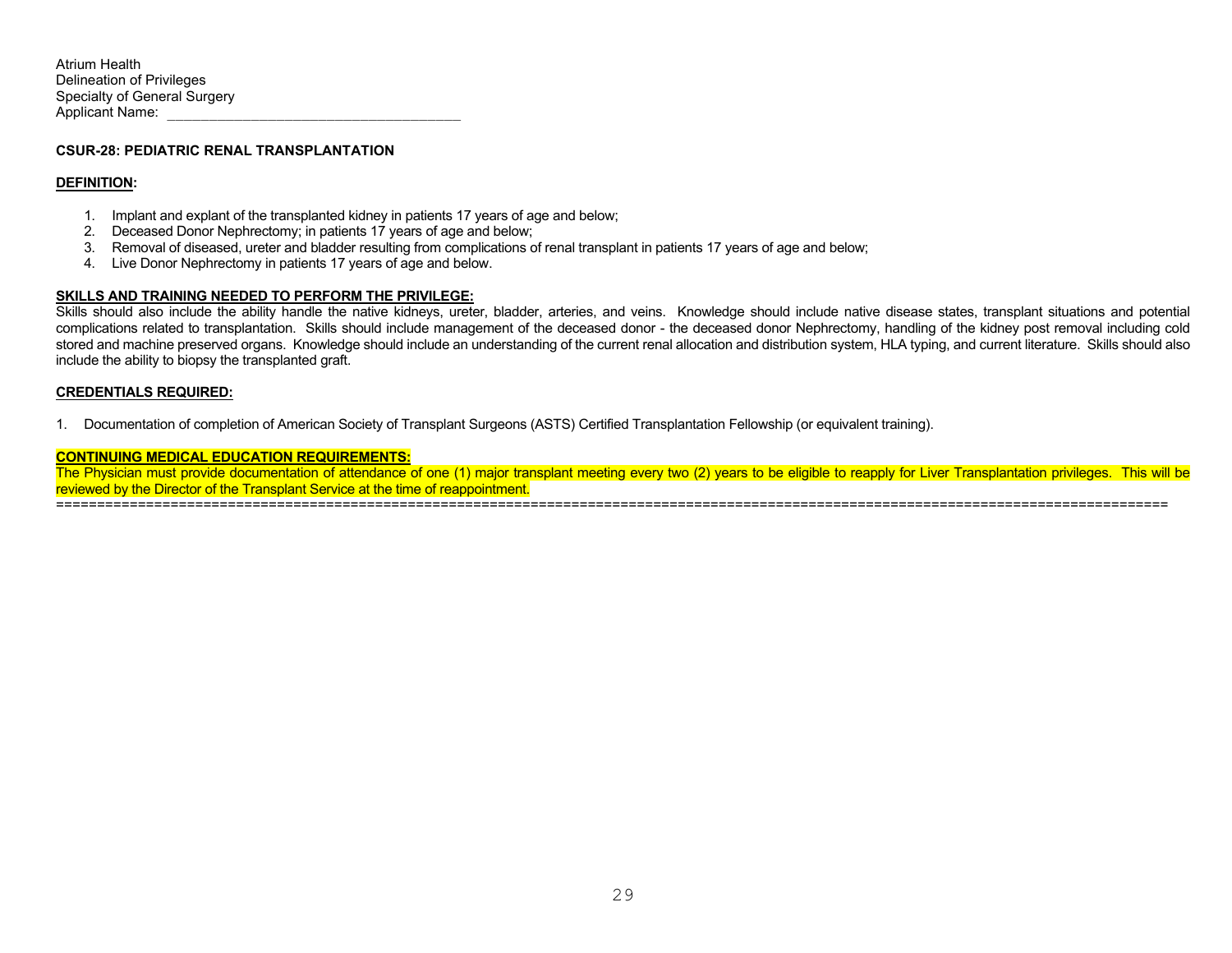#### **CSUR-28: PEDIATRIC RENAL TRANSPLANTATION**

#### **DEFINITION:**

- 1. Implant and explant of the transplanted kidney in patients 17 years of age and below;
- 2. Deceased Donor Nephrectomy; in patients 17 years of age and below;
- 3. Removal of diseased, ureter and bladder resulting from complications of renal transplant in patients 17 years of age and below;
- 4. Live Donor Nephrectomy in patients 17 years of age and below.

#### **SKILLS AND TRAINING NEEDED TO PERFORM THE PRIVILEGE:**

Skills should also include the ability handle the native kidneys, ureter, bladder, arteries, and veins. Knowledge should include native disease states, transplant situations and potential complications related to transplantation. Skills should include management of the deceased donor - the deceased donor Nephrectomy, handling of the kidney post removal including cold stored and machine preserved organs. Knowledge should include an understanding of the current renal allocation and distribution system, HLA typing, and current literature. Skills should also include the ability to biopsy the transplanted graft.

#### **CREDENTIALS REQUIRED:**

1. Documentation of completion of American Society of Transplant Surgeons (ASTS) Certified Transplantation Fellowship (or equivalent training).

#### **CONTINUING MEDICAL EDUCATION REQUIREMENTS:**

The Physician must provide documentation of attendance of one (1) major transplant meeting every two (2) years to be eligible to reapply for Liver Transplantation privileges. This will be reviewed by the Director of the Transplant Service at the time of reappointment.

========================================================================================================================================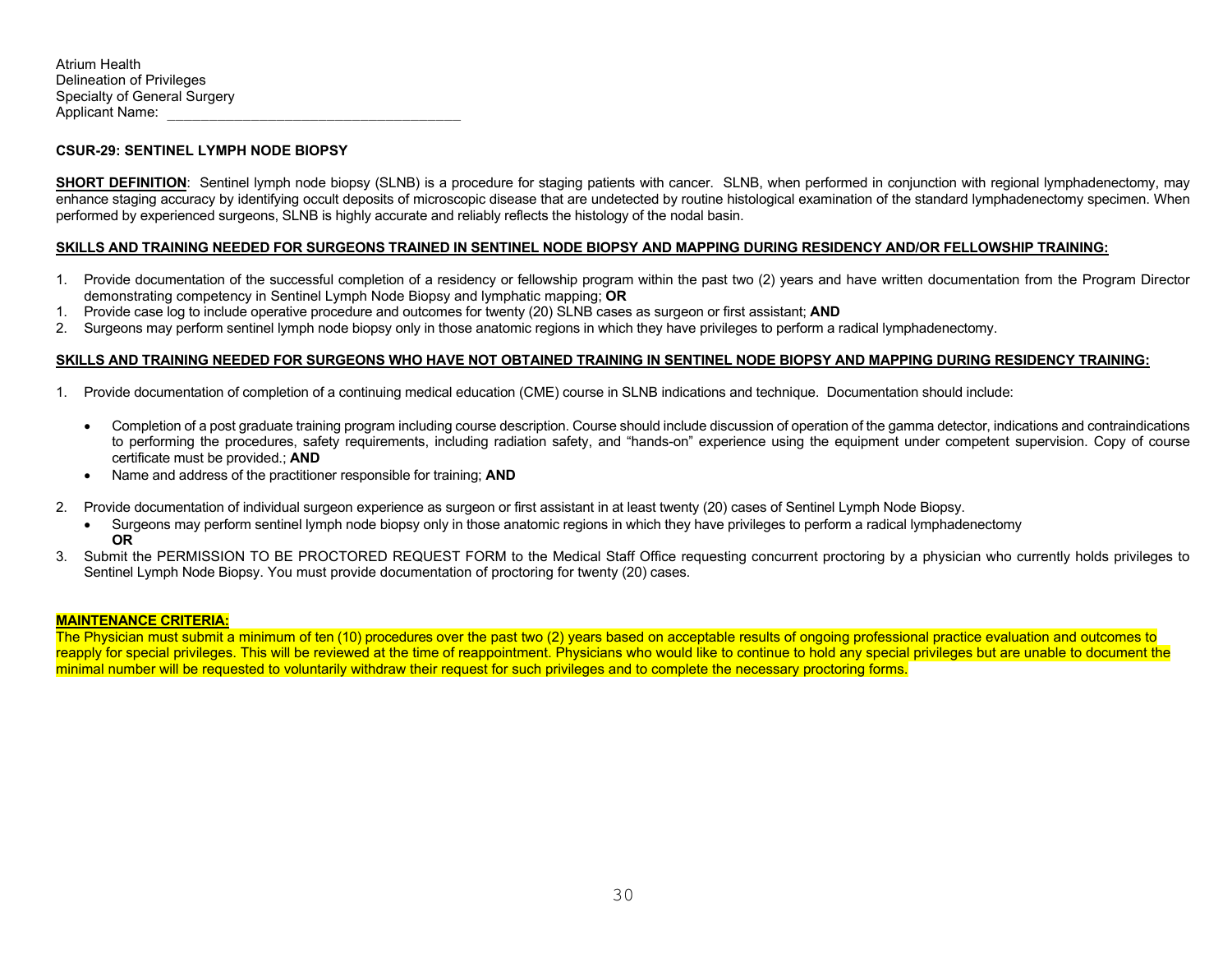## **CSUR-29: SENTINEL LYMPH NODE BIOPSY**

**SHORT DEFINITION**: Sentinel lymph node biopsy (SLNB) is a procedure for staging patients with cancer. SLNB, when performed in conjunction with regional lymphadenectomy, may enhance staging accuracy by identifying occult deposits of microscopic disease that are undetected by routine histological examination of the standard lymphadenectomy specimen. When performed by experienced surgeons, SLNB is highly accurate and reliably reflects the histology of the nodal basin.

### **SKILLS AND TRAINING NEEDED FOR SURGEONS TRAINED IN SENTINEL NODE BIOPSY AND MAPPING DURING RESIDENCY AND/OR FELLOWSHIP TRAINING:**

- 1. Provide documentation of the successful completion of a residency or fellowship program within the past two (2) years and have written documentation from the Program Director demonstrating competency in Sentinel Lymph Node Biopsy and lymphatic mapping; **OR**
- 1. Provide case log to include operative procedure and outcomes for twenty (20) SLNB cases as surgeon or first assistant; **AND**
- 2. Surgeons may perform sentinel lymph node biopsy only in those anatomic regions in which they have privileges to perform a radical lymphadenectomy.

### **SKILLS AND TRAINING NEEDED FOR SURGEONS WHO HAVE NOT OBTAINED TRAINING IN SENTINEL NODE BIOPSY AND MAPPING DURING RESIDENCY TRAINING:**

- 1. Provide documentation of completion of a continuing medical education (CME) course in SLNB indications and technique. Documentation should include:
	- Completion of a post graduate training program including course description. Course should include discussion of operation of the gamma detector, indications and contraindications to performing the procedures, safety requirements, including radiation safety, and "hands-on" experience using the equipment under competent supervision. Copy of course certificate must be provided.; **AND**
	- Name and address of the practitioner responsible for training; **AND**
- 2. Provide documentation of individual surgeon experience as surgeon or first assistant in at least twenty (20) cases of Sentinel Lymph Node Biopsy.
	- Surgeons may perform sentinel lymph node biopsy only in those anatomic regions in which they have privileges to perform a radical lymphadenectomy **OR**
- 3. Submit the PERMISSION TO BE PROCTORED REQUEST FORM to the Medical Staff Office requesting concurrent proctoring by a physician who currently holds privileges to Sentinel Lymph Node Biopsy. You must provide documentation of proctoring for twenty (20) cases.

### **MAINTENANCE CRITERIA:**

The Physician must submit a minimum of ten (10) procedures over the past two (2) years based on acceptable results of ongoing professional practice evaluation and outcomes to reapply for special privileges. This will be reviewed at the time of reappointment. Physicians who would like to continue to hold any special privileges but are unable to document the minimal number will be requested to voluntarily withdraw their request for such privileges and to complete the necessary proctoring forms.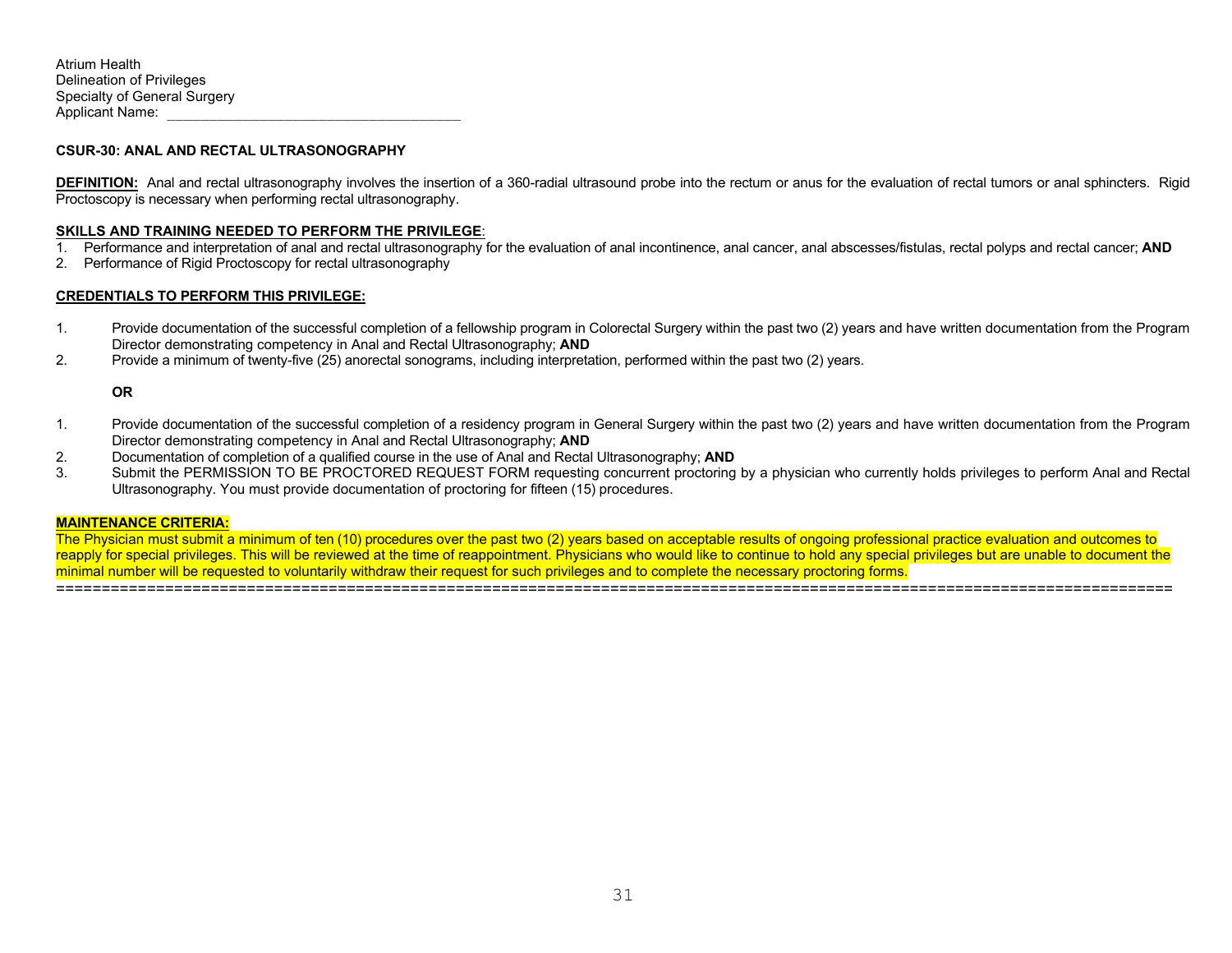#### **CSUR-30: ANAL AND RECTAL ULTRASONOGRAPHY**

**DEFINITION:** Anal and rectal ultrasonography involves the insertion of a 360-radial ultrasound probe into the rectum or anus for the evaluation of rectal tumors or anal sphincters. Rigid Proctoscopy is necessary when performing rectal ultrasonography.

#### **SKILLS AND TRAINING NEEDED TO PERFORM THE PRIVILEGE**:

- 1. Performance and interpretation of anal and rectal ultrasonography for the evaluation of anal incontinence, anal cancer, anal abscesses/fistulas, rectal polyps and rectal cancer; **AND**
- 2. Performance of Rigid Proctoscopy for rectal ultrasonography

#### **CREDENTIALS TO PERFORM THIS PRIVILEGE:**

- 1. Provide documentation of the successful completion of a fellowship program in Colorectal Surgery within the past two (2) years and have written documentation from the Program Director demonstrating competency in Anal and Rectal Ultrasonography; **AND**
- 2. Provide a minimum of twenty-five (25) anorectal sonograms, including interpretation, performed within the past two (2) years.

#### **OR**

- 1. Provide documentation of the successful completion of a residency program in General Surgery within the past two (2) years and have written documentation from the Program Director demonstrating competency in Anal and Rectal Ultrasonography; **AND**
- 2. Documentation of completion of a qualified course in the use of Anal and Rectal Ultrasonography; **AND**
- 3. Submit the PERMISSION TO BE PROCTORED REQUEST FORM requesting concurrent proctoring by a physician who currently holds privileges to perform Anal and Rectal Ultrasonography. You must provide documentation of proctoring for fifteen (15) procedures.

#### **MAINTENANCE CRITERIA:**

The Physician must submit a minimum of ten (10) procedures over the past two (2) years based on acceptable results of ongoing professional practice evaluation and outcomes to reapply for special privileges. This will be reviewed at the time of reappointment. Physicians who would like to continue to hold any special privileges but are unable to document the minimal number will be requested to voluntarily withdraw their request for such privileges and to complete the necessary proctoring forms. ===========================================================================================================================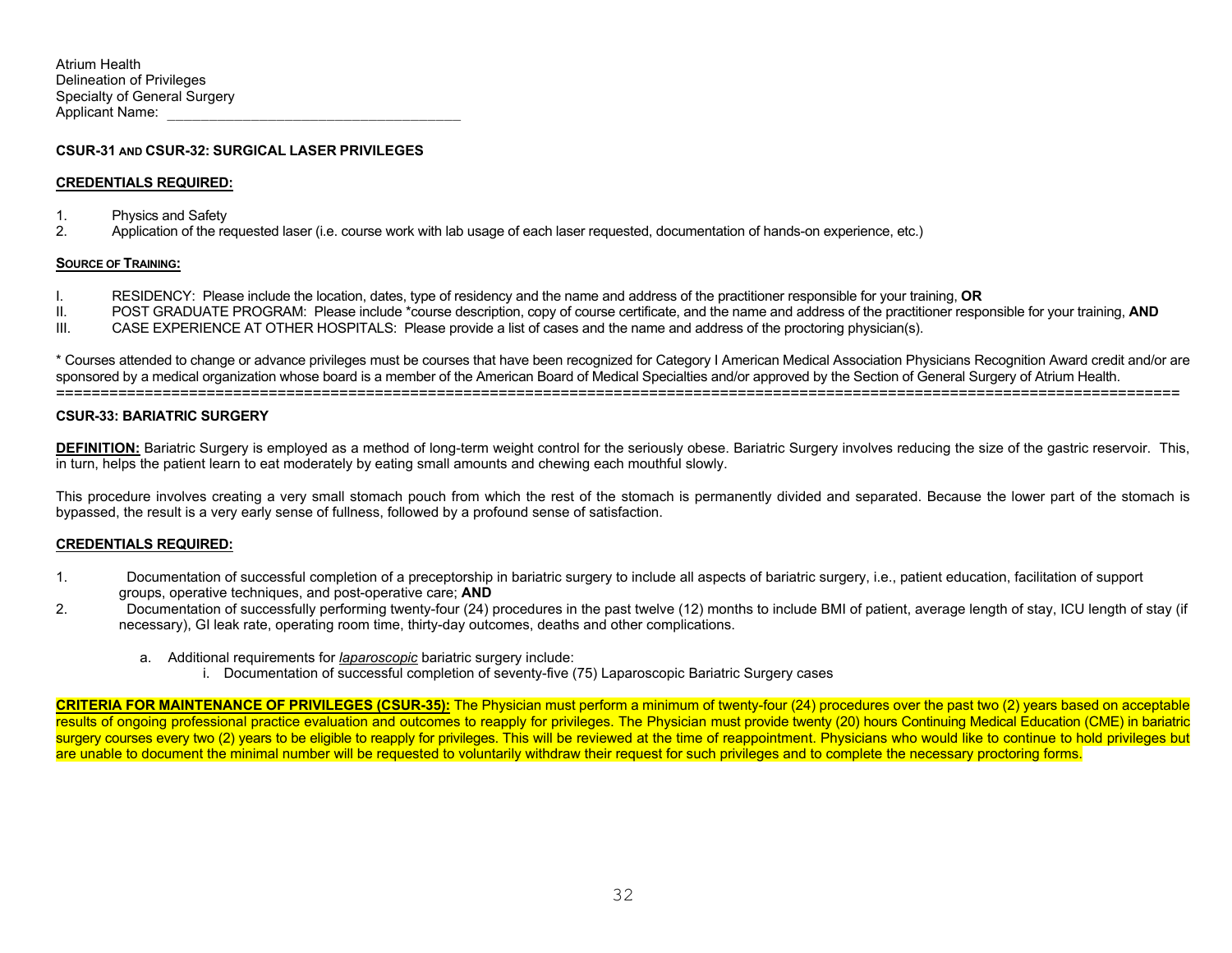#### **CSUR-31 AND CSUR-32: SURGICAL LASER PRIVILEGES**

#### **CREDENTIALS REQUIRED:**

- 1. Physics and Safety
- 2. Application of the requested laser (i.e. course work with lab usage of each laser requested, documentation of hands-on experience, etc.)

#### **SOURCE OF TRAINING:**

- I. RESIDENCY: Please include the location, dates, type of residency and the name and address of the practitioner responsible for your training, **OR**
- POST GRADUATE PROGRAM: Please include \*course description, copy of course certificate, and the name and address of the practitioner responsible for your training, AND
- III. CASE EXPERIENCE AT OTHER HOSPITALS: Please provide a list of cases and the name and address of the proctoring physician(s).

\* Courses attended to change or advance privileges must be courses that have been recognized for Category I American Medical Association Physicians Recognition Award credit and/or are sponsored by a medical organization whose board is a member of the American Board of Medical Specialties and/or approved by the Section of General Surgery of Atrium Health. ===============================================================================================================================

#### **CSUR-33: BARIATRIC SURGERY**

**DEFINITION:** Bariatric Surgery is employed as a method of long-term weight control for the seriously obese. Bariatric Surgery involves reducing the size of the gastric reservoir. This, in turn, helps the patient learn to eat moderately by eating small amounts and chewing each mouthful slowly.

This procedure involves creating a very small stomach pouch from which the rest of the stomach is permanently divided and separated. Because the lower part of the stomach is bypassed, the result is a very early sense of fullness, followed by a profound sense of satisfaction.

#### **CREDENTIALS REQUIRED:**

- 1. Documentation of successful completion of a preceptorship in bariatric surgery to include all aspects of bariatric surgery, i.e., patient education, facilitation of support groups, operative techniques, and post-operative care; **AND**
- 2. Documentation of successfully performing twenty-four (24) procedures in the past twelve (12) months to include BMI of patient, average length of stay, ICU length of stay (if necessary), GI leak rate, operating room time, thirty-day outcomes, deaths and other complications.
	- a. Additional requirements for *laparoscopic* bariatric surgery include:
		- i. Documentation of successful completion of seventy-five (75) Laparoscopic Bariatric Surgery cases

**CRITERIA FOR MAINTENANCE OF PRIVILEGES (CSUR-35):** The Physician must perform a minimum of twenty-four (24) procedures over the past two (2) years based on acceptable results of ongoing professional practice evaluation and outcomes to reapply for privileges. The Physician must provide twenty (20) hours Continuing Medical Education (CME) in bariatric surgery courses every two (2) years to be eligible to reapply for privileges. This will be reviewed at the time of reappointment. Physicians who would like to continue to hold privileges but are unable to document the minimal number will be requested to voluntarily withdraw their request for such privileges and to complete the necessary proctoring forms.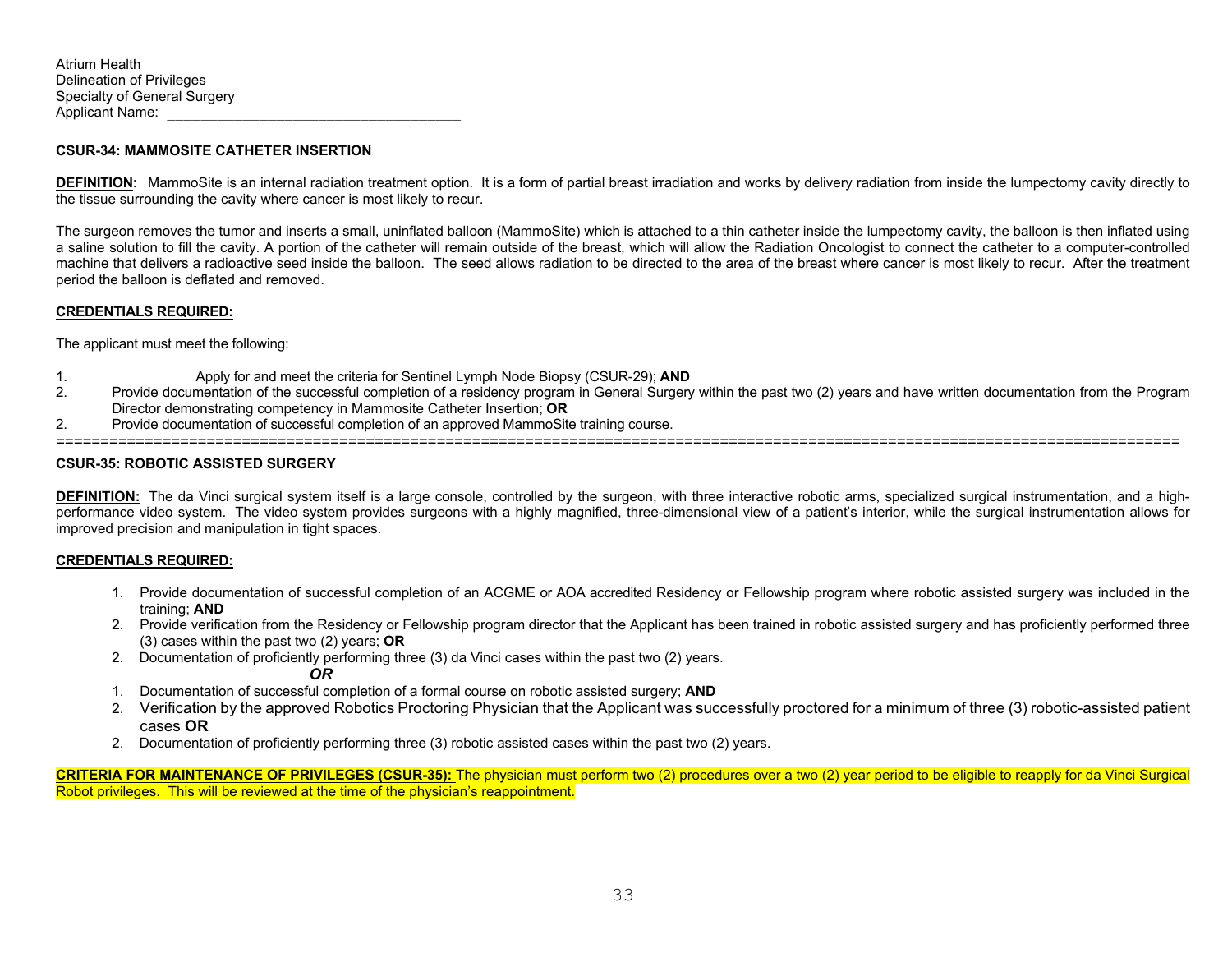### **CSUR-34: MAMMOSITE CATHETER INSERTION**

**DEFINITION**: MammoSite is an internal radiation treatment option. It is a form of partial breast irradiation and works by delivery radiation from inside the lumpectomy cavity directly to the tissue surrounding the cavity where cancer is most likely to recur.

The surgeon removes the tumor and inserts a small, uninflated balloon (MammoSite) which is attached to a thin catheter inside the lumpectomy cavity, the balloon is then inflated using a saline solution to fill the cavity. A portion of the catheter will remain outside of the breast, which will allow the Radiation Oncologist to connect the catheter to a computer-controlled machine that delivers a radioactive seed inside the balloon. The seed allows radiation to be directed to the area of the breast where cancer is most likely to recur. After the treatment period the balloon is deflated and removed.

### **CREDENTIALS REQUIRED:**

The applicant must meet the following:

- 1. Apply for and meet the criteria for Sentinel Lymph Node Biopsy (CSUR-29); **AND**
- 2. Provide documentation of the successful completion of a residency program in General Surgery within the past two (2) years and have written documentation from the Program Director demonstrating competency in Mammosite Catheter Insertion; **OR**
- 2. Provide documentation of successful completion of an approved MammoSite training course.

#### ===============================================================================================================================

## **CSUR-35: ROBOTIC ASSISTED SURGERY**

**DEFINITION:** The da Vinci surgical system itself is a large console, controlled by the surgeon, with three interactive robotic arms, specialized surgical instrumentation, and a highperformance video system. The video system provides surgeons with a highly magnified, three-dimensional view of a patient's interior, while the surgical instrumentation allows for improved precision and manipulation in tight spaces.

### **CREDENTIALS REQUIRED:**

- 1. Provide documentation of successful completion of an ACGME or AOA accredited Residency or Fellowship program where robotic assisted surgery was included in the training; **AND**
- 2. Provide verification from the Residency or Fellowship program director that the Applicant has been trained in robotic assisted surgery and has proficiently performed three (3) cases within the past two (2) years; **OR**
- 2. Documentation of proficiently performing three (3) da Vinci cases within the past two (2) years.

*OR* 

- 1. Documentation of successful completion of a formal course on robotic assisted surgery; **AND**
- 2. Verification by the approved Robotics Proctoring Physician that the Applicant was successfully proctored for a minimum of three (3) robotic-assisted patient cases **OR**
- 2. Documentation of proficiently performing three (3) robotic assisted cases within the past two (2) years.

**CRITERIA FOR MAINTENANCE OF PRIVILEGES (CSUR-35):** The physician must perform two (2) procedures over a two (2) year period to be eligible to reapply for da Vinci Surgical Robot privileges. This will be reviewed at the time of the physician's reappointment.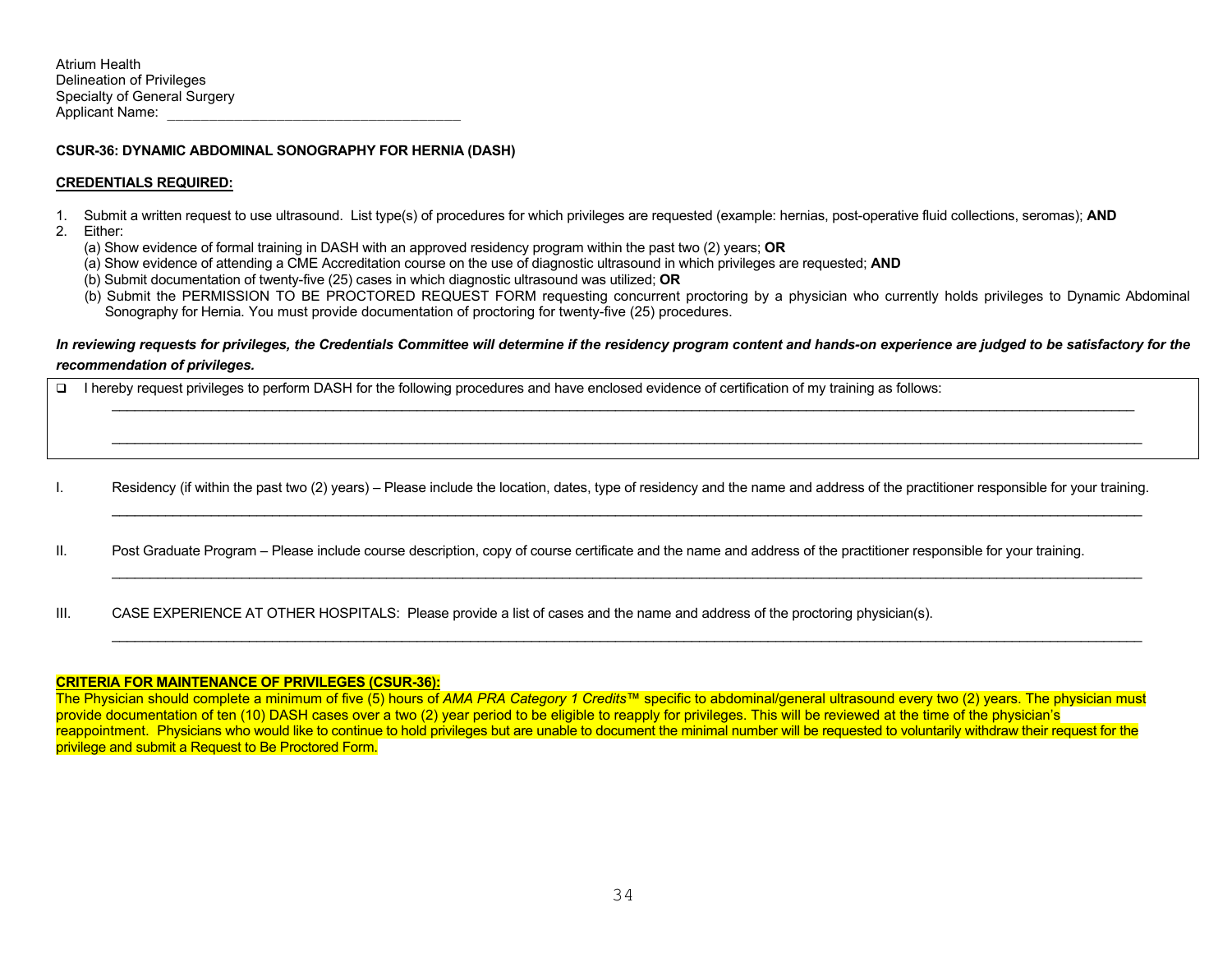#### **CSUR-36: DYNAMIC ABDOMINAL SONOGRAPHY FOR HERNIA (DASH)**

#### **CREDENTIALS REQUIRED:**

- 1. Submit a written request to use ultrasound. List type(s) of procedures for which privileges are requested (example: hernias, post-operative fluid collections, seromas); **AND**
- 2. Either:
	- (a) Show evidence of formal training in DASH with an approved residency program within the past two (2) years; **OR**
	- (a) Show evidence of attending a CME Accreditation course on the use of diagnostic ultrasound in which privileges are requested; **AND**
	- (b) Submit documentation of twenty-five (25) cases in which diagnostic ultrasound was utilized; **OR**
	- (b) Submit the PERMISSION TO BE PROCTORED REQUEST FORM requesting concurrent proctoring by a physician who currently holds privileges to Dynamic Abdominal Sonography for Hernia. You must provide documentation of proctoring for twenty-five (25) procedures.

## *In reviewing requests for privileges, the Credentials Committee will determine if the residency program content and hands-on experience are judged to be satisfactory for the recommendation of privileges.*

 $\Box$ I hereby request privileges to perform DASH for the following procedures and have enclosed evidence of certification of my training as follows:

I. Residency (if within the past two (2) years) – Please include the location, dates, type of residency and the name and address of the practitioner responsible for your training.

\_\_\_\_\_\_\_\_\_\_\_\_\_\_\_\_\_\_\_\_\_\_\_\_\_\_\_\_\_\_\_\_\_\_\_\_\_\_\_\_\_\_\_\_\_\_\_\_\_\_\_\_\_\_\_\_\_\_\_\_\_\_\_\_\_\_\_\_\_\_\_\_\_\_\_\_\_\_\_\_\_\_\_\_\_\_\_\_\_\_\_\_\_\_\_\_\_\_\_\_\_\_\_\_\_\_\_\_\_\_\_\_\_\_\_\_\_\_\_\_\_\_\_\_\_\_\_\_\_\_\_\_\_\_\_

\_\_\_\_\_\_\_\_\_\_\_\_\_\_\_\_\_\_\_\_\_\_\_\_\_\_\_\_\_\_\_\_\_\_\_\_\_\_\_\_\_\_\_\_\_\_\_\_\_\_\_\_\_\_\_\_\_\_\_\_\_\_\_\_\_\_\_\_\_\_\_\_\_\_\_\_\_\_\_\_\_\_\_\_\_\_\_\_\_\_\_\_\_\_\_\_\_\_\_\_\_\_\_\_\_\_\_\_\_\_\_\_\_\_\_\_\_\_\_\_\_\_\_\_\_\_\_\_\_\_\_\_\_\_

\_\_\_\_\_\_\_\_\_\_\_\_\_\_\_\_\_\_\_\_\_\_\_\_\_\_\_\_\_\_\_\_\_\_\_\_\_\_\_\_\_\_\_\_\_\_\_\_\_\_\_\_\_\_\_\_\_\_\_\_\_\_\_\_\_\_\_\_\_\_\_\_\_\_\_\_\_\_\_\_\_\_\_\_\_\_\_\_\_\_\_\_\_\_\_\_\_\_\_\_\_\_\_\_\_\_\_\_\_\_\_\_\_\_\_\_\_\_\_\_\_\_\_\_\_\_\_\_\_\_\_\_\_\_\_

II. Post Graduate Program – Please include course description, copy of course certificate and the name and address of the practitioner responsible for your training.

III. CASE EXPERIENCE AT OTHER HOSPITALS: Please provide a list of cases and the name and address of the proctoring physician(s).

#### **CRITERIA FOR MAINTENANCE OF PRIVILEGES (CSUR-36):**

The Physician should complete a minimum of five (5) hours of *AMA PRA Category 1 Credits*™ specific to abdominal/general ultrasound every two (2) years. The physician must provide documentation of ten (10) DASH cases over a two (2) year period to be eligible to reapply for privileges. This will be reviewed at the time of the physician's reappointment. Physicians who would like to continue to hold privileges but are unable to document the minimal number will be requested to voluntarily withdraw their request for the privilege and submit a Request to Be Proctored Form.

\_\_\_\_\_\_\_\_\_\_\_\_\_\_\_\_\_\_\_\_\_\_\_\_\_\_\_\_\_\_\_\_\_\_\_\_\_\_\_\_\_\_\_\_\_\_\_\_\_\_\_\_\_\_\_\_\_\_\_\_\_\_\_\_\_\_\_\_\_\_\_\_\_\_\_\_\_\_\_\_\_\_\_\_\_\_\_\_\_\_\_\_\_\_\_\_\_\_\_\_\_\_\_\_\_\_\_\_\_\_\_\_\_\_\_\_\_\_\_\_\_\_\_\_\_\_\_\_\_\_\_\_\_\_\_